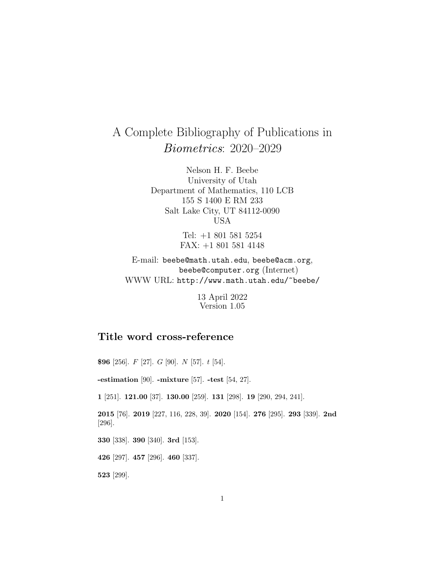# A Complete Bibliography of Publications in Biometrics: 2020–2029

Nelson H. F. Beebe University of Utah Department of Mathematics, 110 LCB 155 S 1400 E RM 233 Salt Lake City, UT 84112-0090 USA

> Tel: +1 801 581 5254 FAX: +1 801 581 4148

E-mail: beebe@math.utah.edu, beebe@acm.org, beebe@computer.org (Internet) WWW URL: http://www.math.utah.edu/~beebe/

> 13 April 2022 Version 1.05

# **Title word cross-reference**

**\$96** [256]. F [27]. G [90]. N [57]. t [54]. **-estimation** [90]. **-mixture** [57]. **-test** [54, 27]. **1** [251]. **121.00** [37]. **130.00** [259]. **131** [298]. **19** [290, 294, 241]. **2015** [76]. **2019** [227, 116, 228, 39]. **2020** [154]. **276** [295]. **293** [339]. **2nd** [296]. **330** [338]. **390** [340]. **3rd** [153]. **426** [297]. **457** [296]. **460** [337]. **523** [299].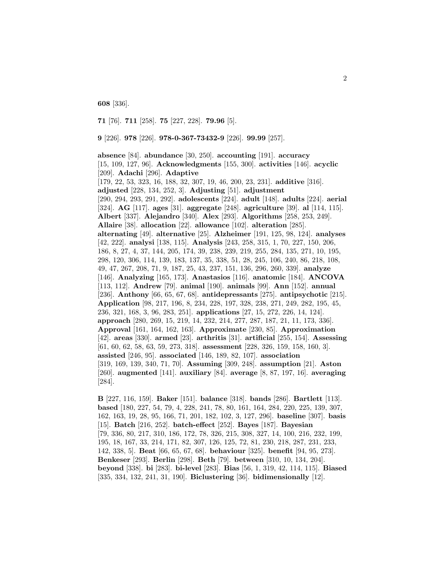**608** [336].

**71** [76]. **711** [258]. **75** [227, 228]. **79.96** [5].

**9** [226]. **978** [226]. **978-0-367-73432-9** [226]. **99.99** [257].

**absence** [84]. **abundance** [30, 250]. **accounting** [191]. **accuracy** [15, 109, 127, 96]. **Acknowledgments** [155, 300]. **activities** [146]. **acyclic** [209]. **Adachi** [296]. **Adaptive** [179, 22, 53, 323, 16, 188, 32, 307, 19, 46, 200, 23, 231]. **additive** [316]. **adjusted** [228, 134, 252, 3]. **Adjusting** [51]. **adjustment** [290, 294, 293, 291, 292]. **adolescents** [224]. **adult** [148]. **adults** [224]. **aerial** [324]. **AG** [117]. **ages** [31]. **aggregate** [248]. **agriculture** [39]. **al** [114, 115]. **Albert** [337]. **Alejandro** [340]. **Alex** [293]. **Algorithms** [258, 253, 249]. **Allaire** [38]. **allocation** [22]. **allowance** [102]. **alteration** [285]. **alternating** [49]. **alternative** [25]. **Alzheimer** [191, 125, 98, 124]. **analyses** [42, 222]. **analysi** [138, 115]. **Analysis** [243, 258, 315, 1, 70, 227, 150, 206, 186, 8, 27, 4, 37, 144, 205, 174, 39, 238, 239, 219, 255, 284, 135, 271, 10, 195, 298, 120, 306, 114, 139, 183, 137, 35, 338, 51, 28, 245, 106, 240, 86, 218, 108, 49, 47, 267, 208, 71, 9, 187, 25, 43, 237, 151, 136, 296, 260, 339]. **analyze** [146]. **Analyzing** [165, 173]. **Anastasios** [116]. **anatomic** [184]. **ANCOVA** [113, 112]. **Andrew** [79]. **animal** [190]. **animals** [99]. **Ann** [152]. **annual** [236]. **Anthony** [66, 65, 67, 68]. **antidepressants** [275]. **antipsychotic** [215]. **Application** [98, 217, 196, 8, 234, 228, 197, 328, 238, 271, 249, 282, 195, 45, 236, 321, 168, 3, 96, 283, 251]. **applications** [27, 15, 272, 226, 14, 124]. **approach** [280, 269, 15, 219, 14, 232, 214, 277, 287, 187, 21, 11, 173, 336]. **Approval** [161, 164, 162, 163]. **Approximate** [230, 85]. **Approximation** [42]. **areas** [330]. **armed** [23]. **arthritis** [31]. **artificial** [255, 154]. **Assessing** [61, 60, 62, 58, 63, 59, 273, 318]. **assessment** [228, 326, 159, 158, 160, 3]. **assisted** [246, 95]. **associated** [146, 189, 82, 107]. **association** [319, 169, 139, 340, 71, 70]. **Assuming** [309, 248]. **assumption** [21]. **Aston** [260]. **augmented** [141]. **auxiliary** [84]. **average** [8, 87, 197, 16]. **averaging** [284].

**B** [227, 116, 159]. **Baker** [151]. **balance** [318]. **bands** [286]. **Bartlett** [113]. **based** [180, 227, 54, 79, 4, 228, 241, 78, 80, 161, 164, 284, 220, 225, 139, 307, 162, 163, 19, 28, 95, 166, 71, 201, 182, 102, 3, 127, 296]. **baseline** [307]. **basis** [15]. **Batch** [216, 252]. **batch-effect** [252]. **Bayes** [187]. **Bayesian** [79, 336, 80, 217, 310, 186, 172, 78, 326, 215, 308, 327, 14, 100, 216, 232, 199, 195, 18, 167, 33, 214, 171, 82, 307, 126, 125, 72, 81, 230, 218, 287, 231, 233, 142, 338, 5]. **Beat** [66, 65, 67, 68]. **behaviour** [325]. **benefit** [94, 95, 273]. **Benkeser** [293]. **Berlin** [298]. **Beth** [79]. **between** [310, 10, 134, 204]. **beyond** [338]. **bi** [283]. **bi-level** [283]. **Bias** [56, 1, 319, 42, 114, 115]. **Biased** [335, 334, 132, 241, 31, 190]. **Biclustering** [36]. **bidimensionally** [12].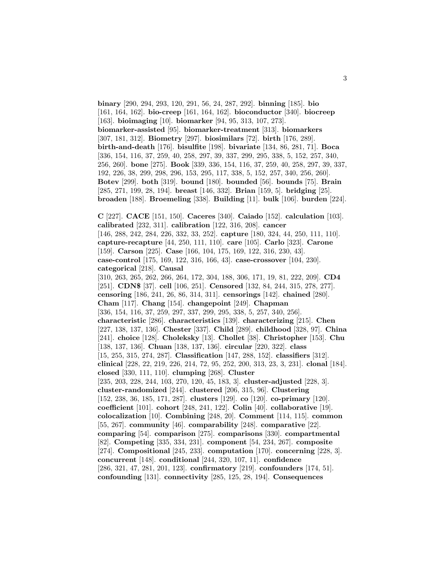**binary** [290, 294, 293, 120, 291, 56, 24, 287, 292]. **binning** [185]. **bio** [161, 164, 162]. **bio-creep** [161, 164, 162]. **bioconductor** [340]. **biocreep** [163]. **bioimaging** [10]. **biomarker** [94, 95, 313, 107, 273]. **biomarker-assisted** [95]. **biomarker-treatment** [313]. **biomarkers** [307, 181, 312]. **Biometry** [297]. **biosimilars** [72]. **birth** [176, 289]. **birth-and-death** [176]. **bisulfite** [198]. **bivariate** [134, 86, 281, 71]. **Boca** [336, 154, 116, 37, 259, 40, 258, 297, 39, 337, 299, 295, 338, 5, 152, 257, 340, 256, 260]. **bone** [275]. **Book** [339, 336, 154, 116, 37, 259, 40, 258, 297, 39, 337, 192, 226, 38, 299, 298, 296, 153, 295, 117, 338, 5, 152, 257, 340, 256, 260]. **Botev** [299]. **both** [319]. **bound** [180]. **bounded** [56]. **bounds** [75]. **Brain** [285, 271, 199, 28, 194]. **breast** [146, 332]. **Brian** [159, 5]. **bridging** [25]. **broaden** [188]. **Broemeling** [338]. **Building** [11]. **bulk** [106]. **burden** [224].

**C** [227]. **CACE** [151, 150]. **Caceres** [340]. **Caiado** [152]. **calculation** [103]. **calibrated** [232, 311]. **calibration** [122, 316, 208]. **cancer** [146, 288, 242, 284, 226, 332, 33, 252]. **capture** [180, 324, 44, 250, 111, 110]. **capture-recapture** [44, 250, 111, 110]. **care** [105]. **Carlo** [323]. **Carone** [159]. **Carson** [225]. **Case** [166, 104, 175, 169, 122, 316, 230, 43]. **case-control** [175, 169, 122, 316, 166, 43]. **case-crossover** [104, 230]. **categorical** [218]. **Causal** [310, 263, 265, 262, 266, 264, 172, 304, 188, 306, 171, 19, 81, 222, 209]. **CD4** [251]. **CDN\$** [37]. **cell** [106, 251]. **Censored** [132, 84, 244, 315, 278, 277]. **censoring** [186, 241, 26, 86, 314, 311]. **censorings** [142]. **chained** [280]. **Cham** [117]. **Chang** [154]. **changepoint** [249]. **Chapman** [336, 154, 116, 37, 259, 297, 337, 299, 295, 338, 5, 257, 340, 256]. **characteristic** [286]. **characteristics** [139]. **characterizing** [215]. **Chen** [227, 138, 137, 136]. **Chester** [337]. **Child** [289]. **childhood** [328, 97]. **China** [241]. **choice** [128]. **Choleksky** [13]. **Chollet** [38]. **Christopher** [153]. **Chu** [138, 137, 136]. **Chuan** [138, 137, 136]. **circular** [220, 322]. **class** [15, 255, 315, 274, 287]. **Classification** [147, 288, 152]. **classifiers** [312]. **clinical** [228, 22, 219, 226, 214, 72, 95, 252, 200, 313, 23, 3, 231]. **clonal** [184]. **closed** [330, 111, 110]. **clumping** [268]. **Cluster** [235, 203, 228, 244, 103, 270, 120, 45, 183, 3]. **cluster-adjusted** [228, 3]. **cluster-randomized** [244]. **clustered** [206, 315, 96]. **Clustering** [152, 238, 36, 185, 171, 287]. **clusters** [129]. **co** [120]. **co-primary** [120]. **coefficient** [101]. **cohort** [248, 241, 122]. **Colin** [40]. **collaborative** [19]. **colocalization** [10]. **Combining** [248, 20]. **Comment** [114, 115]. **common** [55, 267]. **community** [46]. **comparability** [248]. **comparative** [22]. **comparing** [54]. **comparison** [275]. **comparisons** [330]. **compartmental** [82]. **Competing** [335, 334, 231]. **component** [54, 234, 267]. **composite** [274]. **Compositional** [245, 233]. **computation** [170]. **concerning** [228, 3]. **concurrent** [148]. **conditional** [244, 320, 107, 11]. **confidence** [286, 321, 47, 281, 201, 123]. **confirmatory** [219]. **confounders** [174, 51]. **confounding** [131]. **connectivity** [285, 125, 28, 194]. **Consequences**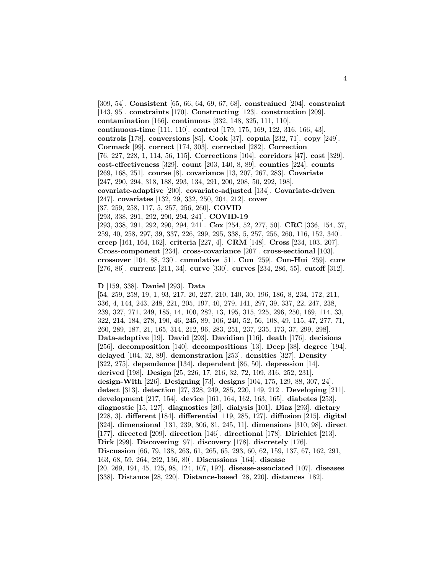[309, 54]. **Consistent** [65, 66, 64, 69, 67, 68]. **constrained** [204]. **constraint** [143, 95]. **constraints** [170]. **Constructing** [123]. **construction** [209]. **contamination** [166]. **continuous** [332, 148, 325, 111, 110]. **continuous-time** [111, 110]. **control** [179, 175, 169, 122, 316, 166, 43]. **controls** [178]. **conversions** [85]. **Cook** [37]. **copula** [232, 71]. **copy** [249]. **Cormack** [99]. **correct** [174, 303]. **corrected** [282]. **Correction** [76, 227, 228, 1, 114, 56, 115]. **Corrections** [104]. **corridors** [47]. **cost** [329]. **cost-effectiveness** [329]. **count** [203, 140, 8, 89]. **counties** [224]. **counts** [269, 168, 251]. **course** [8]. **covariance** [13, 207, 267, 283]. **Covariate** [247, 290, 294, 318, 188, 293, 134, 291, 200, 208, 50, 292, 198]. **covariate-adaptive** [200]. **covariate-adjusted** [134]. **Covariate-driven** [247]. **covariates** [132, 29, 332, 250, 204, 212]. **cover** [37, 259, 258, 117, 5, 257, 256, 260]. **COVID** [293, 338, 291, 292, 290, 294, 241]. **COVID-19** [293, 338, 291, 292, 290, 294, 241]. **Cox** [254, 52, 277, 50]. **CRC** [336, 154, 37, 259, 40, 258, 297, 39, 337, 226, 299, 295, 338, 5, 257, 256, 260, 116, 152, 340]. **creep** [161, 164, 162]. **criteria** [227, 4]. **CRM** [148]. **Cross** [234, 103, 207]. **Cross-component** [234]. **cross-covariance** [207]. **cross-sectional** [103]. **crossover** [104, 88, 230]. **cumulative** [51]. **Cun** [259]. **Cun-Hui** [259]. **cure** [276, 86]. **current** [211, 34]. **curve** [330]. **curves** [234, 286, 55]. **cutoff** [312].

**D** [159, 338]. **Daniel** [293]. **Data**

[54, 259, 258, 19, 1, 93, 217, 20, 227, 210, 140, 30, 196, 186, 8, 234, 172, 211, 336, 4, 144, 243, 248, 221, 205, 197, 40, 279, 141, 297, 39, 337, 22, 247, 238, 239, 327, 271, 249, 185, 14, 100, 282, 13, 195, 315, 225, 296, 250, 169, 114, 33, 322, 214, 184, 278, 190, 46, 245, 89, 106, 240, 52, 56, 108, 49, 115, 47, 277, 71, 260, 289, 187, 21, 165, 314, 212, 96, 283, 251, 237, 235, 173, 37, 299, 298]. **Data-adaptive** [19]. **David** [293]. **Davidian** [116]. **death** [176]. **decisions** [256]. **decomposition** [140]. **decompositions** [13]. **Deep** [38]. **degree** [194]. **delayed** [104, 32, 89]. **demonstration** [253]. **densities** [327]. **Density** [322, 275]. **dependence** [134]. **dependent** [86, 50]. **depression** [14]. **derived** [198]. **Design** [25, 226, 17, 216, 32, 72, 109, 316, 252, 231]. **design-With** [226]. **Designing** [73]. **designs** [104, 175, 129, 88, 307, 24]. **detect** [313]. **detection** [27, 328, 249, 285, 220, 149, 212]. **Developing** [211]. **development** [217, 154]. **device** [161, 164, 162, 163, 165]. **diabetes** [253]. **diagnostic** [15, 127]. **diagnostics** [20]. **dialysis** [101]. **Diaz** [293]. **dietary** [228, 3]. **different** [184]. **differential** [119, 285, 127]. **diffusion** [215]. **digital** [324]. **dimensional** [131, 239, 306, 81, 245, 11]. **dimensions** [310, 98]. **direct** [177]. **directed** [209]. **direction** [146]. **directional** [178]. **Dirichlet** [213]. **Dirk** [299]. **Discovering** [97]. **discovery** [178]. **discretely** [176]. **Discussion** [66, 79, 138, 263, 61, 265, 65, 293, 60, 62, 159, 137, 67, 162, 291, 163, 68, 59, 264, 292, 136, 80]. **Discussions** [164]. **disease** [20, 269, 191, 45, 125, 98, 124, 107, 192]. **disease-associated** [107]. **diseases** [338]. **Distance** [28, 220]. **Distance-based** [28, 220]. **distances** [182].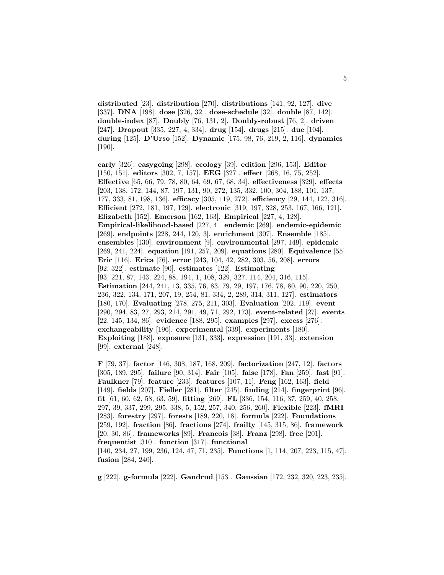**distributed** [23]. **distribution** [270]. **distributions** [141, 92, 127]. **dive** [337]. **DNA** [198]. **dose** [326, 32]. **dose-schedule** [32]. **double** [87, 142]. **double-index** [87]. **Doubly** [76, 131, 2]. **Doubly-robust** [76, 2]. **driven** [247]. **Dropout** [335, 227, 4, 334]. **drug** [154]. **drugs** [215]. **due** [104]. **during** [125]. **D'Urso** [152]. **Dynamic** [175, 98, 76, 219, 2, 116]. **dynamics** [190].

**early** [326]. **easygoing** [298]. **ecology** [39]. **edition** [296, 153]. **Editor** [150, 151]. **editors** [302, 7, 157]. **EEG** [327]. **effect** [268, 16, 75, 252]. **Effective** [65, 66, 79, 78, 80, 64, 69, 67, 68, 34]. **effectiveness** [329]. **effects** [203, 138, 172, 144, 87, 197, 131, 90, 272, 135, 332, 100, 304, 188, 101, 137, 177, 333, 81, 198, 136]. **efficacy** [305, 119, 272]. **efficiency** [29, 144, 122, 316]. **Efficient** [272, 181, 197, 129]. **electronic** [319, 197, 328, 253, 167, 166, 121]. **Elizabeth** [152]. **Emerson** [162, 163]. **Empirical** [227, 4, 128]. **Empirical-likelihood-based** [227, 4]. **endemic** [269]. **endemic-epidemic** [269]. **endpoints** [228, 244, 120, 3]. **enrichment** [307]. **Ensemble** [185]. **ensembles** [130]. **environment** [9]. **environmental** [297, 149]. **epidemic** [269, 241, 224]. **equation** [191, 257, 209]. **equations** [280]. **Equivalence** [55]. **Eric** [116]. **Erica** [76]. **error** [243, 104, 42, 282, 303, 56, 208]. **errors** [92, 322]. **estimate** [90]. **estimates** [122]. **Estimating** [93, 221, 87, 143, 224, 88, 194, 1, 108, 329, 327, 114, 204, 316, 115]. **Estimation** [244, 241, 13, 335, 76, 83, 79, 29, 197, 176, 78, 80, 90, 220, 250, 236, 322, 134, 171, 207, 19, 254, 81, 334, 2, 289, 314, 311, 127]. **estimators** [180, 170]. **Evaluating** [278, 275, 211, 303]. **Evaluation** [202, 119]. **event** [290, 294, 83, 27, 293, 214, 291, 49, 71, 292, 173]. **event-related** [27]. **events** [22, 145, 134, 86]. **evidence** [188, 295]. **examples** [297]. **excess** [276]. **exchangeability** [196]. **experimental** [339]. **experiments** [180]. **Exploiting** [188]. **exposure** [131, 333]. **expression** [191, 33]. **extension** [99]. **external** [248].

**F** [79, 37]. **factor** [146, 308, 187, 168, 209]. **factorization** [247, 12]. **factors** [305, 189, 295]. **failure** [90, 314]. **Fair** [105]. **false** [178]. **Fan** [259]. **fast** [91]. **Faulkner** [79]. **feature** [233]. **features** [107, 11]. **Feng** [162, 163]. **field** [149]. **fields** [207]. **Fieller** [281]. **filter** [245]. **finding** [214]. **fingerprint** [96]. **fit** [61, 60, 62, 58, 63, 59]. **fitting** [269]. **FL** [336, 154, 116, 37, 259, 40, 258, 297, 39, 337, 299, 295, 338, 5, 152, 257, 340, 256, 260]. **Flexible** [223]. **fMRI** [283]. **forestry** [297]. **forests** [189, 220, 18]. **formula** [222]. **Foundations** [259, 192]. **fraction** [86]. **fractions** [274]. **frailty** [145, 315, 86]. **framework** [20, 30, 86]. **frameworks** [89]. **Francois** [38]. **Franz** [298]. **free** [201]. **frequentist** [310]. **function** [317]. **functional** [140, 234, 27, 199, 236, 124, 47, 71, 235]. **Functions** [1, 114, 207, 223, 115, 47]. **fusion** [284, 240].

**g** [222]. **g-formula** [222]. **Gandrud** [153]. **Gaussian** [172, 232, 320, 223, 235].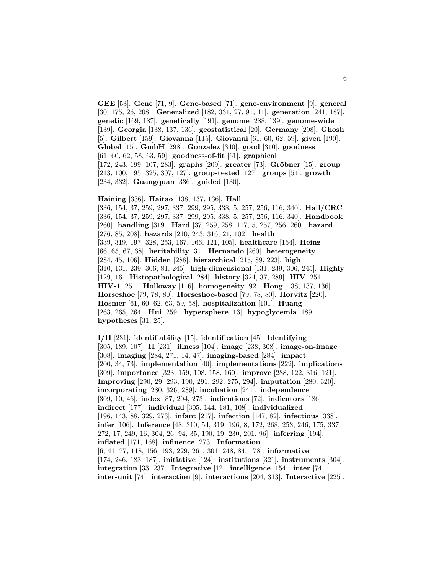**GEE** [53]. **Gene** [71, 9]. **Gene-based** [71]. **gene-environment** [9]. **general** [30, 175, 26, 208]. **Generalized** [182, 331, 27, 91, 11]. **generation** [241, 187]. **genetic** [169, 187]. **genetically** [191]. **genome** [288, 139]. **genome-wide** [139]. **Georgia** [138, 137, 136]. **geostatistical** [20]. **Germany** [298]. **Ghosh** [5]. **Gilbert** [159]. **Giovanna** [115]. **Giovanni** [61, 60, 62, 59]. **given** [190]. **Global** [15]. **GmbH** [298]. **Gonzalez** [340]. **good** [310]. **goodness** [61, 60, 62, 58, 63, 59]. **goodness-of-fit** [61]. **graphical** [172, 243, 199, 107, 283]. **graphs** [209]. **greater** [73]. **Gröbner** [15]. **group** [213, 100, 195, 325, 307, 127]. **group-tested** [127]. **groups** [54]. **growth** [234, 332]. **Guangquan** [336]. **guided** [130].

#### **Haining** [336]. **Haitao** [138, 137, 136]. **Hall**

[336, 154, 37, 259, 297, 337, 299, 295, 338, 5, 257, 256, 116, 340]. **Hall/CRC** [336, 154, 37, 259, 297, 337, 299, 295, 338, 5, 257, 256, 116, 340]. **Handbook** [260]. **handling** [319]. **Hard** [37, 259, 258, 117, 5, 257, 256, 260]. **hazard** [276, 85, 208]. **hazards** [210, 243, 316, 21, 102]. **health** [339, 319, 197, 328, 253, 167, 166, 121, 105]. **healthcare** [154]. **Heinz** [66, 65, 67, 68]. **heritability** [31]. **Hernando** [260]. **heterogeneity** [284, 45, 106]. **Hidden** [288]. **hierarchical** [215, 89, 223]. **high** [310, 131, 239, 306, 81, 245]. **high-dimensional** [131, 239, 306, 245]. **Highly** [129, 16]. **Histopathological** [284]. **history** [324, 37, 289]. **HIV** [251]. **HIV-1** [251]. **Holloway** [116]. **homogeneity** [92]. **Hong** [138, 137, 136]. **Horseshoe** [79, 78, 80]. **Horseshoe-based** [79, 78, 80]. **Horvitz** [220]. **Hosmer** [61, 60, 62, 63, 59, 58]. **hospitalization** [101]. **Huang** [263, 265, 264]. **Hui** [259]. **hypersphere** [13]. **hypoglycemia** [189]. **hypotheses** [31, 25].

**I/II** [231]. **identifiability** [15]. **identification** [45]. **Identifying** [305, 189, 107]. **II** [231]. **illness** [104]. **image** [238, 308]. **image-on-image** [308]. **imaging** [284, 271, 14, 47]. **imaging-based** [284]. **impact** [200, 34, 73]. **implementation** [40]. **implementations** [222]. **implications** [309]. **importance** [323, 159, 108, 158, 160]. **improve** [288, 122, 316, 121]. **Improving** [290, 29, 293, 190, 291, 292, 275, 294]. **imputation** [280, 320]. **incorporating** [280, 326, 289]. **incubation** [241]. **independence** [309, 10, 46]. **index** [87, 204, 273]. **indications** [72]. **indicators** [186]. **indirect** [177]. **individual** [305, 144, 181, 108]. **individualized** [196, 143, 88, 329, 273]. **infant** [217]. **infection** [147, 82]. **infectious** [338]. **infer** [106]. **Inference** [48, 310, 54, 319, 196, 8, 172, 268, 253, 246, 175, 337, 272, 17, 249, 16, 304, 26, 94, 35, 190, 19, 230, 201, 96]. **inferring** [194]. **inflated** [171, 168]. **influence** [273]. **Information** [6, 41, 77, 118, 156, 193, 229, 261, 301, 248, 84, 178]. **informative** [174, 246, 183, 187]. **initiative** [124]. **institutions** [321]. **instruments** [304]. **integration** [33, 237]. **Integrative** [12]. **intelligence** [154]. **inter** [74]. **inter-unit** [74]. **interaction** [9]. **interactions** [204, 313]. **Interactive** [225].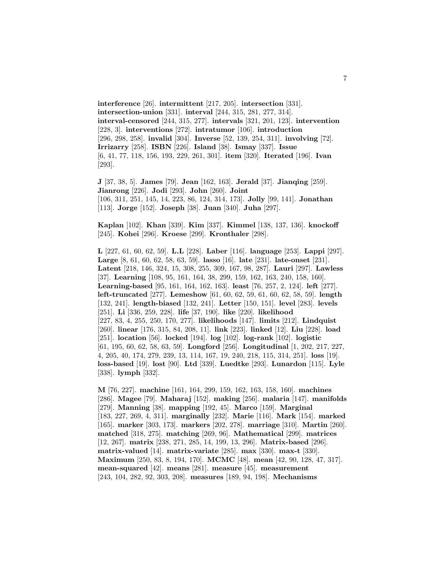**interference** [26]. **intermittent** [217, 205]. **intersection** [331]. **intersection-union** [331]. **interval** [244, 315, 281, 277, 314]. **interval-censored** [244, 315, 277]. **intervals** [321, 201, 123]. **intervention** [228, 3]. **interventions** [272]. **intratumor** [106]. **introduction** [296, 298, 258]. **invalid** [304]. **Inverse** [52, 139, 254, 311]. **involving** [72]. **Irrizarry** [258]. **ISBN** [226]. **Island** [38]. **Ismay** [337]. **Issue** [6, 41, 77, 118, 156, 193, 229, 261, 301]. **item** [320]. **Iterated** [196]. **Ivan** [293].

**J** [37, 38, 5]. **James** [79]. **Jean** [162, 163]. **Jerald** [37]. **Jianqing** [259]. **Jianrong** [226]. **Jodi** [293]. **John** [260]. **Joint** [106, 311, 251, 145, 14, 223, 86, 124, 314, 173]. **Jolly** [99, 141]. **Jonathan** [113]. **Jorge** [152]. **Joseph** [38]. **Juan** [340]. **Juha** [297].

**Kaplan** [102]. **Khan** [339]. **Kim** [337]. **Kimmel** [138, 137, 136]. **knockoff** [245]. **Kohei** [296]. **Kroese** [299]. **Kronthaler** [298].

**L** [227, 61, 60, 62, 59]. **L.L** [228]. **Laber** [116]. **language** [253]. **Lappi** [297]. **Large** [8, 61, 60, 62, 58, 63, 59]. **lasso** [16]. **late** [231]. **late-onset** [231]. **Latent** [218, 146, 324, 15, 308, 255, 309, 167, 98, 287]. **Lauri** [297]. **Lawless** [37]. **Learning** [108, 95, 161, 164, 38, 299, 159, 162, 163, 240, 158, 160]. **Learning-based** [95, 161, 164, 162, 163]. **least** [76, 257, 2, 124]. **left** [277]. **left-truncated** [277]. **Lemeshow** [61, 60, 62, 59, 61, 60, 62, 58, 59]. **length** [132, 241]. **length-biased** [132, 241]. **Letter** [150, 151]. **level** [283]. **levels** [251]. **Li** [336, 259, 228]. **life** [37, 190]. **like** [220]. **likelihood** [227, 83, 4, 255, 250, 170, 277]. **likelihoods** [147]. **limits** [212]. **Lindquist** [260]. **linear** [176, 315, 84, 208, 11]. **link** [223]. **linked** [12]. **Liu** [228]. **load** [251]. **location** [56]. **locked** [194]. **log** [102]. **log-rank** [102]. **logistic** [61, 195, 60, 62, 58, 63, 59]. **Longford** [256]. **Longitudinal** [1, 202, 217, 227, 4, 205, 40, 174, 279, 239, 13, 114, 167, 19, 240, 218, 115, 314, 251]. **loss** [19]. **loss-based** [19]. **lost** [90]. **Ltd** [339]. **Luedtke** [293]. **Lunardon** [115]. **Lyle** [338]. **lymph** [332].

**M** [76, 227]. **machine** [161, 164, 299, 159, 162, 163, 158, 160]. **machines** [286]. **Magee** [79]. **Maharaj** [152]. **making** [256]. **malaria** [147]. **manifolds** [279]. **Manning** [38]. **mapping** [192, 45]. **Marco** [159]. **Marginal** [183, 227, 269, 4, 311]. **marginally** [232]. **Marie** [116]. **Mark** [154]. **marked** [165]. **marker** [303, 173]. **markers** [202, 278]. **marriage** [310]. **Martin** [260]. **matched** [318, 275]. **matching** [269, 96]. **Mathematical** [299]. **matrices** [12, 267]. **matrix** [238, 271, 285, 14, 199, 13, 296]. **Matrix-based** [296]. **matrix-valued** [14]. **matrix-variate** [285]. **max** [330]. **max-t** [330]. **Maximum** [250, 83, 8, 194, 170]. **MCMC** [48]. **mean** [42, 90, 128, 47, 317]. **mean-squared** [42]. **means** [281]. **measure** [45]. **measurement** [243, 104, 282, 92, 303, 208]. **measures** [189, 94, 198]. **Mechanisms**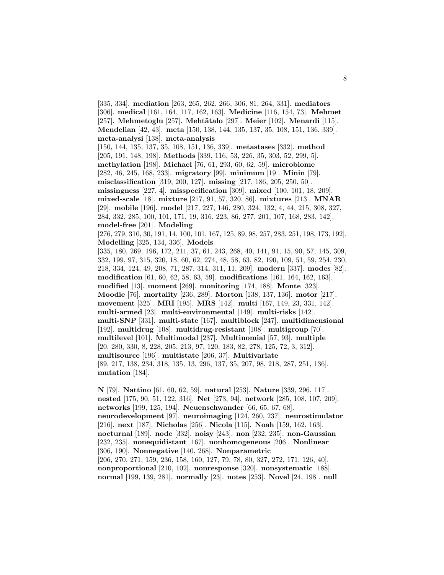[335, 334]. **mediation** [263, 265, 262, 266, 306, 81, 264, 331]. **mediators** [306]. **medical** [161, 164, 117, 162, 163]. **Medicine** [116, 154, 73]. **Mehmet** [257]. **Mehmetoglu** [257]. **Meht¨atalo** [297]. **Meier** [102]. **Menardi** [115]. **Mendelian** [42, 43]. **meta** [150, 138, 144, 135, 137, 35, 108, 151, 136, 339]. **meta-analysi** [138]. **meta-analysis** [150, 144, 135, 137, 35, 108, 151, 136, 339]. **metastases** [332]. **method** [205, 191, 148, 198]. **Methods** [339, 116, 53, 226, 35, 303, 52, 299, 5]. **methylation** [198]. **Michael** [76, 61, 293, 60, 62, 59]. **microbiome** [282, 46, 245, 168, 233]. **migratory** [99]. **minimum** [19]. **Minin** [79]. **misclassification** [319, 200, 127]. **missing** [217, 186, 205, 250, 50]. **missingness** [227, 4]. **misspecification** [309]. **mixed** [100, 101, 18, 209]. **mixed-scale** [18]. **mixture** [217, 91, 57, 320, 86]. **mixtures** [213]. **MNAR** [29]. **mobile** [196]. **model** [217, 227, 146, 280, 324, 132, 4, 44, 215, 308, 327, 284, 332, 285, 100, 101, 171, 19, 316, 223, 86, 277, 201, 107, 168, 283, 142]. **model-free** [201]. **Modeling** [276, 279, 310, 30, 191, 14, 100, 101, 167, 125, 89, 98, 257, 283, 251, 198, 173, 192]. **Modelling** [325, 134, 336]. **Models** [335, 180, 269, 196, 172, 211, 37, 61, 243, 268, 40, 141, 91, 15, 90, 57, 145, 309, 332, 199, 97, 315, 320, 18, 60, 62, 274, 48, 58, 63, 82, 190, 109, 51, 59, 254, 230, 218, 334, 124, 49, 208, 71, 287, 314, 311, 11, 209]. **modern** [337]. **modes** [82]. **modification** [61, 60, 62, 58, 63, 59]. **modifications** [161, 164, 162, 163]. **modified** [13]. **moment** [269]. **monitoring** [174, 188]. **Monte** [323]. **Moodie** [76]. **mortality** [236, 289]. **Morton** [138, 137, 136]. **motor** [217]. **movement** [325]. **MRI** [195]. **MRS** [142]. **multi** [167, 149, 23, 331, 142]. **multi-armed** [23]. **multi-environmental** [149]. **multi-risks** [142]. **multi-SNP** [331]. **multi-state** [167]. **multiblock** [247]. **multidimensional** [192]. **multidrug** [108]. **multidrug-resistant** [108]. **multigroup** [70]. **multilevel** [101]. **Multimodal** [237]. **Multinomial** [57, 93]. **multiple** [20, 280, 330, 8, 228, 205, 213, 97, 120, 183, 82, 278, 125, 72, 3, 312]. **multisource** [196]. **multistate** [206, 37]. **Multivariate** [89, 217, 138, 234, 318, 135, 13, 296, 137, 35, 207, 98, 218, 287, 251, 136]. **mutation** [184].

**N** [79]. **Nattino** [61, 60, 62, 59]. **natural** [253]. **Nature** [339, 296, 117]. **nested** [175, 90, 51, 122, 316]. **Net** [273, 94]. **network** [285, 108, 107, 209]. **networks** [199, 125, 194]. **Neuenschwander** [66, 65, 67, 68]. **neurodevelopment** [97]. **neuroimaging** [124, 260, 237]. **neurostimulator** [216]. **next** [187]. **Nicholas** [256]. **Nicola** [115]. **Noah** [159, 162, 163]. **nocturnal** [189]. **node** [332]. **noisy** [243]. **non** [232, 235]. **non-Gaussian** [232, 235]. **nonequidistant** [167]. **nonhomogeneous** [206]. **Nonlinear** [306, 190]. **Nonnegative** [140, 268]. **Nonparametric** [206, 270, 271, 159, 236, 158, 160, 127, 79, 78, 80, 327, 272, 171, 126, 40]. **nonproportional** [210, 102]. **nonresponse** [320]. **nonsystematic** [188]. **normal** [199, 139, 281]. **normally** [23]. **notes** [253]. **Novel** [24, 198]. **null**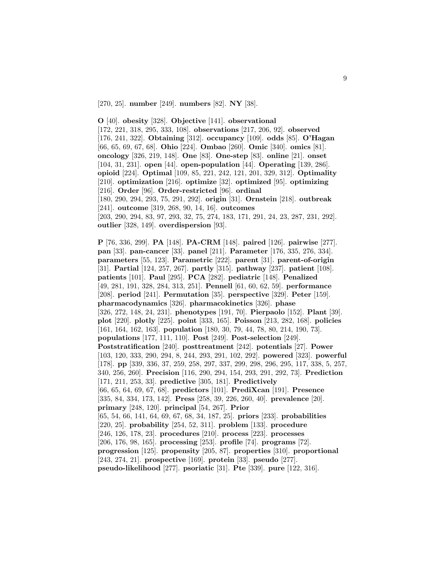[270, 25]. **number** [249]. **numbers** [82]. **NY** [38].

**O** [40]. **obesity** [328]. **Objective** [141]. **observational** [172, 221, 318, 295, 333, 108]. **observations** [217, 206, 92]. **observed** [176, 241, 322]. **Obtaining** [312]. **occupancy** [109]. **odds** [85]. **O'Hagan** [66, 65, 69, 67, 68]. **Ohio** [224]. **Ombao** [260]. **Omic** [340]. **omics** [81]. **oncology** [326, 219, 148]. **One** [83]. **One-step** [83]. **online** [21]. **onset** [104, 31, 231]. **open** [44]. **open-population** [44]. **Operating** [139, 286]. **opioid** [224]. **Optimal** [109, 85, 221, 242, 121, 201, 329, 312]. **Optimality** [210]. **optimization** [216]. **optimize** [32]. **optimized** [95]. **optimizing** [216]. **Order** [96]. **Order-restricted** [96]. **ordinal** [180, 290, 294, 293, 75, 291, 292]. **origin** [31]. **Ornstein** [218]. **outbreak** [241]. **outcome** [319, 268, 90, 14, 16]. **outcomes** [203, 290, 294, 83, 97, 293, 32, 75, 274, 183, 171, 291, 24, 23, 287, 231, 292]. **outlier** [328, 149]. **overdispersion** [93].

**P** [76, 336, 299]. **PA** [148]. **PA-CRM** [148]. **paired** [126]. **pairwise** [277]. **pan** [33]. **pan-cancer** [33]. **panel** [211]. **Parameter** [176, 335, 276, 334]. **parameters** [55, 123]. **Parametric** [222]. **parent** [31]. **parent-of-origin** [31]. **Partial** [124, 257, 267]. **partly** [315]. **pathway** [237]. **patient** [108]. **patients** [101]. **Paul** [295]. **PCA** [282]. **pediatric** [148]. **Penalized** [49, 281, 191, 328, 284, 313, 251]. **Pennell** [61, 60, 62, 59]. **performance** [208]. **period** [241]. **Permutation** [35]. **perspective** [329]. **Peter** [159]. **pharmacodynamics** [326]. **pharmacokinetics** [326]. **phase** [326, 272, 148, 24, 231]. **phenotypes** [191, 70]. **Pierpaolo** [152]. **Plant** [39]. **plot** [220]. **plotly** [225]. **point** [333, 165]. **Poisson** [213, 282, 168]. **policies** [161, 164, 162, 163]. **population** [180, 30, 79, 44, 78, 80, 214, 190, 73]. **populations** [177, 111, 110]. **Post** [249]. **Post-selection** [249]. **Poststratification** [240]. **posttreatment** [242]. **potentials** [27]. **Power** [103, 120, 333, 290, 294, 8, 244, 293, 291, 102, 292]. **powered** [323]. **powerful** [178]. **pp** [339, 336, 37, 259, 258, 297, 337, 299, 298, 296, 295, 117, 338, 5, 257, 340, 256, 260]. **Precision** [116, 290, 294, 154, 293, 291, 292, 73]. **Prediction** [171, 211, 253, 33]. **predictive** [305, 181]. **Predictively** [66, 65, 64, 69, 67, 68]. **predictors** [101]. **PrediXcan** [191]. **Presence** [335, 84, 334, 173, 142]. **Press** [258, 39, 226, 260, 40]. **prevalence** [20]. **primary** [248, 120]. **principal** [54, 267]. **Prior** [65, 54, 66, 141, 64, 69, 67, 68, 34, 187, 25]. **priors** [233]. **probabilities** [220, 25]. **probability** [254, 52, 311]. **problem** [133]. **procedure** [246, 126, 178, 23]. **procedures** [210]. **process** [223]. **processes** [206, 176, 98, 165]. **processing** [253]. **profile** [74]. **programs** [72]. **progression** [125]. **propensity** [205, 87]. **properties** [310]. **proportional** [243, 274, 21]. **prospective** [169]. **protein** [33]. **pseudo** [277]. **pseudo-likelihood** [277]. **psoriatic** [31]. **Pte** [339]. **pure** [122, 316].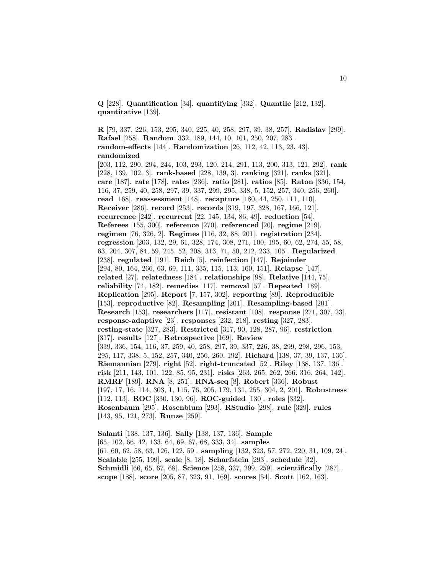**Q** [228]. **Quantification** [34]. **quantifying** [332]. **Quantile** [212, 132]. **quantitative** [139].

**R** [79, 337, 226, 153, 295, 340, 225, 40, 258, 297, 39, 38, 257]. **Radislav** [299]. **Rafael** [258]. **Random** [332, 189, 144, 10, 101, 250, 207, 283]. **random-effects** [144]. **Randomization** [26, 112, 42, 113, 23, 43]. **randomized** [203, 112, 290, 294, 244, 103, 293, 120, 214, 291, 113, 200, 313, 121, 292]. **rank** [228, 139, 102, 3]. **rank-based** [228, 139, 3]. **ranking** [321]. **ranks** [321]. **rare** [187]. **rate** [178]. **rates** [236]. **ratio** [281]. **ratios** [85]. **Raton** [336, 154, 116, 37, 259, 40, 258, 297, 39, 337, 299, 295, 338, 5, 152, 257, 340, 256, 260]. **read** [168]. **reassessment** [148]. **recapture** [180, 44, 250, 111, 110]. **Receiver** [286]. **record** [253]. **records** [319, 197, 328, 167, 166, 121]. **recurrence** [242]. **recurrent** [22, 145, 134, 86, 49]. **reduction** [54]. **Referees** [155, 300]. **reference** [270]. **referenced** [20]. **regime** [219]. **regimen** [76, 326, 2]. **Regimes** [116, 32, 88, 201]. **registration** [234]. **regression** [203, 132, 29, 61, 328, 174, 308, 271, 100, 195, 60, 62, 274, 55, 58, 63, 204, 307, 84, 59, 245, 52, 208, 313, 71, 50, 212, 233, 105]. **Regularized** [238]. **regulated** [191]. **Reich** [5]. **reinfection** [147]. **Rejoinder** [294, 80, 164, 266, 63, 69, 111, 335, 115, 113, 160, 151]. **Relapse** [147]. **related** [27]. **relatedness** [184]. **relationships** [98]. **Relative** [144, 75]. **reliability** [74, 182]. **remedies** [117]. **removal** [57]. **Repeated** [189]. **Replication** [295]. **Report** [7, 157, 302]. **reporting** [89]. **Reproducible** [153]. **reproductive** [82]. **Resampling** [201]. **Resampling-based** [201]. **Research** [153]. **researchers** [117]. **resistant** [108]. **response** [271, 307, 23]. **response-adaptive** [23]. **responses** [232, 218]. **resting** [327, 283]. **resting-state** [327, 283]. **Restricted** [317, 90, 128, 287, 96]. **restriction** [317]. **results** [127]. **Retrospective** [169]. **Review** [339, 336, 154, 116, 37, 259, 40, 258, 297, 39, 337, 226, 38, 299, 298, 296, 153, 295, 117, 338, 5, 152, 257, 340, 256, 260, 192]. **Richard** [138, 37, 39, 137, 136]. **Riemannian** [279]. **right** [52]. **right-truncated** [52]. **Riley** [138, 137, 136]. **risk** [211, 143, 101, 122, 85, 95, 231]. **risks** [263, 265, 262, 266, 316, 264, 142]. **RMRF** [189]. **RNA** [8, 251]. **RNA-seq** [8]. **Robert** [336]. **Robust** [197, 17, 16, 114, 303, 1, 115, 76, 205, 179, 131, 255, 304, 2, 201]. **Robustness** [112, 113]. **ROC** [330, 130, 96]. **ROC-guided** [130]. **roles** [332]. **Rosenbaum** [295]. **Rosenblum** [293]. **RStudio** [298]. **rule** [329]. **rules** [143, 95, 121, 273]. **Runze** [259].

**Salanti** [138, 137, 136]. **Sally** [138, 137, 136]. **Sample** [65, 102, 66, 42, 133, 64, 69, 67, 68, 333, 34]. **samples** [61, 60, 62, 58, 63, 126, 122, 59]. **sampling** [132, 323, 57, 272, 220, 31, 109, 24]. **Scalable** [255, 199]. **scale** [8, 18]. **Scharfstein** [293]. **schedule** [32]. **Schmidli** [66, 65, 67, 68]. **Science** [258, 337, 299, 259]. **scientifically** [287]. **scope** [188]. **score** [205, 87, 323, 91, 169]. **scores** [54]. **Scott** [162, 163].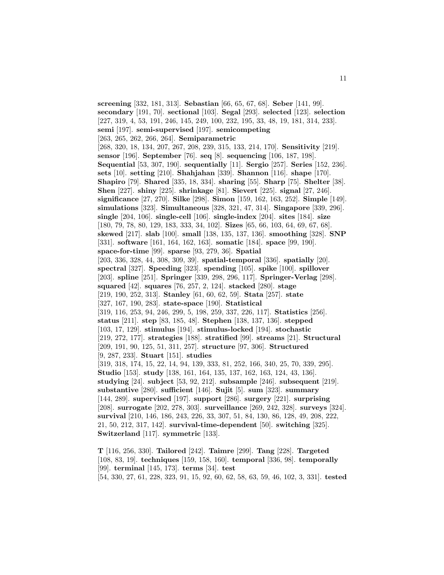**screening** [332, 181, 313]. **Sebastian** [66, 65, 67, 68]. **Seber** [141, 99]. **secondary** [191, 70]. **sectional** [103]. **Segal** [293]. **selected** [123]. **selection** [227, 319, 4, 53, 191, 246, 145, 249, 100, 232, 195, 33, 48, 19, 181, 314, 233]. **semi** [197]. **semi-supervised** [197]. **semicompeting** [263, 265, 262, 266, 264]. **Semiparametric** [268, 320, 18, 134, 207, 267, 208, 239, 315, 133, 214, 170]. **Sensitivity** [219]. **sensor** [196]. **September** [76]. **seq** [8]. **sequencing** [106, 187, 198]. **Sequential** [53, 307, 190]. **sequentially** [11]. **Sergio** [257]. **Series** [152, 236]. **sets** [10]. **setting** [210]. **Shahjahan** [339]. **Shannon** [116]. **shape** [170]. **Shapiro** [79]. **Shared** [335, 18, 334]. **sharing** [55]. **Sharp** [75]. **Shelter** [38]. **Shen** [227]. **shiny** [225]. **shrinkage** [81]. **Sievert** [225]. **signal** [27, 246]. **significance** [27, 270]. **Silke** [298]. **Simon** [159, 162, 163, 252]. **Simple** [149]. **simulations** [323]. **Simultaneous** [328, 321, 47, 314]. **Singapore** [339, 296]. **single** [204, 106]. **single-cell** [106]. **single-index** [204]. **sites** [184]. **size** [180, 79, 78, 80, 129, 183, 333, 34, 102]. **Sizes** [65, 66, 103, 64, 69, 67, 68]. **skewed** [217]. **slab** [100]. **small** [138, 135, 137, 136]. **smoothing** [328]. **SNP** [331]. **software** [161, 164, 162, 163]. **somatic** [184]. **space** [99, 190]. **space-for-time** [99]. **sparse** [93, 279, 36]. **Spatial** [203, 336, 328, 44, 308, 309, 39]. **spatial-temporal** [336]. **spatially** [20]. **spectral** [327]. **Speeding** [323]. **spending** [105]. **spike** [100]. **spillover** [203]. **spline** [251]. **Springer** [339, 298, 296, 117]. **Springer-Verlag** [298]. **squared** [42]. **squares** [76, 257, 2, 124]. **stacked** [280]. **stage** [219, 190, 252, 313]. **Stanley** [61, 60, 62, 59]. **Stata** [257]. **state** [327, 167, 190, 283]. **state-space** [190]. **Statistical** [319, 116, 253, 94, 246, 299, 5, 198, 259, 337, 226, 117]. **Statistics** [256]. **status** [211]. **step** [83, 185, 48]. **Stephen** [138, 137, 136]. **stepped** [103, 17, 129]. **stimulus** [194]. **stimulus-locked** [194]. **stochastic** [219, 272, 177]. **strategies** [188]. **stratified** [99]. **streams** [21]. **Structural** [209, 191, 90, 125, 51, 311, 257]. **structure** [97, 306]. **Structured** [9, 287, 233]. **Stuart** [151]. **studies** [319, 318, 174, 15, 22, 14, 94, 139, 333, 81, 252, 166, 340, 25, 70, 339, 295]. **Studio** [153]. **study** [138, 161, 164, 135, 137, 162, 163, 124, 43, 136]. **studying** [24]. **subject** [53, 92, 212]. **subsample** [246]. **subsequent** [219]. **substantive** [280]. **sufficient** [146]. **Sujit** [5]. **sum** [323]. **summary** [144, 289]. **supervised** [197]. **support** [286]. **surgery** [221]. **surprising** [208]. **surrogate** [202, 278, 303]. **surveillance** [269, 242, 328]. **surveys** [324]. **survival** [210, 146, 186, 243, 226, 33, 307, 51, 84, 130, 86, 128, 49, 208, 222, 21, 50, 212, 317, 142]. **survival-time-dependent** [50]. **switching** [325]. **Switzerland** [117]. **symmetric** [133]. **T** [116, 256, 330]. **Tailored** [242]. **Taimre** [299]. **Tang** [228]. **Targeted**

[108, 83, 19]. **techniques** [159, 158, 160]. **temporal** [336, 98]. **temporally** [99]. **terminal** [145, 173]. **terms** [34]. **test** [54, 330, 27, 61, 228, 323, 91, 15, 92, 60, 62, 58, 63, 59, 46, 102, 3, 331]. **tested**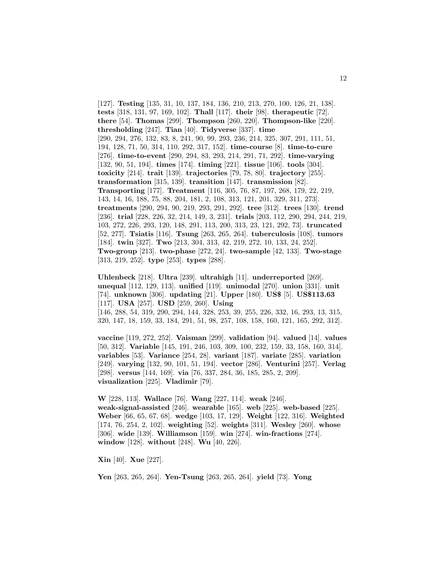[127]. **Testing** [135, 31, 10, 137, 184, 136, 210, 213, 270, 100, 126, 21, 138]. **tests** [318, 131, 97, 169, 102]. **Thall** [117]. **their** [98]. **therapeutic** [72]. **there** [54]. **Thomas** [299]. **Thompson** [260, 220]. **Thompson-like** [220]. **thresholding** [247]. **Tian** [40]. **Tidyverse** [337]. **time** [290, 294, 276, 132, 83, 8, 241, 90, 99, 293, 236, 214, 325, 307, 291, 111, 51, 194, 128, 71, 50, 314, 110, 292, 317, 152]. **time-course** [8]. **time-to-cure** [276]. **time-to-event** [290, 294, 83, 293, 214, 291, 71, 292]. **time-varying** [132, 90, 51, 194]. **times** [174]. **timing** [221]. **tissue** [106]. **tools** [304]. **toxicity** [214]. **trait** [139]. **trajectories** [79, 78, 80]. **trajectory** [255]. **transformation** [315, 139]. **transition** [147]. **transmission** [82]. **Transporting** [177]. **Treatment** [116, 305, 76, 87, 197, 268, 179, 22, 219, 143, 14, 16, 188, 75, 88, 204, 181, 2, 108, 313, 121, 201, 329, 311, 273]. **treatments** [290, 294, 90, 219, 293, 291, 292]. **tree** [312]. **trees** [130]. **trend** [236]. **trial** [228, 226, 32, 214, 149, 3, 231]. **trials** [203, 112, 290, 294, 244, 219, 103, 272, 226, 293, 120, 148, 291, 113, 200, 313, 23, 121, 292, 73]. **truncated** [52, 277]. **Tsiatis** [116]. **Tsung** [263, 265, 264]. **tuberculosis** [108]. **tumors** [184]. **twin** [327]. **Two** [213, 304, 313, 42, 219, 272, 10, 133, 24, 252]. **Two-group** [213]. **two-phase** [272, 24]. **two-sample** [42, 133]. **Two-stage** [313, 219, 252]. **type** [253]. **types** [288].

**Uhlenbeck** [218]. **Ultra** [239]. **ultrahigh** [11]. **underreported** [269]. **unequal** [112, 129, 113]. **unified** [119]. **unimodal** [270]. **union** [331]. **unit** [74]. **unknown** [306]. **updating** [21]. **Upper** [180]. **US\$** [5]. **US\$113.63** [117]. **USA** [257]. **USD** [259, 260]. **Using** [146, 288, 54, 319, 290, 294, 144, 328, 253, 39, 255, 226, 332, 16, 293, 13, 315, 320, 147, 18, 159, 33, 184, 291, 51, 98, 257, 108, 158, 160, 121, 165, 292, 312].

**vaccine** [119, 272, 252]. **Vaisman** [299]. **validation** [94]. **valued** [14]. **values** [50, 312]. **Variable** [145, 191, 246, 103, 309, 100, 232, 159, 33, 158, 160, 314]. **variables** [53]. **Variance** [254, 28]. **variant** [187]. **variate** [285]. **variation** [249]. **varying** [132, 90, 101, 51, 194]. **vector** [286]. **Venturini** [257]. **Verlag** [298]. **versus** [144, 169]. **via** [76, 337, 284, 36, 185, 285, 2, 209]. **visualization** [225]. **Vladimir** [79].

**W** [228, 113]. **Wallace** [76]. **Wang** [227, 114]. **weak** [246]. **weak-signal-assisted** [246]. **wearable** [165]. **web** [225]. **web-based** [225]. **Weber** [66, 65, 67, 68]. **wedge** [103, 17, 129]. **Weight** [122, 316]. **Weighted** [174, 76, 254, 2, 102]. **weighting** [52]. **weights** [311]. **Wesley** [260]. **whose** [306]. **wide** [139]. **Williamson** [159]. **win** [274]. **win-fractions** [274]. **window** [128]. **without** [248]. **Wu** [40, 226].

**Xin** [40]. **Xue** [227].

**Yen** [263, 265, 264]. **Yen-Tsung** [263, 265, 264]. **yield** [73]. **Yong**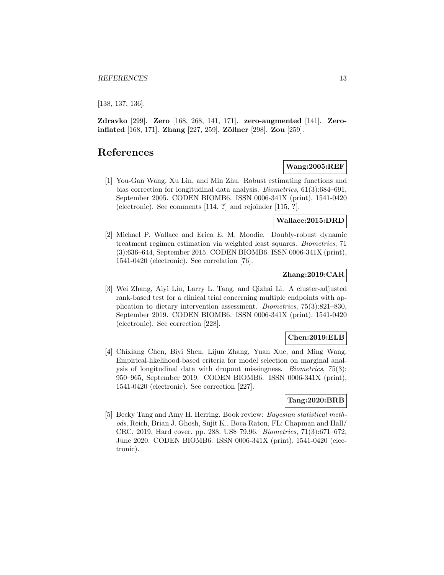[138, 137, 136].

**Zdravko** [299]. **Zero** [168, 268, 141, 171]. **zero-augmented** [141]. **Zeroinflated** [168, 171]. **Zhang** [227, 259]. **Zöllner** [298]. **Zou** [259].

# **References**

### **Wang:2005:REF**

[1] You-Gan Wang, Xu Lin, and Min Zhu. Robust estimating functions and bias correction for longitudinal data analysis. Biometrics, 61(3):684–691, September 2005. CODEN BIOMB6. ISSN 0006-341X (print), 1541-0420 (electronic). See comments [114, **?**] and rejoinder [115, **?**].

### **Wallace:2015:DRD**

[2] Michael P. Wallace and Erica E. M. Moodie. Doubly-robust dynamic treatment regimen estimation via weighted least squares. Biometrics, 71 (3):636–644, September 2015. CODEN BIOMB6. ISSN 0006-341X (print), 1541-0420 (electronic). See correlation [76].

### **Zhang:2019:CAR**

[3] Wei Zhang, Aiyi Liu, Larry L. Tang, and Qizhai Li. A cluster-adjusted rank-based test for a clinical trial concerning multiple endpoints with application to dietary intervention assessment. Biometrics, 75(3):821–830, September 2019. CODEN BIOMB6. ISSN 0006-341X (print), 1541-0420 (electronic). See correction [228].

### **Chen:2019:ELB**

[4] Chixiang Chen, Biyi Shen, Lijun Zhang, Yuan Xue, and Ming Wang. Empirical-likelihood-based criteria for model selection on marginal analysis of longitudinal data with dropout missingness. Biometrics, 75(3): 950–965, September 2019. CODEN BIOMB6. ISSN 0006-341X (print), 1541-0420 (electronic). See correction [227].

### **Tang:2020:BRB**

[5] Becky Tang and Amy H. Herring. Book review: Bayesian statistical methods, Reich, Brian J. Ghosh, Sujit K., Boca Raton, FL: Chapman and Hall/ CRC, 2019, Hard cover. pp. 288. US\$ 79.96. Biometrics, 71(3):671–672, June 2020. CODEN BIOMB6. ISSN 0006-341X (print), 1541-0420 (electronic).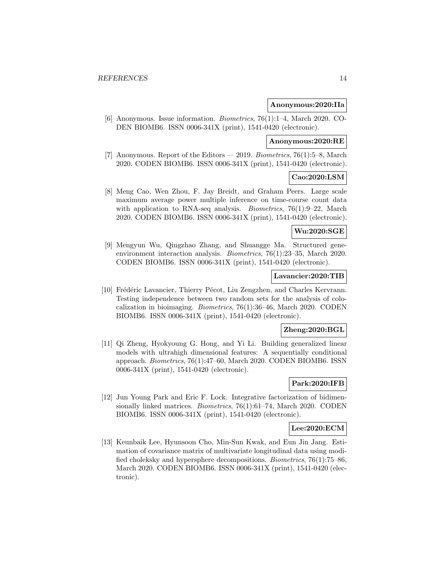#### **Anonymous:2020:IIa**

[6] Anonymous. Issue information. Biometrics, 76(1):1–4, March 2020. CO-DEN BIOMB6. ISSN 0006-341X (print), 1541-0420 (electronic).

# **Anonymous:2020:RE**

[7] Anonymous. Report of the Editors — 2019. Biometrics, 76(1):5–8, March 2020. CODEN BIOMB6. ISSN 0006-341X (print), 1541-0420 (electronic).

#### **Cao:2020:LSM**

[8] Meng Cao, Wen Zhou, F. Jay Breidt, and Graham Peers. Large scale maximum average power multiple inference on time-course count data with application to RNA-seq analysis. *Biometrics*, 76(1):9–22, March 2020. CODEN BIOMB6. ISSN 0006-341X (print), 1541-0420 (electronic).

### **Wu:2020:SGE**

[9] Mengyun Wu, Qingzhao Zhang, and Shuangge Ma. Structured geneenvironment interaction analysis. Biometrics, 76(1):23–35, March 2020. CODEN BIOMB6. ISSN 0006-341X (print), 1541-0420 (electronic).

#### **Lavancier:2020:TIB**

[10] Frédéric Lavancier, Thierry Pécot, Liu Zengzhen, and Charles Kervrann. Testing independence between two random sets for the analysis of colocalization in bioimaging. Biometrics, 76(1):36–46, March 2020. CODEN BIOMB6. ISSN 0006-341X (print), 1541-0420 (electronic).

### **Zheng:2020:BGL**

[11] Qi Zheng, Hyokyoung G. Hong, and Yi Li. Building generalized linear models with ultrahigh dimensional features: A sequentially conditional approach. Biometrics, 76(1):47–60, March 2020. CODEN BIOMB6. ISSN 0006-341X (print), 1541-0420 (electronic).

### **Park:2020:IFB**

[12] Jun Young Park and Eric F. Lock. Integrative factorization of bidimensionally linked matrices. *Biometrics*, 76(1):61–74, March 2020. CODEN BIOMB6. ISSN 0006-341X (print), 1541-0420 (electronic).

#### **Lee:2020:ECM**

[13] Keunbaik Lee, Hyunsoon Cho, Min-Sun Kwak, and Eun Jin Jang. Estimation of covariance matrix of multivariate longitudinal data using modified choleksky and hypersphere decompositions. Biometrics, 76(1):75–86, March 2020. CODEN BIOMB6. ISSN 0006-341X (print), 1541-0420 (electronic).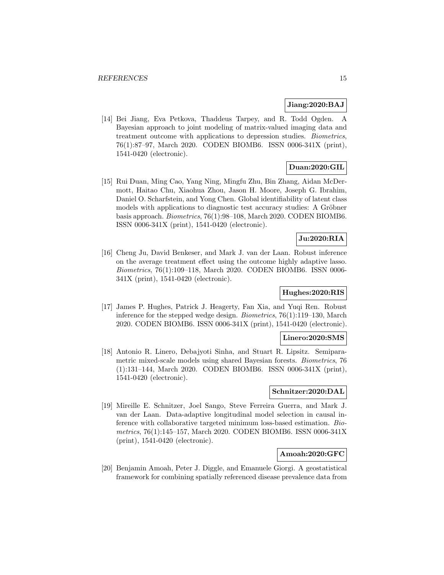#### **Jiang:2020:BAJ**

[14] Bei Jiang, Eva Petkova, Thaddeus Tarpey, and R. Todd Ogden. A Bayesian approach to joint modeling of matrix-valued imaging data and treatment outcome with applications to depression studies. Biometrics, 76(1):87–97, March 2020. CODEN BIOMB6. ISSN 0006-341X (print), 1541-0420 (electronic).

### **Duan:2020:GIL**

[15] Rui Duan, Ming Cao, Yang Ning, Mingfu Zhu, Bin Zhang, Aidan McDermott, Haitao Chu, Xiaohua Zhou, Jason H. Moore, Joseph G. Ibrahim, Daniel O. Scharfstein, and Yong Chen. Global identifiability of latent class models with applications to diagnostic test accuracy studies: A Gröbner basis approach. Biometrics, 76(1):98–108, March 2020. CODEN BIOMB6. ISSN 0006-341X (print), 1541-0420 (electronic).

# **Ju:2020:RIA**

[16] Cheng Ju, David Benkeser, and Mark J. van der Laan. Robust inference on the average treatment effect using the outcome highly adaptive lasso. Biometrics, 76(1):109–118, March 2020. CODEN BIOMB6. ISSN 0006- 341X (print), 1541-0420 (electronic).

### **Hughes:2020:RIS**

[17] James P. Hughes, Patrick J. Heagerty, Fan Xia, and Yuqi Ren. Robust inference for the stepped wedge design. Biometrics, 76(1):119–130, March 2020. CODEN BIOMB6. ISSN 0006-341X (print), 1541-0420 (electronic).

#### **Linero:2020:SMS**

[18] Antonio R. Linero, Debajyoti Sinha, and Stuart R. Lipsitz. Semiparametric mixed-scale models using shared Bayesian forests. Biometrics, 76 (1):131–144, March 2020. CODEN BIOMB6. ISSN 0006-341X (print), 1541-0420 (electronic).

#### **Schnitzer:2020:DAL**

[19] Mireille E. Schnitzer, Joel Sango, Steve Ferreira Guerra, and Mark J. van der Laan. Data-adaptive longitudinal model selection in causal inference with collaborative targeted minimum loss-based estimation. Biometrics, 76(1):145–157, March 2020. CODEN BIOMB6. ISSN 0006-341X (print), 1541-0420 (electronic).

### **Amoah:2020:GFC**

[20] Benjamin Amoah, Peter J. Diggle, and Emanuele Giorgi. A geostatistical framework for combining spatially referenced disease prevalence data from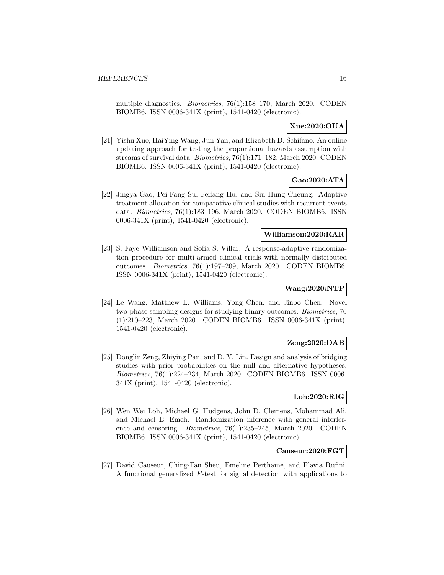multiple diagnostics. Biometrics, 76(1):158–170, March 2020. CODEN BIOMB6. ISSN 0006-341X (print), 1541-0420 (electronic).

### **Xue:2020:OUA**

[21] Yishu Xue, HaiYing Wang, Jun Yan, and Elizabeth D. Schifano. An online updating approach for testing the proportional hazards assumption with streams of survival data. Biometrics, 76(1):171–182, March 2020. CODEN BIOMB6. ISSN 0006-341X (print), 1541-0420 (electronic).

### **Gao:2020:ATA**

[22] Jingya Gao, Pei-Fang Su, Feifang Hu, and Siu Hung Cheung. Adaptive treatment allocation for comparative clinical studies with recurrent events data. Biometrics, 76(1):183–196, March 2020. CODEN BIOMB6. ISSN 0006-341X (print), 1541-0420 (electronic).

### **Williamson:2020:RAR**

[23] S. Faye Williamson and Sofía S. Villar. A response-adaptive randomization procedure for multi-armed clinical trials with normally distributed outcomes. Biometrics, 76(1):197–209, March 2020. CODEN BIOMB6. ISSN 0006-341X (print), 1541-0420 (electronic).

# **Wang:2020:NTP**

[24] Le Wang, Matthew L. Williams, Yong Chen, and Jinbo Chen. Novel two-phase sampling designs for studying binary outcomes. Biometrics, 76 (1):210–223, March 2020. CODEN BIOMB6. ISSN 0006-341X (print), 1541-0420 (electronic).

### **Zeng:2020:DAB**

[25] Donglin Zeng, Zhiying Pan, and D. Y. Lin. Design and analysis of bridging studies with prior probabilities on the null and alternative hypotheses. Biometrics, 76(1):224–234, March 2020. CODEN BIOMB6. ISSN 0006- 341X (print), 1541-0420 (electronic).

### **Loh:2020:RIG**

[26] Wen Wei Loh, Michael G. Hudgens, John D. Clemens, Mohammad Ali, and Michael E. Emch. Randomization inference with general interference and censoring. Biometrics, 76(1):235–245, March 2020. CODEN BIOMB6. ISSN 0006-341X (print), 1541-0420 (electronic).

### **Causeur:2020:FGT**

[27] David Causeur, Ching-Fan Sheu, Emeline Perthame, and Flavia Rufini. A functional generalized F-test for signal detection with applications to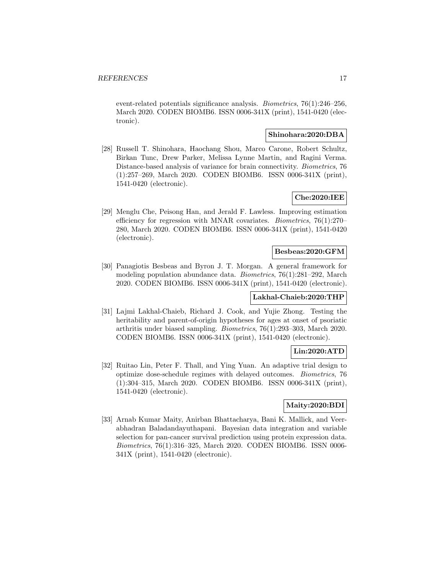event-related potentials significance analysis. Biometrics, 76(1):246–256, March 2020. CODEN BIOMB6. ISSN 0006-341X (print), 1541-0420 (electronic).

### **Shinohara:2020:DBA**

[28] Russell T. Shinohara, Haochang Shou, Marco Carone, Robert Schultz, Birkan Tunc, Drew Parker, Melissa Lynne Martin, and Ragini Verma. Distance-based analysis of variance for brain connectivity. Biometrics, 76 (1):257–269, March 2020. CODEN BIOMB6. ISSN 0006-341X (print), 1541-0420 (electronic).

### **Che:2020:IEE**

[29] Menglu Che, Peisong Han, and Jerald F. Lawless. Improving estimation efficiency for regression with MNAR covariates. Biometrics, 76(1):270– 280, March 2020. CODEN BIOMB6. ISSN 0006-341X (print), 1541-0420 (electronic).

### **Besbeas:2020:GFM**

[30] Panagiotis Besbeas and Byron J. T. Morgan. A general framework for modeling population abundance data. Biometrics, 76(1):281–292, March 2020. CODEN BIOMB6. ISSN 0006-341X (print), 1541-0420 (electronic).

#### **Lakhal-Chaieb:2020:THP**

[31] Lajmi Lakhal-Chaieb, Richard J. Cook, and Yujie Zhong. Testing the heritability and parent-of-origin hypotheses for ages at onset of psoriatic arthritis under biased sampling. Biometrics, 76(1):293–303, March 2020. CODEN BIOMB6. ISSN 0006-341X (print), 1541-0420 (electronic).

### **Lin:2020:ATD**

[32] Ruitao Lin, Peter F. Thall, and Ying Yuan. An adaptive trial design to optimize dose-schedule regimes with delayed outcomes. Biometrics, 76 (1):304–315, March 2020. CODEN BIOMB6. ISSN 0006-341X (print), 1541-0420 (electronic).

### **Maity:2020:BDI**

[33] Arnab Kumar Maity, Anirban Bhattacharya, Bani K. Mallick, and Veerabhadran Baladandayuthapani. Bayesian data integration and variable selection for pan-cancer survival prediction using protein expression data. Biometrics, 76(1):316–325, March 2020. CODEN BIOMB6. ISSN 0006- 341X (print), 1541-0420 (electronic).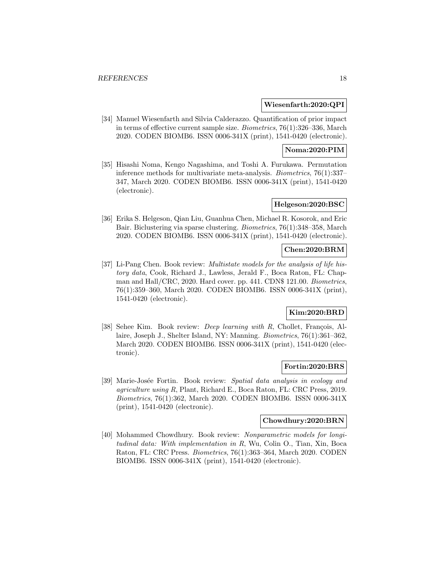#### **Wiesenfarth:2020:QPI**

[34] Manuel Wiesenfarth and Silvia Calderazzo. Quantification of prior impact in terms of effective current sample size. Biometrics, 76(1):326–336, March 2020. CODEN BIOMB6. ISSN 0006-341X (print), 1541-0420 (electronic).

### **Noma:2020:PIM**

[35] Hisashi Noma, Kengo Nagashima, and Toshi A. Furukawa. Permutation inference methods for multivariate meta-analysis. Biometrics, 76(1):337– 347, March 2020. CODEN BIOMB6. ISSN 0006-341X (print), 1541-0420 (electronic).

### **Helgeson:2020:BSC**

[36] Erika S. Helgeson, Qian Liu, Guanhua Chen, Michael R. Kosorok, and Eric Bair. Biclustering via sparse clustering. Biometrics, 76(1):348–358, March 2020. CODEN BIOMB6. ISSN 0006-341X (print), 1541-0420 (electronic).

### **Chen:2020:BRM**

[37] Li-Pang Chen. Book review: *Multistate models for the analysis of life his*tory data, Cook, Richard J., Lawless, Jerald F., Boca Raton, FL: Chapman and Hall/CRC, 2020. Hard cover. pp. 441. CDN\$ 121.00. Biometrics, 76(1):359–360, March 2020. CODEN BIOMB6. ISSN 0006-341X (print), 1541-0420 (electronic).

### **Kim:2020:BRD**

[38] Sehee Kim. Book review: *Deep learning with R*, Chollet, François, Allaire, Joseph J., Shelter Island, NY: Manning. Biometrics, 76(1):361–362, March 2020. CODEN BIOMB6. ISSN 0006-341X (print), 1541-0420 (electronic).

### **Fortin:2020:BRS**

[39] Marie-Josée Fortin. Book review: Spatial data analysis in ecology and agriculture using R, Plant, Richard E., Boca Raton, FL: CRC Press, 2019. Biometrics, 76(1):362, March 2020. CODEN BIOMB6. ISSN 0006-341X (print), 1541-0420 (electronic).

### **Chowdhury:2020:BRN**

[40] Mohammed Chowdhury. Book review: Nonparametric models for longitudinal data: With implementation in R, Wu, Colin O., Tian, Xin, Boca Raton, FL: CRC Press. Biometrics, 76(1):363–364, March 2020. CODEN BIOMB6. ISSN 0006-341X (print), 1541-0420 (electronic).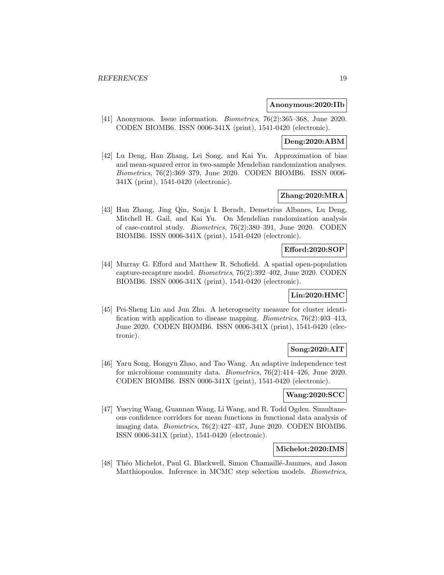#### **Anonymous:2020:IIb**

[41] Anonymous. Issue information. Biometrics, 76(2):365–368, June 2020. CODEN BIOMB6. ISSN 0006-341X (print), 1541-0420 (electronic).

### **Deng:2020:ABM**

[42] Lu Deng, Han Zhang, Lei Song, and Kai Yu. Approximation of bias and mean-squared error in two-sample Mendelian randomization analyses. Biometrics, 76(2):369–379, June 2020. CODEN BIOMB6. ISSN 0006- 341X (print), 1541-0420 (electronic).

### **Zhang:2020:MRA**

[43] Han Zhang, Jing Qin, Sonja I. Berndt, Demetrius Albanes, Lu Deng, Mitchell H. Gail, and Kai Yu. On Mendelian randomization analysis of case-control study. Biometrics, 76(2):380–391, June 2020. CODEN BIOMB6. ISSN 0006-341X (print), 1541-0420 (electronic).

### **Efford:2020:SOP**

[44] Murray G. Efford and Matthew R. Schofield. A spatial open-population capture-recapture model. Biometrics, 76(2):392–402, June 2020. CODEN BIOMB6. ISSN 0006-341X (print), 1541-0420 (electronic).

### **Lin:2020:HMC**

[45] Pei-Sheng Lin and Jun Zhu. A heterogeneity measure for cluster identification with application to disease mapping. Biometrics, 76(2):403–413, June 2020. CODEN BIOMB6. ISSN 0006-341X (print), 1541-0420 (electronic).

### **Song:2020:AIT**

[46] Yaru Song, Hongyu Zhao, and Tao Wang. An adaptive independence test for microbiome community data. Biometrics, 76(2):414–426, June 2020. CODEN BIOMB6. ISSN 0006-341X (print), 1541-0420 (electronic).

# **Wang:2020:SCC**

[47] Yueying Wang, Guannan Wang, Li Wang, and R. Todd Ogden. Simultaneous confidence corridors for mean functions in functional data analysis of imaging data. Biometrics, 76(2):427–437, June 2020. CODEN BIOMB6. ISSN 0006-341X (print), 1541-0420 (electronic).

#### **Michelot:2020:IMS**

[48] Théo Michelot, Paul G. Blackwell, Simon Chamaillé-Jammes, and Jason Matthiopoulos. Inference in MCMC step selection models. Biometrics,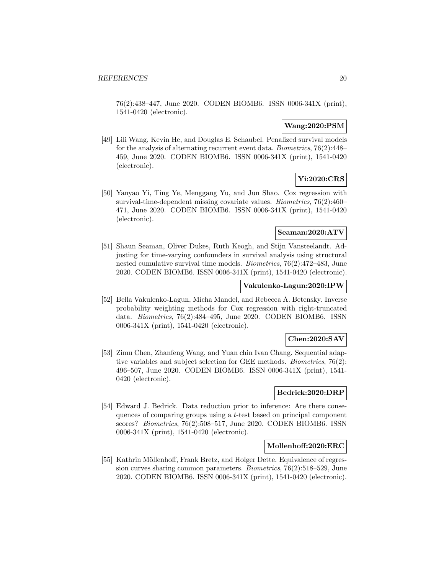76(2):438–447, June 2020. CODEN BIOMB6. ISSN 0006-341X (print), 1541-0420 (electronic).

### **Wang:2020:PSM**

[49] Lili Wang, Kevin He, and Douglas E. Schaubel. Penalized survival models for the analysis of alternating recurrent event data. Biometrics, 76(2):448– 459, June 2020. CODEN BIOMB6. ISSN 0006-341X (print), 1541-0420 (electronic).

### **Yi:2020:CRS**

[50] Yanyao Yi, Ting Ye, Menggang Yu, and Jun Shao. Cox regression with survival-time-dependent missing covariate values. Biometrics, 76(2):460– 471, June 2020. CODEN BIOMB6. ISSN 0006-341X (print), 1541-0420 (electronic).

### **Seaman:2020:ATV**

[51] Shaun Seaman, Oliver Dukes, Ruth Keogh, and Stijn Vansteelandt. Adjusting for time-varying confounders in survival analysis using structural nested cumulative survival time models. Biometrics, 76(2):472–483, June 2020. CODEN BIOMB6. ISSN 0006-341X (print), 1541-0420 (electronic).

### **Vakulenko-Lagun:2020:IPW**

[52] Bella Vakulenko-Lagun, Micha Mandel, and Rebecca A. Betensky. Inverse probability weighting methods for Cox regression with right-truncated data. Biometrics, 76(2):484–495, June 2020. CODEN BIOMB6. ISSN 0006-341X (print), 1541-0420 (electronic).

### **Chen:2020:SAV**

[53] Zimu Chen, Zhanfeng Wang, and Yuan chin Ivan Chang. Sequential adaptive variables and subject selection for GEE methods. Biometrics, 76(2): 496–507, June 2020. CODEN BIOMB6. ISSN 0006-341X (print), 1541- 0420 (electronic).

#### **Bedrick:2020:DRP**

[54] Edward J. Bedrick. Data reduction prior to inference: Are there consequences of comparing groups using a t-test based on principal component scores? Biometrics, 76(2):508–517, June 2020. CODEN BIOMB6. ISSN 0006-341X (print), 1541-0420 (electronic).

#### **Mollenhoff:2020:ERC**

[55] Kathrin Möllenhoff, Frank Bretz, and Holger Dette. Equivalence of regression curves sharing common parameters. Biometrics, 76(2):518–529, June 2020. CODEN BIOMB6. ISSN 0006-341X (print), 1541-0420 (electronic).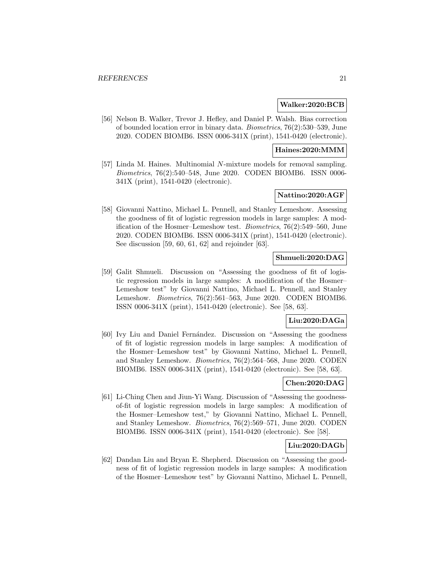#### **Walker:2020:BCB**

[56] Nelson B. Walker, Trevor J. Hefley, and Daniel P. Walsh. Bias correction of bounded location error in binary data. Biometrics, 76(2):530–539, June 2020. CODEN BIOMB6. ISSN 0006-341X (print), 1541-0420 (electronic).

#### **Haines:2020:MMM**

[57] Linda M. Haines. Multinomial N-mixture models for removal sampling. Biometrics, 76(2):540–548, June 2020. CODEN BIOMB6. ISSN 0006- 341X (print), 1541-0420 (electronic).

### **Nattino:2020:AGF**

[58] Giovanni Nattino, Michael L. Pennell, and Stanley Lemeshow. Assessing the goodness of fit of logistic regression models in large samples: A modification of the Hosmer–Lemeshow test. Biometrics, 76(2):549–560, June 2020. CODEN BIOMB6. ISSN 0006-341X (print), 1541-0420 (electronic). See discussion [59, 60, 61, 62] and rejoinder [63].

### **Shmueli:2020:DAG**

[59] Galit Shmueli. Discussion on "Assessing the goodness of fit of logistic regression models in large samples: A modification of the Hosmer– Lemeshow test" by Giovanni Nattino, Michael L. Pennell, and Stanley Lemeshow. Biometrics, 76(2):561–563, June 2020. CODEN BIOMB6. ISSN 0006-341X (print), 1541-0420 (electronic). See [58, 63].

### **Liu:2020:DAGa**

[60] Ivy Liu and Daniel Fernández. Discussion on "Assessing the goodness" of fit of logistic regression models in large samples: A modification of the Hosmer–Lemeshow test" by Giovanni Nattino, Michael L. Pennell, and Stanley Lemeshow. Biometrics, 76(2):564–568, June 2020. CODEN BIOMB6. ISSN 0006-341X (print), 1541-0420 (electronic). See [58, 63].

# **Chen:2020:DAG**

[61] Li-Ching Chen and Jiun-Yi Wang. Discussion of "Assessing the goodnessof-fit of logistic regression models in large samples: A modification of the Hosmer–Lemeshow test," by Giovanni Nattino, Michael L. Pennell, and Stanley Lemeshow. Biometrics, 76(2):569–571, June 2020. CODEN BIOMB6. ISSN 0006-341X (print), 1541-0420 (electronic). See [58].

### **Liu:2020:DAGb**

[62] Dandan Liu and Bryan E. Shepherd. Discussion on "Assessing the goodness of fit of logistic regression models in large samples: A modification of the Hosmer–Lemeshow test" by Giovanni Nattino, Michael L. Pennell,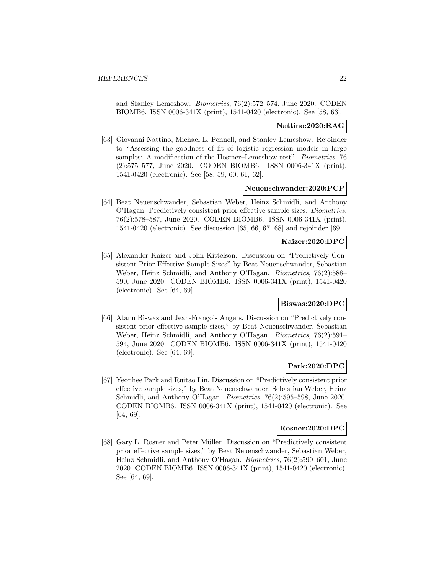and Stanley Lemeshow. Biometrics, 76(2):572–574, June 2020. CODEN BIOMB6. ISSN 0006-341X (print), 1541-0420 (electronic). See [58, 63].

### **Nattino:2020:RAG**

[63] Giovanni Nattino, Michael L. Pennell, and Stanley Lemeshow. Rejoinder to "Assessing the goodness of fit of logistic regression models in large samples: A modification of the Hosmer–Lemeshow test". Biometrics, 76 (2):575–577, June 2020. CODEN BIOMB6. ISSN 0006-341X (print), 1541-0420 (electronic). See [58, 59, 60, 61, 62].

#### **Neuenschwander:2020:PCP**

[64] Beat Neuenschwander, Sebastian Weber, Heinz Schmidli, and Anthony O'Hagan. Predictively consistent prior effective sample sizes. Biometrics, 76(2):578–587, June 2020. CODEN BIOMB6. ISSN 0006-341X (print), 1541-0420 (electronic). See discussion [65, 66, 67, 68] and rejoinder [69].

### **Kaizer:2020:DPC**

[65] Alexander Kaizer and John Kittelson. Discussion on "Predictively Consistent Prior Effective Sample Sizes" by Beat Neuenschwander, Sebastian Weber, Heinz Schmidli, and Anthony O'Hagan. Biometrics, 76(2):588– 590, June 2020. CODEN BIOMB6. ISSN 0006-341X (print), 1541-0420 (electronic). See [64, 69].

### **Biswas:2020:DPC**

[66] Atanu Biswas and Jean-François Angers. Discussion on "Predictively consistent prior effective sample sizes," by Beat Neuenschwander, Sebastian Weber, Heinz Schmidli, and Anthony O'Hagan. Biometrics, 76(2):591– 594, June 2020. CODEN BIOMB6. ISSN 0006-341X (print), 1541-0420 (electronic). See [64, 69].

### **Park:2020:DPC**

[67] Yeonhee Park and Ruitao Lin. Discussion on "Predictively consistent prior effective sample sizes," by Beat Neuenschwander, Sebastian Weber, Heinz Schmidli, and Anthony O'Hagan. Biometrics, 76(2):595–598, June 2020. CODEN BIOMB6. ISSN 0006-341X (print), 1541-0420 (electronic). See [64, 69].

#### **Rosner:2020:DPC**

[68] Gary L. Rosner and Peter Müller. Discussion on "Predictively consistent prior effective sample sizes," by Beat Neuenschwander, Sebastian Weber, Heinz Schmidli, and Anthony O'Hagan. Biometrics, 76(2):599–601, June 2020. CODEN BIOMB6. ISSN 0006-341X (print), 1541-0420 (electronic). See [64, 69].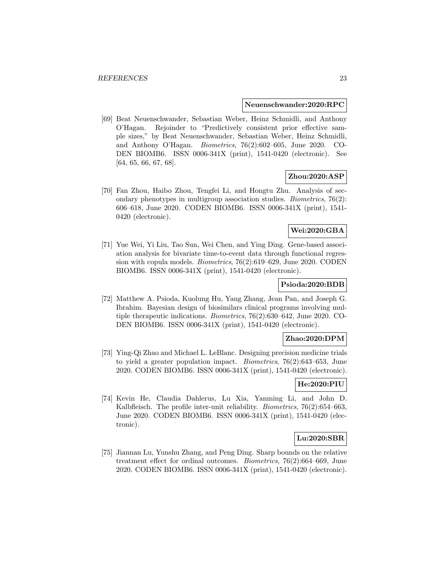#### **Neuenschwander:2020:RPC**

[69] Beat Neuenschwander, Sebastian Weber, Heinz Schmidli, and Anthony O'Hagan. Rejoinder to "Predictively consistent prior effective sample sizes," by Beat Neuenschwander, Sebastian Weber, Heinz Schmidli, and Anthony O'Hagan. Biometrics, 76(2):602–605, June 2020. CO-DEN BIOMB6. ISSN 0006-341X (print), 1541-0420 (electronic). See [64, 65, 66, 67, 68].

### **Zhou:2020:ASP**

[70] Fan Zhou, Haibo Zhou, Tengfei Li, and Hongtu Zhu. Analysis of secondary phenotypes in multigroup association studies. Biometrics, 76(2): 606–618, June 2020. CODEN BIOMB6. ISSN 0006-341X (print), 1541- 0420 (electronic).

### **Wei:2020:GBA**

[71] Yue Wei, Yi Liu, Tao Sun, Wei Chen, and Ying Ding. Gene-based association analysis for bivariate time-to-event data through functional regression with copula models. Biometrics, 76(2):619–629, June 2020. CODEN BIOMB6. ISSN 0006-341X (print), 1541-0420 (electronic).

#### **Psioda:2020:BDB**

[72] Matthew A. Psioda, Kuolung Hu, Yang Zhang, Jean Pan, and Joseph G. Ibrahim. Bayesian design of biosimilars clinical programs involving multiple therapeutic indications. Biometrics, 76(2):630–642, June 2020. CO-DEN BIOMB6. ISSN 0006-341X (print), 1541-0420 (electronic).

### **Zhao:2020:DPM**

[73] Ying-Qi Zhao and Michael L. LeBlanc. Designing precision medicine trials to yield a greater population impact. *Biometrics*,  $76(2):643-653$ , June 2020. CODEN BIOMB6. ISSN 0006-341X (print), 1541-0420 (electronic).

### **He:2020:PIU**

[74] Kevin He, Claudia Dahlerus, Lu Xia, Yanming Li, and John D. Kalbfleisch. The profile inter-unit reliability. *Biometrics*, 76(2):654–663, June 2020. CODEN BIOMB6. ISSN 0006-341X (print), 1541-0420 (electronic).

### **Lu:2020:SBR**

[75] Jiannan Lu, Yunshu Zhang, and Peng Ding. Sharp bounds on the relative treatment effect for ordinal outcomes. Biometrics, 76(2):664–669, June 2020. CODEN BIOMB6. ISSN 0006-341X (print), 1541-0420 (electronic).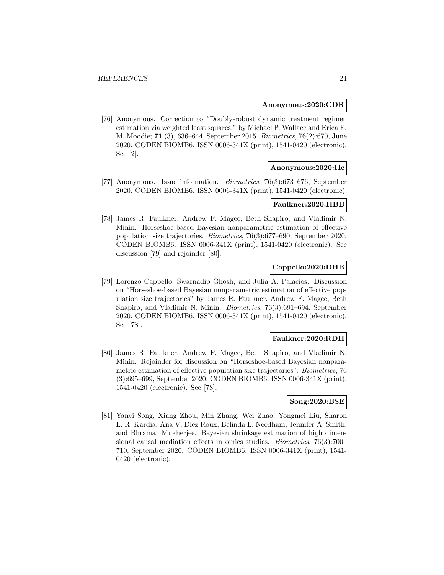#### **Anonymous:2020:CDR**

[76] Anonymous. Correction to "Doubly-robust dynamic treatment regimen estimation via weighted least squares," by Michael P. Wallace and Erica E. M. Moodie; **71** (3), 636–644, September 2015. Biometrics, 76(2):670, June 2020. CODEN BIOMB6. ISSN 0006-341X (print), 1541-0420 (electronic). See [2].

### **Anonymous:2020:IIc**

[77] Anonymous. Issue information. Biometrics, 76(3):673–676, September 2020. CODEN BIOMB6. ISSN 0006-341X (print), 1541-0420 (electronic).

#### **Faulkner:2020:HBB**

[78] James R. Faulkner, Andrew F. Magee, Beth Shapiro, and Vladimir N. Minin. Horseshoe-based Bayesian nonparametric estimation of effective population size trajectories. Biometrics, 76(3):677–690, September 2020. CODEN BIOMB6. ISSN 0006-341X (print), 1541-0420 (electronic). See discussion [79] and rejoinder [80].

# **Cappello:2020:DHB**

[79] Lorenzo Cappello, Swarnadip Ghosh, and Julia A. Palacios. Discussion on "Horseshoe-based Bayesian nonparametric estimation of effective population size trajectories" by James R. Faulkner, Andrew F. Magee, Beth Shapiro, and Vladimir N. Minin. Biometrics, 76(3):691–694, September 2020. CODEN BIOMB6. ISSN 0006-341X (print), 1541-0420 (electronic). See [78].

### **Faulkner:2020:RDH**

[80] James R. Faulkner, Andrew F. Magee, Beth Shapiro, and Vladimir N. Minin. Rejoinder for discussion on "Horseshoe-based Bayesian nonparametric estimation of effective population size trajectories". Biometrics, 76 (3):695–699, September 2020. CODEN BIOMB6. ISSN 0006-341X (print), 1541-0420 (electronic). See [78].

### **Song:2020:BSE**

[81] Yanyi Song, Xiang Zhou, Min Zhang, Wei Zhao, Yongmei Liu, Sharon L. R. Kardia, Ana V. Diez Roux, Belinda L. Needham, Jennifer A. Smith, and Bhramar Mukherjee. Bayesian shrinkage estimation of high dimensional causal mediation effects in omics studies. Biometrics, 76(3):700– 710, September 2020. CODEN BIOMB6. ISSN 0006-341X (print), 1541- 0420 (electronic).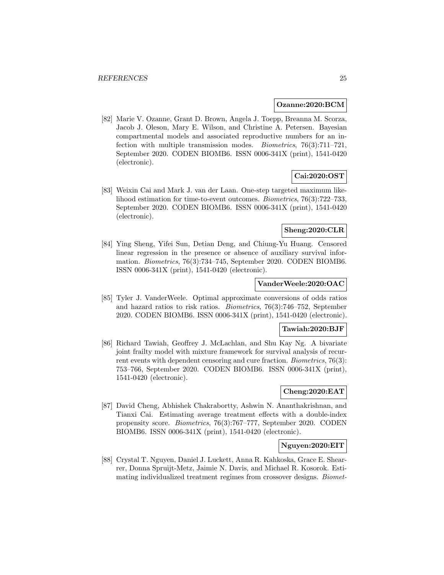#### **Ozanne:2020:BCM**

[82] Marie V. Ozanne, Grant D. Brown, Angela J. Toepp, Breanna M. Scorza, Jacob J. Oleson, Mary E. Wilson, and Christine A. Petersen. Bayesian compartmental models and associated reproductive numbers for an infection with multiple transmission modes. Biometrics, 76(3):711–721, September 2020. CODEN BIOMB6. ISSN 0006-341X (print), 1541-0420 (electronic).

### **Cai:2020:OST**

[83] Weixin Cai and Mark J. van der Laan. One-step targeted maximum likelihood estimation for time-to-event outcomes. Biometrics, 76(3):722–733, September 2020. CODEN BIOMB6. ISSN 0006-341X (print), 1541-0420 (electronic).

### **Sheng:2020:CLR**

[84] Ying Sheng, Yifei Sun, Detian Deng, and Chiung-Yu Huang. Censored linear regression in the presence or absence of auxiliary survival information. Biometrics, 76(3):734–745, September 2020. CODEN BIOMB6. ISSN 0006-341X (print), 1541-0420 (electronic).

#### **VanderWeele:2020:OAC**

[85] Tyler J. VanderWeele. Optimal approximate conversions of odds ratios and hazard ratios to risk ratios. Biometrics, 76(3):746–752, September 2020. CODEN BIOMB6. ISSN 0006-341X (print), 1541-0420 (electronic).

#### **Tawiah:2020:BJF**

[86] Richard Tawiah, Geoffrey J. McLachlan, and Shu Kay Ng. A bivariate joint frailty model with mixture framework for survival analysis of recurrent events with dependent censoring and cure fraction. Biometrics, 76(3): 753–766, September 2020. CODEN BIOMB6. ISSN 0006-341X (print), 1541-0420 (electronic).

### **Cheng:2020:EAT**

[87] David Cheng, Abhishek Chakrabortty, Ashwin N. Ananthakrishnan, and Tianxi Cai. Estimating average treatment effects with a double-index propensity score. Biometrics, 76(3):767–777, September 2020. CODEN BIOMB6. ISSN 0006-341X (print), 1541-0420 (electronic).

### **Nguyen:2020:EIT**

[88] Crystal T. Nguyen, Daniel J. Luckett, Anna R. Kahkoska, Grace E. Shearrer, Donna Spruijt-Metz, Jaimie N. Davis, and Michael R. Kosorok. Estimating individualized treatment regimes from crossover designs. Biomet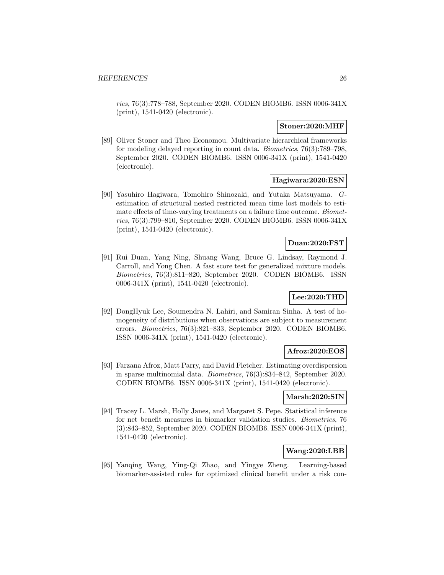rics, 76(3):778–788, September 2020. CODEN BIOMB6. ISSN 0006-341X (print), 1541-0420 (electronic).

### **Stoner:2020:MHF**

[89] Oliver Stoner and Theo Economou. Multivariate hierarchical frameworks for modeling delayed reporting in count data. Biometrics, 76(3):789–798, September 2020. CODEN BIOMB6. ISSN 0006-341X (print), 1541-0420 (electronic).

### **Hagiwara:2020:ESN**

[90] Yasuhiro Hagiwara, Tomohiro Shinozaki, and Yutaka Matsuyama. Gestimation of structural nested restricted mean time lost models to estimate effects of time-varying treatments on a failure time outcome. Biometrics, 76(3):799–810, September 2020. CODEN BIOMB6. ISSN 0006-341X (print), 1541-0420 (electronic).

#### **Duan:2020:FST**

[91] Rui Duan, Yang Ning, Shuang Wang, Bruce G. Lindsay, Raymond J. Carroll, and Yong Chen. A fast score test for generalized mixture models. Biometrics, 76(3):811–820, September 2020. CODEN BIOMB6. ISSN 0006-341X (print), 1541-0420 (electronic).

### **Lee:2020:THD**

[92] DongHyuk Lee, Soumendra N. Lahiri, and Samiran Sinha. A test of homogeneity of distributions when observations are subject to measurement errors. Biometrics, 76(3):821–833, September 2020. CODEN BIOMB6. ISSN 0006-341X (print), 1541-0420 (electronic).

#### **Afroz:2020:EOS**

[93] Farzana Afroz, Matt Parry, and David Fletcher. Estimating overdispersion in sparse multinomial data. Biometrics, 76(3):834–842, September 2020. CODEN BIOMB6. ISSN 0006-341X (print), 1541-0420 (electronic).

#### **Marsh:2020:SIN**

[94] Tracey L. Marsh, Holly Janes, and Margaret S. Pepe. Statistical inference for net benefit measures in biomarker validation studies. Biometrics, 76 (3):843–852, September 2020. CODEN BIOMB6. ISSN 0006-341X (print), 1541-0420 (electronic).

### **Wang:2020:LBB**

[95] Yanqing Wang, Ying-Qi Zhao, and Yingye Zheng. Learning-based biomarker-assisted rules for optimized clinical benefit under a risk con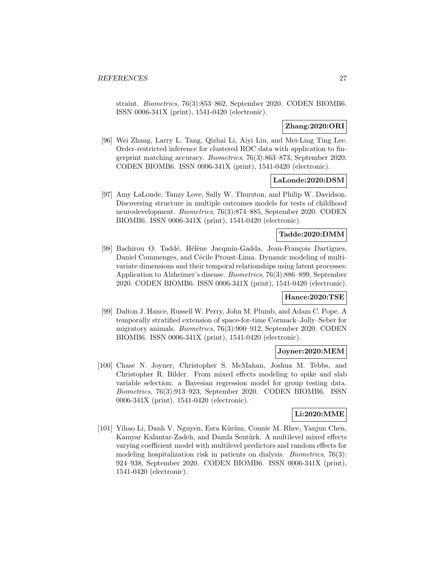straint. Biometrics, 76(3):853–862, September 2020. CODEN BIOMB6. ISSN 0006-341X (print), 1541-0420 (electronic).

### **Zhang:2020:ORI**

[96] Wei Zhang, Larry L. Tang, Qizhai Li, Aiyi Liu, and Mei-Ling Ting Lee. Order-restricted inference for clustered ROC data with application to fingerprint matching accuracy. Biometrics, 76(3):863–873, September 2020. CODEN BIOMB6. ISSN 0006-341X (print), 1541-0420 (electronic).

#### **LaLonde:2020:DSM**

[97] Amy LaLonde, Tanzy Love, Sally W. Thurston, and Philip W. Davidson. Discovering structure in multiple outcomes models for tests of childhood neurodevelopment. Biometrics, 76(3):874–885, September 2020. CODEN BIOMB6. ISSN 0006-341X (print), 1541-0420 (electronic).

#### **Tadde:2020:DMM**

[98] Bachirou O. Taddé, Hélène Jacqmin-Gadda, Jean-François Dartigues, Daniel Commenges, and Cécile Proust-Lima. Dynamic modeling of multivariate dimensions and their temporal relationships using latent processes: Application to Alzheimer's disease. Biometrics, 76(3):886–899, September 2020. CODEN BIOMB6. ISSN 0006-341X (print), 1541-0420 (electronic).

#### **Hance:2020:TSE**

[99] Dalton J. Hance, Russell W. Perry, John M. Plumb, and Adam C. Pope. A temporally stratified extension of space-for-time Cormack–Jolly–Seber for migratory animals. Biometrics, 76(3):900–912, September 2020. CODEN BIOMB6. ISSN 0006-341X (print), 1541-0420 (electronic).

### **Joyner:2020:MEM**

[100] Chase N. Joyner, Christopher S. McMahan, Joshua M. Tebbs, and Christopher R. Bilder. From mixed effects modeling to spike and slab variable selection: a Bayesian regression model for group testing data. Biometrics, 76(3):913–923, September 2020. CODEN BIOMB6. ISSN 0006-341X (print), 1541-0420 (electronic).

### **Li:2020:MME**

[101] Yihao Li, Danh V. Nguyen, Esra Kürüm, Connie M. Rhee, Yanjun Chen, Kamyar Kalantar-Zadeh, and Damla Sentürk. A multilevel mixed effects varying coefficient model with multilevel predictors and random effects for modeling hospitalization risk in patients on dialysis. Biometrics, 76(3): 924–938, September 2020. CODEN BIOMB6. ISSN 0006-341X (print), 1541-0420 (electronic).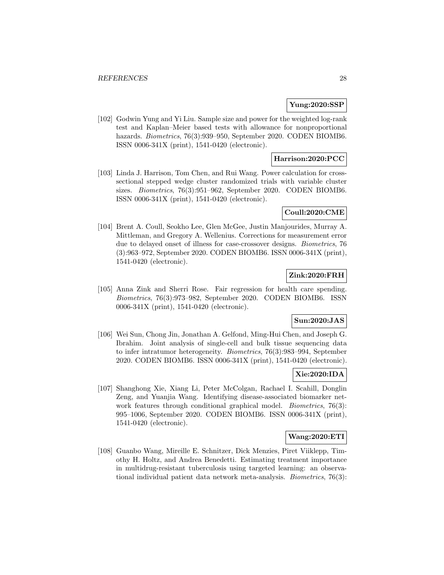### **Yung:2020:SSP**

[102] Godwin Yung and Yi Liu. Sample size and power for the weighted log-rank test and Kaplan–Meier based tests with allowance for nonproportional hazards. *Biometrics*, 76(3):939–950, September 2020. CODEN BIOMB6. ISSN 0006-341X (print), 1541-0420 (electronic).

### **Harrison:2020:PCC**

[103] Linda J. Harrison, Tom Chen, and Rui Wang. Power calculation for crosssectional stepped wedge cluster randomized trials with variable cluster sizes. Biometrics, 76(3):951–962, September 2020. CODEN BIOMB6. ISSN 0006-341X (print), 1541-0420 (electronic).

#### **Coull:2020:CME**

[104] Brent A. Coull, Seokho Lee, Glen McGee, Justin Manjourides, Murray A. Mittleman, and Gregory A. Wellenius. Corrections for measurement error due to delayed onset of illness for case-crossover designs. Biometrics, 76 (3):963–972, September 2020. CODEN BIOMB6. ISSN 0006-341X (print), 1541-0420 (electronic).

### **Zink:2020:FRH**

[105] Anna Zink and Sherri Rose. Fair regression for health care spending. Biometrics, 76(3):973–982, September 2020. CODEN BIOMB6. ISSN 0006-341X (print), 1541-0420 (electronic).

### **Sun:2020:JAS**

[106] Wei Sun, Chong Jin, Jonathan A. Gelfond, Ming-Hui Chen, and Joseph G. Ibrahim. Joint analysis of single-cell and bulk tissue sequencing data to infer intratumor heterogeneity. Biometrics, 76(3):983–994, September 2020. CODEN BIOMB6. ISSN 0006-341X (print), 1541-0420 (electronic).

### **Xie:2020:IDA**

[107] Shanghong Xie, Xiang Li, Peter McColgan, Rachael I. Scahill, Donglin Zeng, and Yuanjia Wang. Identifying disease-associated biomarker network features through conditional graphical model. *Biometrics*, 76(3): 995–1006, September 2020. CODEN BIOMB6. ISSN 0006-341X (print), 1541-0420 (electronic).

### **Wang:2020:ETI**

[108] Guanbo Wang, Mireille E. Schnitzer, Dick Menzies, Piret Viiklepp, Timothy H. Holtz, and Andrea Benedetti. Estimating treatment importance in multidrug-resistant tuberculosis using targeted learning: an observational individual patient data network meta-analysis. Biometrics, 76(3):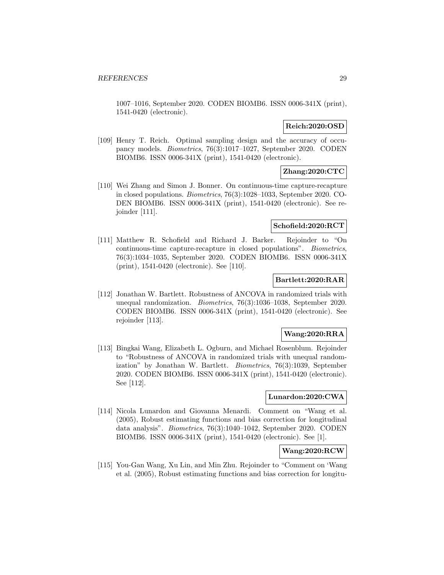1007–1016, September 2020. CODEN BIOMB6. ISSN 0006-341X (print), 1541-0420 (electronic).

### **Reich:2020:OSD**

[109] Henry T. Reich. Optimal sampling design and the accuracy of occupancy models. Biometrics, 76(3):1017–1027, September 2020. CODEN BIOMB6. ISSN 0006-341X (print), 1541-0420 (electronic).

### **Zhang:2020:CTC**

[110] Wei Zhang and Simon J. Bonner. On continuous-time capture-recapture in closed populations. Biometrics, 76(3):1028–1033, September 2020. CO-DEN BIOMB6. ISSN 0006-341X (print), 1541-0420 (electronic). See rejoinder [111].

### **Schofield:2020:RCT**

[111] Matthew R. Schofield and Richard J. Barker. Rejoinder to "On continuous-time capture-recapture in closed populations". Biometrics, 76(3):1034–1035, September 2020. CODEN BIOMB6. ISSN 0006-341X (print), 1541-0420 (electronic). See [110].

### **Bartlett:2020:RAR**

[112] Jonathan W. Bartlett. Robustness of ANCOVA in randomized trials with unequal randomization. Biometrics, 76(3):1036–1038, September 2020. CODEN BIOMB6. ISSN 0006-341X (print), 1541-0420 (electronic). See rejoinder [113].

### **Wang:2020:RRA**

[113] Bingkai Wang, Elizabeth L. Ogburn, and Michael Rosenblum. Rejoinder to "Robustness of ANCOVA in randomized trials with unequal randomization" by Jonathan W. Bartlett. Biometrics, 76(3):1039, September 2020. CODEN BIOMB6. ISSN 0006-341X (print), 1541-0420 (electronic). See [112].

### **Lunardon:2020:CWA**

[114] Nicola Lunardon and Giovanna Menardi. Comment on "Wang et al. (2005), Robust estimating functions and bias correction for longitudinal data analysis". Biometrics, 76(3):1040–1042, September 2020. CODEN BIOMB6. ISSN 0006-341X (print), 1541-0420 (electronic). See [1].

### **Wang:2020:RCW**

[115] You-Gan Wang, Xu Lin, and Min Zhu. Rejoinder to "Comment on 'Wang et al. (2005), Robust estimating functions and bias correction for longitu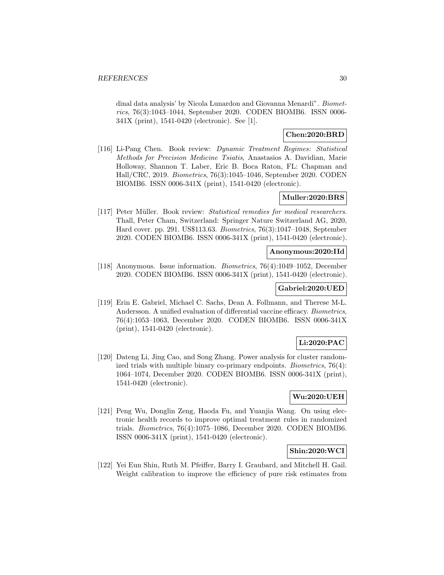dinal data analysis' by Nicola Lunardon and Giovanna Menardi". Biometrics, 76(3):1043–1044, September 2020. CODEN BIOMB6. ISSN 0006- 341X (print), 1541-0420 (electronic). See [1].

### **Chen:2020:BRD**

[116] Li-Pang Chen. Book review: Dynamic Treatment Regimes: Statistical Methods for Precision Medicine Tsiatis, Anastasios A. Davidian, Marie Holloway, Shannon T. Laber, Eric B. Boca Raton, FL: Chapman and Hall/CRC, 2019. Biometrics, 76(3):1045–1046, September 2020. CODEN BIOMB6. ISSN 0006-341X (print), 1541-0420 (electronic).

### **Muller:2020:BRS**

[117] Peter Müller. Book review: Statistical remedies for medical researchers. Thall, Peter Cham, Switzerland: Springer Nature Switzerland AG, 2020, Hard cover. pp. 291. US\$113.63. Biometrics, 76(3):1047–1048, September 2020. CODEN BIOMB6. ISSN 0006-341X (print), 1541-0420 (electronic).

### **Anonymous:2020:IId**

[118] Anonymous. Issue information. Biometrics, 76(4):1049–1052, December 2020. CODEN BIOMB6. ISSN 0006-341X (print), 1541-0420 (electronic).

### **Gabriel:2020:UED**

[119] Erin E. Gabriel, Michael C. Sachs, Dean A. Follmann, and Therese M-L. Andersson. A unified evaluation of differential vaccine efficacy. Biometrics, 76(4):1053–1063, December 2020. CODEN BIOMB6. ISSN 0006-341X (print), 1541-0420 (electronic).

### **Li:2020:PAC**

[120] Dateng Li, Jing Cao, and Song Zhang. Power analysis for cluster randomized trials with multiple binary co-primary endpoints. *Biometrics*, 76(4): 1064–1074, December 2020. CODEN BIOMB6. ISSN 0006-341X (print), 1541-0420 (electronic).

### **Wu:2020:UEH**

[121] Peng Wu, Donglin Zeng, Haoda Fu, and Yuanjia Wang. On using electronic health records to improve optimal treatment rules in randomized trials. Biometrics, 76(4):1075–1086, December 2020. CODEN BIOMB6. ISSN 0006-341X (print), 1541-0420 (electronic).

### **Shin:2020:WCI**

[122] Yei Eun Shin, Ruth M. Pfeiffer, Barry I. Graubard, and Mitchell H. Gail. Weight calibration to improve the efficiency of pure risk estimates from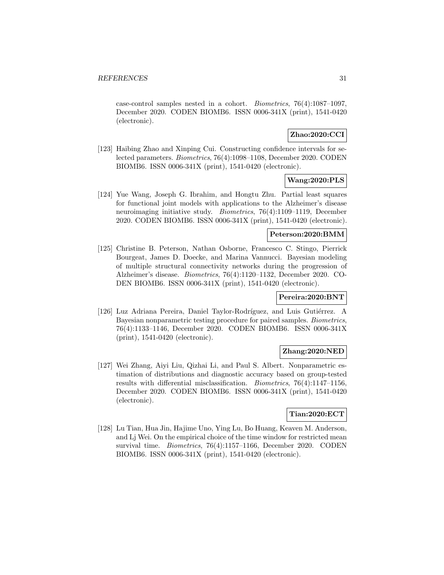case-control samples nested in a cohort. Biometrics, 76(4):1087–1097, December 2020. CODEN BIOMB6. ISSN 0006-341X (print), 1541-0420 (electronic).

### **Zhao:2020:CCI**

[123] Haibing Zhao and Xinping Cui. Constructing confidence intervals for selected parameters. Biometrics, 76(4):1098–1108, December 2020. CODEN BIOMB6. ISSN 0006-341X (print), 1541-0420 (electronic).

### **Wang:2020:PLS**

[124] Yue Wang, Joseph G. Ibrahim, and Hongtu Zhu. Partial least squares for functional joint models with applications to the Alzheimer's disease neuroimaging initiative study. Biometrics, 76(4):1109–1119, December 2020. CODEN BIOMB6. ISSN 0006-341X (print), 1541-0420 (electronic).

#### **Peterson:2020:BMM**

[125] Christine B. Peterson, Nathan Osborne, Francesco C. Stingo, Pierrick Bourgeat, James D. Doecke, and Marina Vannucci. Bayesian modeling of multiple structural connectivity networks during the progression of Alzheimer's disease. Biometrics, 76(4):1120–1132, December 2020. CO-DEN BIOMB6. ISSN 0006-341X (print), 1541-0420 (electronic).

#### **Pereira:2020:BNT**

[126] Luz Adriana Pereira, Daniel Taylor-Rodríguez, and Luis Gutiérrez. A Bayesian nonparametric testing procedure for paired samples. Biometrics, 76(4):1133–1146, December 2020. CODEN BIOMB6. ISSN 0006-341X (print), 1541-0420 (electronic).

### **Zhang:2020:NED**

[127] Wei Zhang, Aiyi Liu, Qizhai Li, and Paul S. Albert. Nonparametric estimation of distributions and diagnostic accuracy based on group-tested results with differential misclassification. Biometrics, 76(4):1147–1156, December 2020. CODEN BIOMB6. ISSN 0006-341X (print), 1541-0420 (electronic).

### **Tian:2020:ECT**

[128] Lu Tian, Hua Jin, Hajime Uno, Ying Lu, Bo Huang, Keaven M. Anderson, and Lj Wei. On the empirical choice of the time window for restricted mean survival time. Biometrics, 76(4):1157–1166, December 2020. CODEN BIOMB6. ISSN 0006-341X (print), 1541-0420 (electronic).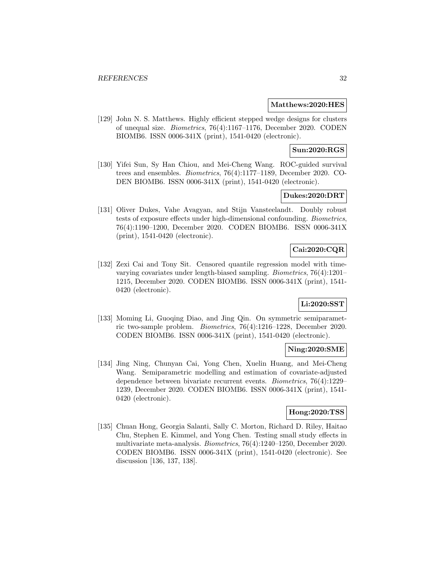#### **Matthews:2020:HES**

[129] John N. S. Matthews. Highly efficient stepped wedge designs for clusters of unequal size. Biometrics, 76(4):1167–1176, December 2020. CODEN BIOMB6. ISSN 0006-341X (print), 1541-0420 (electronic).

### **Sun:2020:RGS**

[130] Yifei Sun, Sy Han Chiou, and Mei-Cheng Wang. ROC-guided survival trees and ensembles. Biometrics, 76(4):1177–1189, December 2020. CO-DEN BIOMB6. ISSN 0006-341X (print), 1541-0420 (electronic).

### **Dukes:2020:DRT**

[131] Oliver Dukes, Vahe Avagyan, and Stijn Vansteelandt. Doubly robust tests of exposure effects under high-dimensional confounding. Biometrics, 76(4):1190–1200, December 2020. CODEN BIOMB6. ISSN 0006-341X (print), 1541-0420 (electronic).

# **Cai:2020:CQR**

[132] Zexi Cai and Tony Sit. Censored quantile regression model with timevarying covariates under length-biased sampling. Biometrics, 76(4):1201– 1215, December 2020. CODEN BIOMB6. ISSN 0006-341X (print), 1541- 0420 (electronic).

### **Li:2020:SST**

[133] Moming Li, Guoqing Diao, and Jing Qin. On symmetric semiparametric two-sample problem. Biometrics, 76(4):1216–1228, December 2020. CODEN BIOMB6. ISSN 0006-341X (print), 1541-0420 (electronic).

### **Ning:2020:SME**

[134] Jing Ning, Chunyan Cai, Yong Chen, Xuelin Huang, and Mei-Cheng Wang. Semiparametric modelling and estimation of covariate-adjusted dependence between bivariate recurrent events. Biometrics, 76(4):1229– 1239, December 2020. CODEN BIOMB6. ISSN 0006-341X (print), 1541- 0420 (electronic).

### **Hong:2020:TSS**

[135] Chuan Hong, Georgia Salanti, Sally C. Morton, Richard D. Riley, Haitao Chu, Stephen E. Kimmel, and Yong Chen. Testing small study effects in multivariate meta-analysis. Biometrics, 76(4):1240–1250, December 2020. CODEN BIOMB6. ISSN 0006-341X (print), 1541-0420 (electronic). See discussion [136, 137, 138].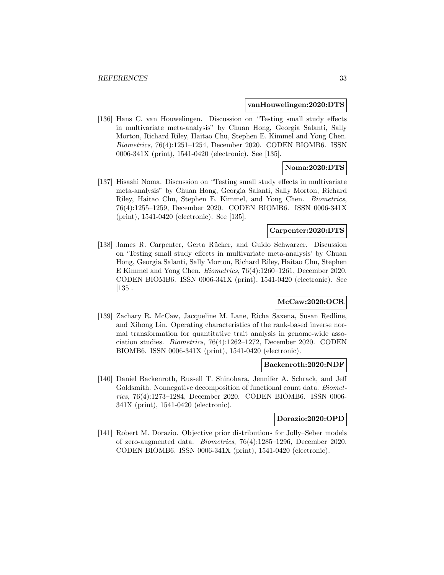#### **vanHouwelingen:2020:DTS**

[136] Hans C. van Houwelingen. Discussion on "Testing small study effects in multivariate meta-analysis" by Chuan Hong, Georgia Salanti, Sally Morton, Richard Riley, Haitao Chu, Stephen E. Kimmel and Yong Chen. Biometrics, 76(4):1251–1254, December 2020. CODEN BIOMB6. ISSN 0006-341X (print), 1541-0420 (electronic). See [135].

### **Noma:2020:DTS**

[137] Hisashi Noma. Discussion on "Testing small study effects in multivariate meta-analysis" by Chuan Hong, Georgia Salanti, Sally Morton, Richard Riley, Haitao Chu, Stephen E. Kimmel, and Yong Chen. Biometrics, 76(4):1255–1259, December 2020. CODEN BIOMB6. ISSN 0006-341X (print), 1541-0420 (electronic). See [135].

### **Carpenter:2020:DTS**

[138] James R. Carpenter, Gerta Rücker, and Guido Schwarzer. Discussion on 'Testing small study effects in multivariate meta-analysis' by Chuan Hong, Georgia Salanti, Sally Morton, Richard Riley, Haitao Chu, Stephen E Kimmel and Yong Chen. Biometrics, 76(4):1260–1261, December 2020. CODEN BIOMB6. ISSN 0006-341X (print), 1541-0420 (electronic). See [135].

### **McCaw:2020:OCR**

[139] Zachary R. McCaw, Jacqueline M. Lane, Richa Saxena, Susan Redline, and Xihong Lin. Operating characteristics of the rank-based inverse normal transformation for quantitative trait analysis in genome-wide association studies. Biometrics, 76(4):1262–1272, December 2020. CODEN BIOMB6. ISSN 0006-341X (print), 1541-0420 (electronic).

#### **Backenroth:2020:NDF**

[140] Daniel Backenroth, Russell T. Shinohara, Jennifer A. Schrack, and Jeff Goldsmith. Nonnegative decomposition of functional count data. Biometrics, 76(4):1273–1284, December 2020. CODEN BIOMB6. ISSN 0006- 341X (print), 1541-0420 (electronic).

### **Dorazio:2020:OPD**

[141] Robert M. Dorazio. Objective prior distributions for Jolly–Seber models of zero-augmented data. Biometrics, 76(4):1285–1296, December 2020. CODEN BIOMB6. ISSN 0006-341X (print), 1541-0420 (electronic).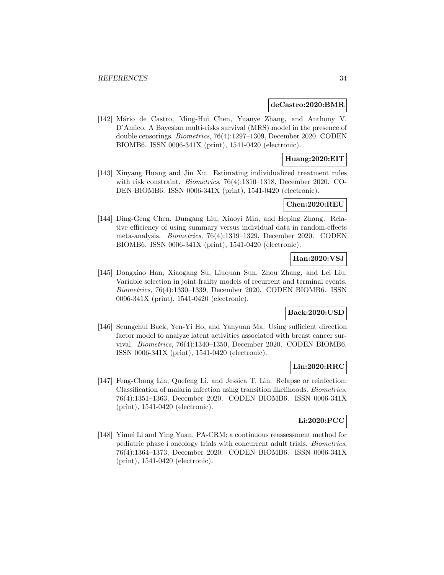#### **deCastro:2020:BMR**

[142] Mário de Castro, Ming-Hui Chen, Yuanye Zhang, and Anthony V. D'Amico. A Bayesian multi-risks survival (MRS) model in the presence of double censorings. Biometrics, 76(4):1297–1309, December 2020. CODEN BIOMB6. ISSN 0006-341X (print), 1541-0420 (electronic).

### **Huang:2020:EIT**

[143] Xinyang Huang and Jin Xu. Estimating individualized treatment rules with risk constraint. Biometrics, 76(4):1310–1318, December 2020. CO-DEN BIOMB6. ISSN 0006-341X (print), 1541-0420 (electronic).

### **Chen:2020:REU**

[144] Ding-Geng Chen, Dungang Liu, Xiaoyi Min, and Heping Zhang. Relative efficiency of using summary versus individual data in random-effects meta-analysis. Biometrics, 76(4):1319–1329, December 2020. CODEN BIOMB6. ISSN 0006-341X (print), 1541-0420 (electronic).

### **Han:2020:VSJ**

[145] Dongxiao Han, Xiaogang Su, Liuquan Sun, Zhou Zhang, and Lei Liu. Variable selection in joint frailty models of recurrent and terminal events. Biometrics, 76(4):1330–1339, December 2020. CODEN BIOMB6. ISSN 0006-341X (print), 1541-0420 (electronic).

### **Baek:2020:USD**

[146] Seungchul Baek, Yen-Yi Ho, and Yanyuan Ma. Using sufficient direction factor model to analyze latent activities associated with breast cancer survival. Biometrics, 76(4):1340–1350, December 2020. CODEN BIOMB6. ISSN 0006-341X (print), 1541-0420 (electronic).

### **Lin:2020:RRC**

[147] Feng-Chang Lin, Quefeng Li, and Jessica T. Lin. Relapse or reinfection: Classification of malaria infection using transition likelihoods. Biometrics, 76(4):1351–1363, December 2020. CODEN BIOMB6. ISSN 0006-341X (print), 1541-0420 (electronic).

### **Li:2020:PCC**

[148] Yimei Li and Ying Yuan. PA-CRM: a continuous reassessment method for pediatric phase i oncology trials with concurrent adult trials. Biometrics, 76(4):1364–1373, December 2020. CODEN BIOMB6. ISSN 0006-341X (print), 1541-0420 (electronic).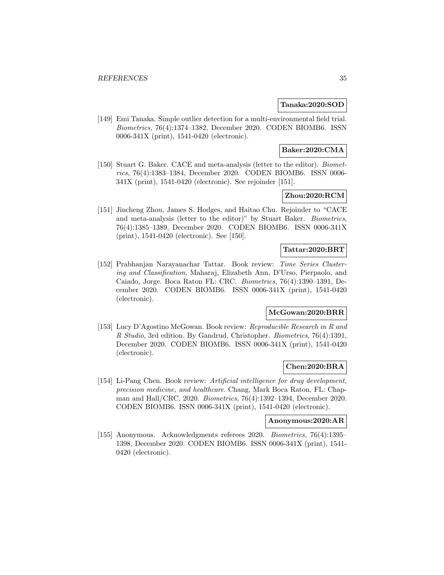### **Tanaka:2020:SOD**

[149] Emi Tanaka. Simple outlier detection for a multi-environmental field trial. Biometrics, 76(4):1374–1382, December 2020. CODEN BIOMB6. ISSN 0006-341X (print), 1541-0420 (electronic).

### **Baker:2020:CMA**

[150] Stuart G. Baker. CACE and meta-analysis (letter to the editor). *Biomet*rics, 76(4):1383–1384, December 2020. CODEN BIOMB6. ISSN 0006- 341X (print), 1541-0420 (electronic). See rejoinder [151].

# **Zhou:2020:RCM**

[151] Jincheng Zhou, James S. Hodges, and Haitao Chu. Rejoinder to "CACE and meta-analysis (letter to the editor)" by Stuart Baker. Biometrics, 76(4):1385–1389, December 2020. CODEN BIOMB6. ISSN 0006-341X (print), 1541-0420 (electronic). See [150].

### **Tattar:2020:BRT**

[152] Prabhanjan Narayanachar Tattar. Book review: Time Series Clustering and Classification, Maharaj, Elizabeth Ann, D'Urso, Pierpaolo, and Caiado, Jorge. Boca Raton FL: CRC. Biometrics, 76(4):1390–1391, December 2020. CODEN BIOMB6. ISSN 0006-341X (print), 1541-0420 (electronic).

### **McGowan:2020:BRR**

[153] Lucy D'Agostino McGowan. Book review: Reproducible Research in R and R Studio, 3rd edition. By Gandrud, Christopher. Biometrics, 76(4):1391, December 2020. CODEN BIOMB6. ISSN 0006-341X (print), 1541-0420 (electronic).

### **Chen:2020:BRA**

[154] Li-Pang Chen. Book review: Artificial intelligence for drug development, precision medicine, and healthcare. Chang, Mark Boca Raton, FL: Chapman and Hall/CRC, 2020. Biometrics, 76(4):1392–1394, December 2020. CODEN BIOMB6. ISSN 0006-341X (print), 1541-0420 (electronic).

#### **Anonymous:2020:AR**

[155] Anonymous. Acknowledgments referees 2020. Biometrics, 76(4):1395– 1398, December 2020. CODEN BIOMB6. ISSN 0006-341X (print), 1541- 0420 (electronic).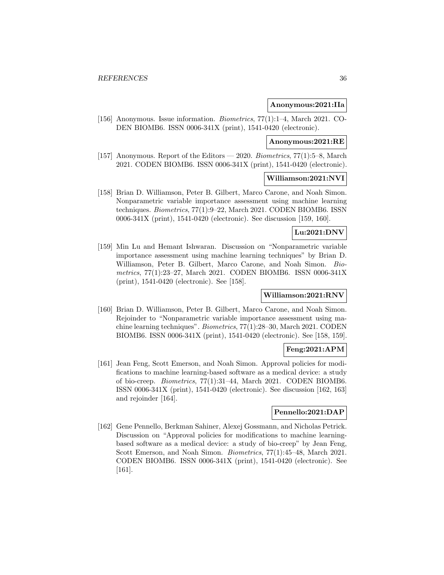#### **Anonymous:2021:IIa**

[156] Anonymous. Issue information. Biometrics, 77(1):1–4, March 2021. CO-DEN BIOMB6. ISSN 0006-341X (print), 1541-0420 (electronic).

### **Anonymous:2021:RE**

[157] Anonymous. Report of the Editors — 2020. Biometrics, 77(1):5–8, March 2021. CODEN BIOMB6. ISSN 0006-341X (print), 1541-0420 (electronic).

#### **Williamson:2021:NVI**

[158] Brian D. Williamson, Peter B. Gilbert, Marco Carone, and Noah Simon. Nonparametric variable importance assessment using machine learning techniques. Biometrics, 77(1):9–22, March 2021. CODEN BIOMB6. ISSN 0006-341X (print), 1541-0420 (electronic). See discussion [159, 160].

### **Lu:2021:DNV**

[159] Min Lu and Hemant Ishwaran. Discussion on "Nonparametric variable importance assessment using machine learning techniques" by Brian D. Williamson, Peter B. Gilbert, Marco Carone, and Noah Simon. Biometrics, 77(1):23–27, March 2021. CODEN BIOMB6. ISSN 0006-341X (print), 1541-0420 (electronic). See [158].

#### **Williamson:2021:RNV**

[160] Brian D. Williamson, Peter B. Gilbert, Marco Carone, and Noah Simon. Rejoinder to "Nonparametric variable importance assessment using machine learning techniques". Biometrics, 77(1):28–30, March 2021. CODEN BIOMB6. ISSN 0006-341X (print), 1541-0420 (electronic). See [158, 159].

### **Feng:2021:APM**

[161] Jean Feng, Scott Emerson, and Noah Simon. Approval policies for modifications to machine learning-based software as a medical device: a study of bio-creep. Biometrics, 77(1):31–44, March 2021. CODEN BIOMB6. ISSN 0006-341X (print), 1541-0420 (electronic). See discussion [162, 163] and rejoinder [164].

### **Pennello:2021:DAP**

[162] Gene Pennello, Berkman Sahiner, Alexej Gossmann, and Nicholas Petrick. Discussion on "Approval policies for modifications to machine learningbased software as a medical device: a study of bio-creep" by Jean Feng, Scott Emerson, and Noah Simon. Biometrics, 77(1):45–48, March 2021. CODEN BIOMB6. ISSN 0006-341X (print), 1541-0420 (electronic). See [161].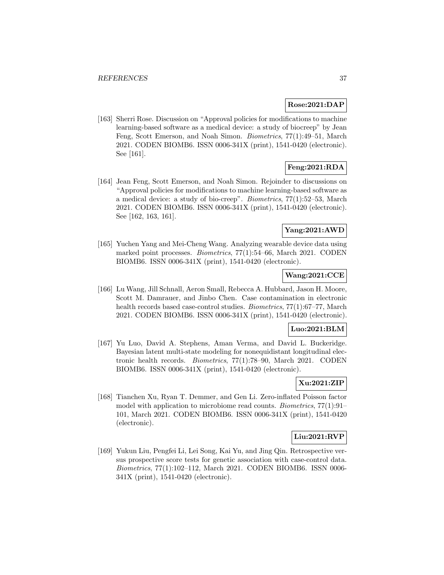### **Rose:2021:DAP**

[163] Sherri Rose. Discussion on "Approval policies for modifications to machine learning-based software as a medical device: a study of biocreep" by Jean Feng, Scott Emerson, and Noah Simon. Biometrics, 77(1):49–51, March 2021. CODEN BIOMB6. ISSN 0006-341X (print), 1541-0420 (electronic). See [161].

# **Feng:2021:RDA**

[164] Jean Feng, Scott Emerson, and Noah Simon. Rejoinder to discussions on "Approval policies for modifications to machine learning-based software as a medical device: a study of bio-creep". Biometrics, 77(1):52–53, March 2021. CODEN BIOMB6. ISSN 0006-341X (print), 1541-0420 (electronic). See [162, 163, 161].

### **Yang:2021:AWD**

[165] Yuchen Yang and Mei-Cheng Wang. Analyzing wearable device data using marked point processes. Biometrics, 77(1):54–66, March 2021. CODEN BIOMB6. ISSN 0006-341X (print), 1541-0420 (electronic).

### **Wang:2021:CCE**

[166] Lu Wang, Jill Schnall, Aeron Small, Rebecca A. Hubbard, Jason H. Moore, Scott M. Damrauer, and Jinbo Chen. Case contamination in electronic health records based case-control studies. Biometrics, 77(1):67–77, March 2021. CODEN BIOMB6. ISSN 0006-341X (print), 1541-0420 (electronic).

### **Luo:2021:BLM**

[167] Yu Luo, David A. Stephens, Aman Verma, and David L. Buckeridge. Bayesian latent multi-state modeling for nonequidistant longitudinal electronic health records. Biometrics, 77(1):78–90, March 2021. CODEN BIOMB6. ISSN 0006-341X (print), 1541-0420 (electronic).

# **Xu:2021:ZIP**

[168] Tianchen Xu, Ryan T. Demmer, and Gen Li. Zero-inflated Poisson factor model with application to microbiome read counts. Biometrics, 77(1):91– 101, March 2021. CODEN BIOMB6. ISSN 0006-341X (print), 1541-0420 (electronic).

### **Liu:2021:RVP**

[169] Yukun Liu, Pengfei Li, Lei Song, Kai Yu, and Jing Qin. Retrospective versus prospective score tests for genetic association with case-control data. Biometrics, 77(1):102–112, March 2021. CODEN BIOMB6. ISSN 0006- 341X (print), 1541-0420 (electronic).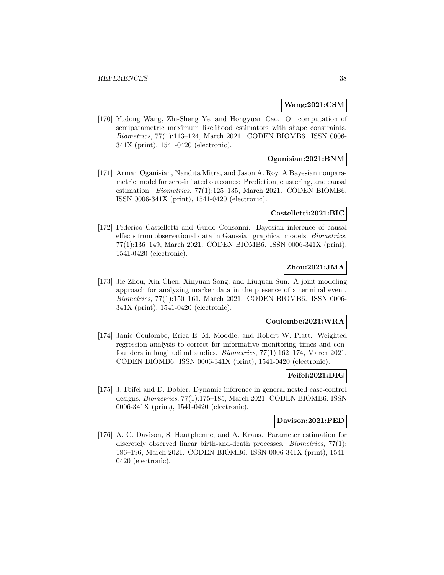#### **Wang:2021:CSM**

[170] Yudong Wang, Zhi-Sheng Ye, and Hongyuan Cao. On computation of semiparametric maximum likelihood estimators with shape constraints. Biometrics, 77(1):113–124, March 2021. CODEN BIOMB6. ISSN 0006- 341X (print), 1541-0420 (electronic).

### **Oganisian:2021:BNM**

[171] Arman Oganisian, Nandita Mitra, and Jason A. Roy. A Bayesian nonparametric model for zero-inflated outcomes: Prediction, clustering, and causal estimation. Biometrics, 77(1):125–135, March 2021. CODEN BIOMB6. ISSN 0006-341X (print), 1541-0420 (electronic).

#### **Castelletti:2021:BIC**

[172] Federico Castelletti and Guido Consonni. Bayesian inference of causal effects from observational data in Gaussian graphical models. Biometrics, 77(1):136–149, March 2021. CODEN BIOMB6. ISSN 0006-341X (print), 1541-0420 (electronic).

# **Zhou:2021:JMA**

[173] Jie Zhou, Xin Chen, Xinyuan Song, and Liuquan Sun. A joint modeling approach for analyzing marker data in the presence of a terminal event. Biometrics, 77(1):150–161, March 2021. CODEN BIOMB6. ISSN 0006- 341X (print), 1541-0420 (electronic).

#### **Coulombe:2021:WRA**

[174] Janie Coulombe, Erica E. M. Moodie, and Robert W. Platt. Weighted regression analysis to correct for informative monitoring times and confounders in longitudinal studies. Biometrics, 77(1):162–174, March 2021. CODEN BIOMB6. ISSN 0006-341X (print), 1541-0420 (electronic).

#### **Feifel:2021:DIG**

[175] J. Feifel and D. Dobler. Dynamic inference in general nested case-control designs. Biometrics, 77(1):175–185, March 2021. CODEN BIOMB6. ISSN 0006-341X (print), 1541-0420 (electronic).

#### **Davison:2021:PED**

[176] A. C. Davison, S. Hautphenne, and A. Kraus. Parameter estimation for discretely observed linear birth-and-death processes. *Biometrics*, 77(1): 186–196, March 2021. CODEN BIOMB6. ISSN 0006-341X (print), 1541- 0420 (electronic).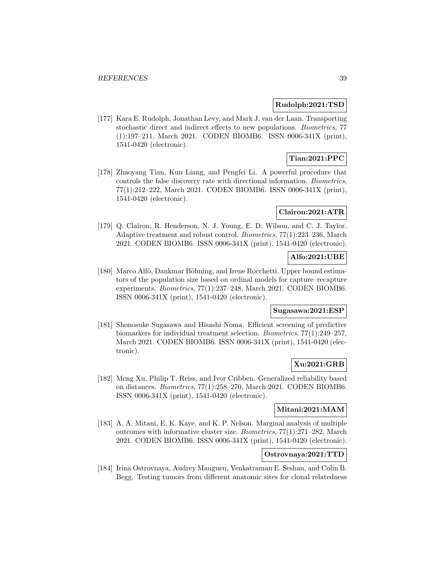### **Rudolph:2021:TSD**

[177] Kara E. Rudolph, Jonathan Levy, and Mark J. van der Laan. Transporting stochastic direct and indirect effects to new populations. Biometrics, 77 (1):197–211, March 2021. CODEN BIOMB6. ISSN 0006-341X (print), 1541-0420 (electronic).

### **Tian:2021:PPC**

[178] Zhaoyang Tian, Kun Liang, and Pengfei Li. A powerful procedure that controls the false discovery rate with directional information. Biometrics, 77(1):212–222, March 2021. CODEN BIOMB6. ISSN 0006-341X (print), 1541-0420 (electronic).

#### **Clairon:2021:ATR**

[179] Q. Clairon, R. Henderson, N. J. Young, E. D. Wilson, and C. J. Taylor. Adaptive treatment and robust control. Biometrics, 77(1):223–236, March 2021. CODEN BIOMB6. ISSN 0006-341X (print), 1541-0420 (electronic).

### **Alfo:2021:UBE**

[180] Marco Alfò, Dankmar Böhning, and Irene Rocchetti. Upper bound estimators of the population size based on ordinal models for capture–recapture experiments. Biometrics, 77(1):237–248, March 2021. CODEN BIOMB6. ISSN 0006-341X (print), 1541-0420 (electronic).

### **Sugasawa:2021:ESP**

[181] Shonosuke Sugasawa and Hisashi Noma. Efficient screening of predictive biomarkers for individual treatment selection. Biometrics, 77(1):249–257, March 2021. CODEN BIOMB6. ISSN 0006-341X (print), 1541-0420 (electronic).

### **Xu:2021:GRB**

[182] Meng Xu, Philip T. Reiss, and Ivor Cribben. Generalized reliability based on distances. Biometrics, 77(1):258–270, March 2021. CODEN BIOMB6. ISSN 0006-341X (print), 1541-0420 (electronic).

### **Mitani:2021:MAM**

[183] A. A. Mitani, E. K. Kaye, and K. P. Nelson. Marginal analysis of multiple outcomes with informative cluster size. Biometrics, 77(1):271–282, March 2021. CODEN BIOMB6. ISSN 0006-341X (print), 1541-0420 (electronic).

# **Ostrovnaya:2021:TTD**

[184] Irina Ostrovnaya, Audrey Mauguen, Venkatraman E. Seshan, and Colin B. Begg. Testing tumors from different anatomic sites for clonal relatedness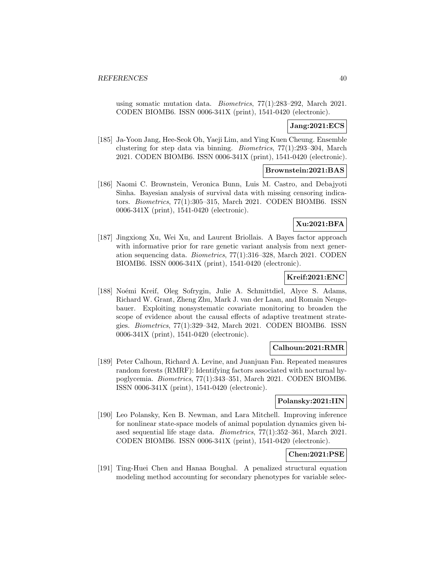using somatic mutation data. Biometrics, 77(1):283–292, March 2021. CODEN BIOMB6. ISSN 0006-341X (print), 1541-0420 (electronic).

### **Jang:2021:ECS**

[185] Ja-Yoon Jang, Hee-Seok Oh, Yaeji Lim, and Ying Kuen Cheung. Ensemble clustering for step data via binning. Biometrics, 77(1):293–304, March 2021. CODEN BIOMB6. ISSN 0006-341X (print), 1541-0420 (electronic).

### **Brownstein:2021:BAS**

[186] Naomi C. Brownstein, Veronica Bunn, Luis M. Castro, and Debajyoti Sinha. Bayesian analysis of survival data with missing censoring indicators. Biometrics, 77(1):305–315, March 2021. CODEN BIOMB6. ISSN 0006-341X (print), 1541-0420 (electronic).

# **Xu:2021:BFA**

[187] Jingxiong Xu, Wei Xu, and Laurent Briollais. A Bayes factor approach with informative prior for rare genetic variant analysis from next generation sequencing data. Biometrics, 77(1):316–328, March 2021. CODEN BIOMB6. ISSN 0006-341X (print), 1541-0420 (electronic).

### **Kreif:2021:ENC**

[188] Noémi Kreif, Oleg Sofrygin, Julie A. Schmittdiel, Alyce S. Adams, Richard W. Grant, Zheng Zhu, Mark J. van der Laan, and Romain Neugebauer. Exploiting nonsystematic covariate monitoring to broaden the scope of evidence about the causal effects of adaptive treatment strategies. Biometrics, 77(1):329–342, March 2021. CODEN BIOMB6. ISSN 0006-341X (print), 1541-0420 (electronic).

### **Calhoun:2021:RMR**

[189] Peter Calhoun, Richard A. Levine, and Juanjuan Fan. Repeated measures random forests (RMRF): Identifying factors associated with nocturnal hypoglycemia. Biometrics, 77(1):343–351, March 2021. CODEN BIOMB6. ISSN 0006-341X (print), 1541-0420 (electronic).

### **Polansky:2021:IIN**

[190] Leo Polansky, Ken B. Newman, and Lara Mitchell. Improving inference for nonlinear state-space models of animal population dynamics given biased sequential life stage data. Biometrics, 77(1):352–361, March 2021. CODEN BIOMB6. ISSN 0006-341X (print), 1541-0420 (electronic).

### **Chen:2021:PSE**

[191] Ting-Huei Chen and Hanaa Boughal. A penalized structural equation modeling method accounting for secondary phenotypes for variable selec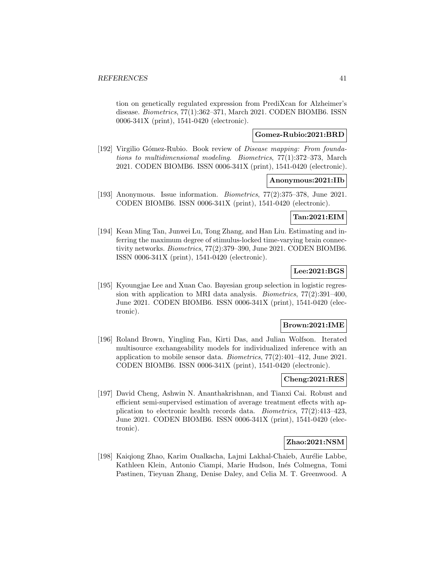tion on genetically regulated expression from PrediXcan for Alzheimer's disease. Biometrics, 77(1):362–371, March 2021. CODEN BIOMB6. ISSN 0006-341X (print), 1541-0420 (electronic).

### **Gomez-Rubio:2021:BRD**

[192] Virgilio Gómez-Rubio. Book review of *Disease mapping: From founda*tions to multidimensional modeling. Biometrics, 77(1):372–373, March 2021. CODEN BIOMB6. ISSN 0006-341X (print), 1541-0420 (electronic).

### **Anonymous:2021:IIb**

[193] Anonymous. Issue information. Biometrics, 77(2):375–378, June 2021. CODEN BIOMB6. ISSN 0006-341X (print), 1541-0420 (electronic).

### **Tan:2021:EIM**

[194] Kean Ming Tan, Junwei Lu, Tong Zhang, and Han Liu. Estimating and inferring the maximum degree of stimulus-locked time-varying brain connectivity networks. Biometrics, 77(2):379–390, June 2021. CODEN BIOMB6. ISSN 0006-341X (print), 1541-0420 (electronic).

### **Lee:2021:BGS**

[195] Kyoungjae Lee and Xuan Cao. Bayesian group selection in logistic regression with application to MRI data analysis. Biometrics, 77(2):391–400, June 2021. CODEN BIOMB6. ISSN 0006-341X (print), 1541-0420 (electronic).

### **Brown:2021:IME**

[196] Roland Brown, Yingling Fan, Kirti Das, and Julian Wolfson. Iterated multisource exchangeability models for individualized inference with an application to mobile sensor data. Biometrics, 77(2):401–412, June 2021. CODEN BIOMB6. ISSN 0006-341X (print), 1541-0420 (electronic).

### **Cheng:2021:RES**

[197] David Cheng, Ashwin N. Ananthakrishnan, and Tianxi Cai. Robust and efficient semi-supervised estimation of average treatment effects with application to electronic health records data. Biometrics, 77(2):413–423, June 2021. CODEN BIOMB6. ISSN 0006-341X (print), 1541-0420 (electronic).

### **Zhao:2021:NSM**

[198] Kaiqiong Zhao, Karim Qualkacha, Lajmi Lakhal-Chaieb, Aurélie Labbe, Kathleen Klein, Antonio Ciampi, Marie Hudson, Inés Colmegna, Tomi Pastinen, Tieyuan Zhang, Denise Daley, and Celia M. T. Greenwood. A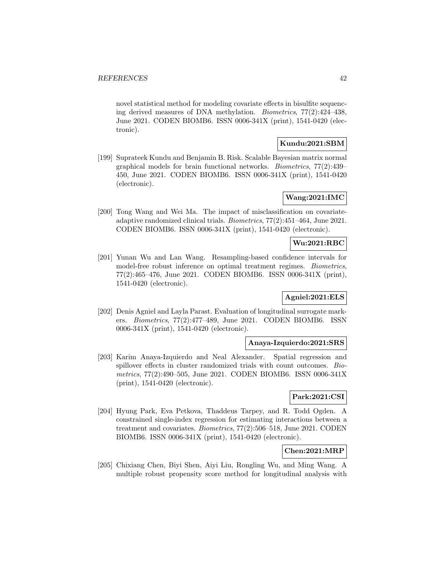novel statistical method for modeling covariate effects in bisulfite sequencing derived measures of DNA methylation. Biometrics, 77(2):424–438, June 2021. CODEN BIOMB6. ISSN 0006-341X (print), 1541-0420 (electronic).

### **Kundu:2021:SBM**

[199] Suprateek Kundu and Benjamin B. Risk. Scalable Bayesian matrix normal graphical models for brain functional networks. Biometrics, 77(2):439– 450, June 2021. CODEN BIOMB6. ISSN 0006-341X (print), 1541-0420 (electronic).

### **Wang:2021:IMC**

[200] Tong Wang and Wei Ma. The impact of misclassification on covariateadaptive randomized clinical trials. Biometrics, 77(2):451–464, June 2021. CODEN BIOMB6. ISSN 0006-341X (print), 1541-0420 (electronic).

### **Wu:2021:RBC**

[201] Yunan Wu and Lan Wang. Resampling-based confidence intervals for model-free robust inference on optimal treatment regimes. Biometrics, 77(2):465–476, June 2021. CODEN BIOMB6. ISSN 0006-341X (print), 1541-0420 (electronic).

### **Agniel:2021:ELS**

[202] Denis Agniel and Layla Parast. Evaluation of longitudinal surrogate markers. Biometrics, 77(2):477–489, June 2021. CODEN BIOMB6. ISSN 0006-341X (print), 1541-0420 (electronic).

### **Anaya-Izquierdo:2021:SRS**

[203] Karim Anaya-Izquierdo and Neal Alexander. Spatial regression and spillover effects in cluster randomized trials with count outcomes. Biometrics, 77(2):490–505, June 2021. CODEN BIOMB6. ISSN 0006-341X (print), 1541-0420 (electronic).

### **Park:2021:CSI**

[204] Hyung Park, Eva Petkova, Thaddeus Tarpey, and R. Todd Ogden. A constrained single-index regression for estimating interactions between a treatment and covariates. Biometrics, 77(2):506–518, June 2021. CODEN BIOMB6. ISSN 0006-341X (print), 1541-0420 (electronic).

### **Chen:2021:MRP**

[205] Chixiang Chen, Biyi Shen, Aiyi Liu, Rongling Wu, and Ming Wang. A multiple robust propensity score method for longitudinal analysis with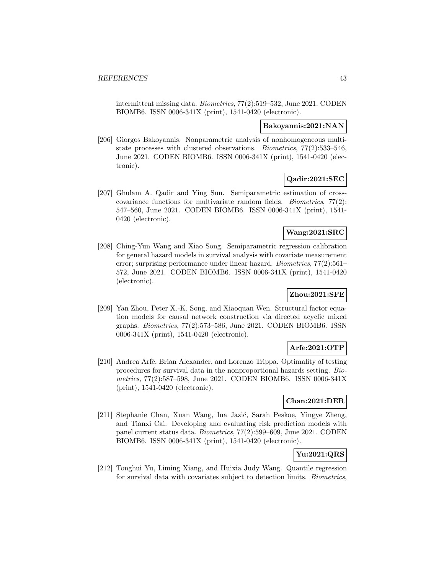intermittent missing data. Biometrics, 77(2):519–532, June 2021. CODEN BIOMB6. ISSN 0006-341X (print), 1541-0420 (electronic).

### **Bakoyannis:2021:NAN**

[206] Giorgos Bakoyannis. Nonparametric analysis of nonhomogeneous multistate processes with clustered observations. Biometrics, 77(2):533–546, June 2021. CODEN BIOMB6. ISSN 0006-341X (print), 1541-0420 (electronic).

## **Qadir:2021:SEC**

[207] Ghulam A. Qadir and Ying Sun. Semiparametric estimation of crosscovariance functions for multivariate random fields. Biometrics, 77(2): 547–560, June 2021. CODEN BIOMB6. ISSN 0006-341X (print), 1541- 0420 (electronic).

### **Wang:2021:SRC**

[208] Ching-Yun Wang and Xiao Song. Semiparametric regression calibration for general hazard models in survival analysis with covariate measurement error; surprising performance under linear hazard. Biometrics, 77(2):561– 572, June 2021. CODEN BIOMB6. ISSN 0006-341X (print), 1541-0420 (electronic).

### **Zhou:2021:SFE**

[209] Yan Zhou, Peter X.-K. Song, and Xiaoquan Wen. Structural factor equation models for causal network construction via directed acyclic mixed graphs. *Biometrics*,  $77(2):573-586$ , June  $2021$ . CODEN BIOMB6. ISSN 0006-341X (print), 1541-0420 (electronic).

# **Arfe:2021:OTP**

[210] Andrea Arfè, Brian Alexander, and Lorenzo Trippa. Optimality of testing procedures for survival data in the nonproportional hazards setting. Biometrics, 77(2):587–598, June 2021. CODEN BIOMB6. ISSN 0006-341X (print), 1541-0420 (electronic).

### **Chan:2021:DER**

[211] Stephanie Chan, Xuan Wang, Ina Jazić, Sarah Peskoe, Yingye Zheng, and Tianxi Cai. Developing and evaluating risk prediction models with panel current status data. Biometrics, 77(2):599–609, June 2021. CODEN BIOMB6. ISSN 0006-341X (print), 1541-0420 (electronic).

# **Yu:2021:QRS**

[212] Tonghui Yu, Liming Xiang, and Huixia Judy Wang. Quantile regression for survival data with covariates subject to detection limits. Biometrics,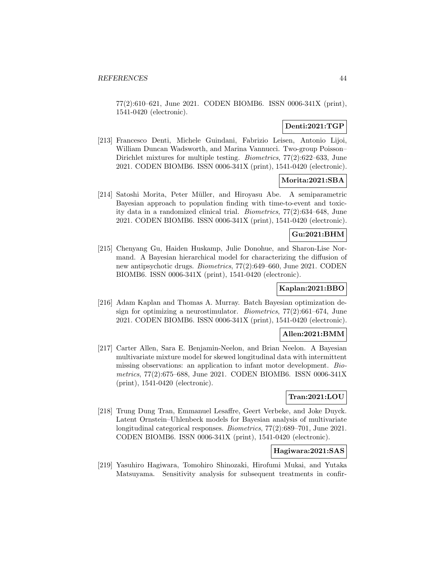77(2):610–621, June 2021. CODEN BIOMB6. ISSN 0006-341X (print), 1541-0420 (electronic).

# **Denti:2021:TGP**

[213] Francesco Denti, Michele Guindani, Fabrizio Leisen, Antonio Lijoi, William Duncan Wadsworth, and Marina Vannucci. Two-group Poisson– Dirichlet mixtures for multiple testing. Biometrics, 77(2):622–633, June 2021. CODEN BIOMB6. ISSN 0006-341X (print), 1541-0420 (electronic).

### **Morita:2021:SBA**

[214] Satoshi Morita, Peter Müller, and Hiroyasu Abe. A semiparametric Bayesian approach to population finding with time-to-event and toxicity data in a randomized clinical trial. Biometrics, 77(2):634–648, June 2021. CODEN BIOMB6. ISSN 0006-341X (print), 1541-0420 (electronic).

### **Gu:2021:BHM**

[215] Chenyang Gu, Haiden Huskamp, Julie Donohue, and Sharon-Lise Normand. A Bayesian hierarchical model for characterizing the diffusion of new antipsychotic drugs. Biometrics, 77(2):649–660, June 2021. CODEN BIOMB6. ISSN 0006-341X (print), 1541-0420 (electronic).

### **Kaplan:2021:BBO**

[216] Adam Kaplan and Thomas A. Murray. Batch Bayesian optimization design for optimizing a neurostimulator. Biometrics, 77(2):661–674, June 2021. CODEN BIOMB6. ISSN 0006-341X (print), 1541-0420 (electronic).

### **Allen:2021:BMM**

[217] Carter Allen, Sara E. Benjamin-Neelon, and Brian Neelon. A Bayesian multivariate mixture model for skewed longitudinal data with intermittent missing observations: an application to infant motor development. Biometrics, 77(2):675–688, June 2021. CODEN BIOMB6. ISSN 0006-341X (print), 1541-0420 (electronic).

### **Tran:2021:LOU**

[218] Trung Dung Tran, Emmanuel Lesaffre, Geert Verbeke, and Joke Duyck. Latent Ornstein–Uhlenbeck models for Bayesian analysis of multivariate longitudinal categorical responses. Biometrics, 77(2):689–701, June 2021. CODEN BIOMB6. ISSN 0006-341X (print), 1541-0420 (electronic).

### **Hagiwara:2021:SAS**

[219] Yasuhiro Hagiwara, Tomohiro Shinozaki, Hirofumi Mukai, and Yutaka Matsuyama. Sensitivity analysis for subsequent treatments in confir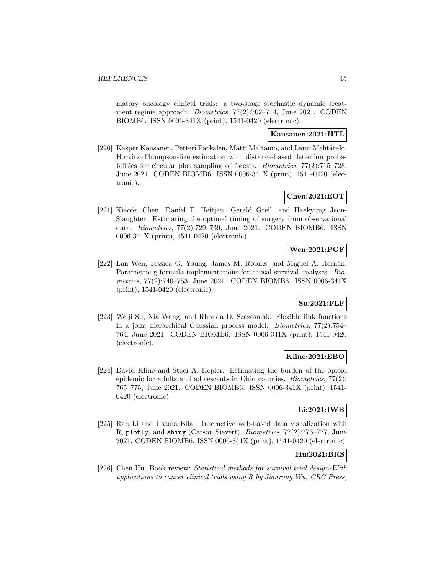matory oncology clinical trials: a two-stage stochastic dynamic treatment regime approach. Biometrics, 77(2):702–714, June 2021. CODEN BIOMB6. ISSN 0006-341X (print), 1541-0420 (electronic).

# **Kansanen:2021:HTL**

[220] Kasper Kansanen, Petteri Packalen, Matti Maltamo, and Lauri Mehtätalo. Horvitz–Thompson-like estimation with distance-based detection probabilities for circular plot sampling of forests. Biometrics, 77(2):715–728, June 2021. CODEN BIOMB6. ISSN 0006-341X (print), 1541-0420 (electronic).

## **Chen:2021:EOT**

[221] Xiaofei Chen, Daniel F. Heitjan, Gerald Greil, and Haekyung Jeon-Slaughter. Estimating the optimal timing of surgery from observational data. Biometrics, 77(2):729–739, June 2021. CODEN BIOMB6. ISSN 0006-341X (print), 1541-0420 (electronic).

### **Wen:2021:PGF**

[222] Lan Wen, Jessica G. Young, James M. Robins, and Miguel A. Hernán. Parametric g-formula implementations for causal survival analyses. Biometrics, 77(2):740–753, June 2021. CODEN BIOMB6. ISSN 0006-341X (print), 1541-0420 (electronic).

# **Su:2021:FLF**

[223] Weiji Su, Xia Wang, and Rhonda D. Szczesniak. Flexible link functions in a joint hierarchical Gaussian process model. Biometrics, 77(2):754– 764, June 2021. CODEN BIOMB6. ISSN 0006-341X (print), 1541-0420 (electronic).

### **Kline:2021:EBO**

[224] David Kline and Staci A. Hepler. Estimating the burden of the opioid epidemic for adults and adolescents in Ohio counties. Biometrics, 77(2): 765–775, June 2021. CODEN BIOMB6. ISSN 0006-341X (print), 1541- 0420 (electronic).

### **Li:2021:IWB**

[225] Ran Li and Usama Bilal. Interactive web-based data visualization with R, plotly, and shiny (Carson Sievert). Biometrics, 77(2):776–777, June 2021. CODEN BIOMB6. ISSN 0006-341X (print), 1541-0420 (electronic).

# **Hu:2021:BRS**

[226] Chen Hu. Book review: Statistical methods for survival trial design-With applications to cancer clinical trials using R by Jianrong Wu, CRC Press,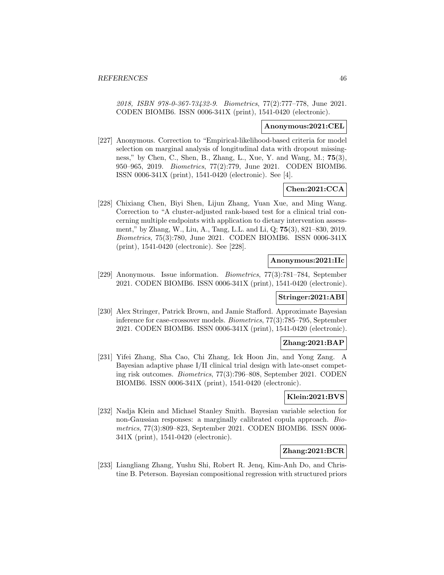2018, ISBN 978-0-367-73432-9. Biometrics, 77(2):777–778, June 2021. CODEN BIOMB6. ISSN 0006-341X (print), 1541-0420 (electronic).

#### **Anonymous:2021:CEL**

[227] Anonymous. Correction to "Empirical-likelihood-based criteria for model selection on marginal analysis of longitudinal data with dropout missingness," by Chen, C., Shen, B., Zhang, L., Xue, Y. and Wang, M.; **75**(3), 950–965, 2019. Biometrics, 77(2):779, June 2021. CODEN BIOMB6. ISSN 0006-341X (print), 1541-0420 (electronic). See [4].

# **Chen:2021:CCA**

[228] Chixiang Chen, Biyi Shen, Lijun Zhang, Yuan Xue, and Ming Wang. Correction to "A cluster-adjusted rank-based test for a clinical trial concerning multiple endpoints with application to dietary intervention assessment," by Zhang, W., Liu, A., Tang, L.L. and Li, Q; **75**(3), 821–830, 2019. Biometrics, 75(3):780, June 2021. CODEN BIOMB6. ISSN 0006-341X (print), 1541-0420 (electronic). See [228].

#### **Anonymous:2021:IIc**

[229] Anonymous. Issue information. Biometrics, 77(3):781–784, September 2021. CODEN BIOMB6. ISSN 0006-341X (print), 1541-0420 (electronic).

#### **Stringer:2021:ABI**

[230] Alex Stringer, Patrick Brown, and Jamie Stafford. Approximate Bayesian inference for case-crossover models. Biometrics, 77(3):785–795, September 2021. CODEN BIOMB6. ISSN 0006-341X (print), 1541-0420 (electronic).

### **Zhang:2021:BAP**

[231] Yifei Zhang, Sha Cao, Chi Zhang, Ick Hoon Jin, and Yong Zang. A Bayesian adaptive phase I/II clinical trial design with late-onset competing risk outcomes. Biometrics, 77(3):796–808, September 2021. CODEN BIOMB6. ISSN 0006-341X (print), 1541-0420 (electronic).

#### **Klein:2021:BVS**

[232] Nadja Klein and Michael Stanley Smith. Bayesian variable selection for non-Gaussian responses: a marginally calibrated copula approach. Biometrics, 77(3):809–823, September 2021. CODEN BIOMB6. ISSN 0006- 341X (print), 1541-0420 (electronic).

### **Zhang:2021:BCR**

[233] Liangliang Zhang, Yushu Shi, Robert R. Jenq, Kim-Anh Do, and Christine B. Peterson. Bayesian compositional regression with structured priors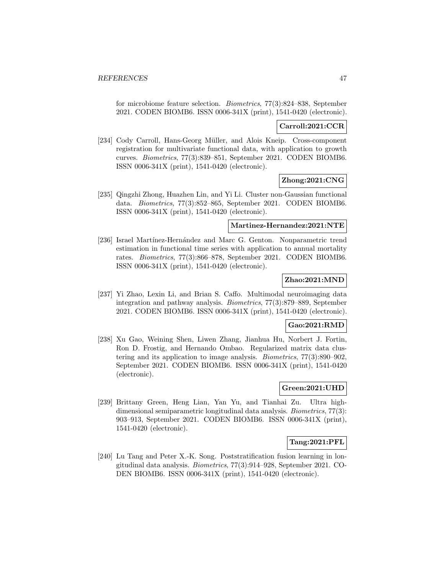for microbiome feature selection. Biometrics, 77(3):824–838, September 2021. CODEN BIOMB6. ISSN 0006-341X (print), 1541-0420 (electronic).

#### **Carroll:2021:CCR**

[234] Cody Carroll, Hans-Georg M¨uller, and Alois Kneip. Cross-component registration for multivariate functional data, with application to growth curves. Biometrics, 77(3):839–851, September 2021. CODEN BIOMB6. ISSN 0006-341X (print), 1541-0420 (electronic).

### **Zhong:2021:CNG**

[235] Qingzhi Zhong, Huazhen Lin, and Yi Li. Cluster non-Gaussian functional data. Biometrics, 77(3):852–865, September 2021. CODEN BIOMB6. ISSN 0006-341X (print), 1541-0420 (electronic).

#### **Martinez-Hernandez:2021:NTE**

[236] Israel Martínez-Hernández and Marc G. Genton. Nonparametric trend estimation in functional time series with application to annual mortality rates. Biometrics, 77(3):866–878, September 2021. CODEN BIOMB6. ISSN 0006-341X (print), 1541-0420 (electronic).

### **Zhao:2021:MND**

[237] Yi Zhao, Lexin Li, and Brian S. Caffo. Multimodal neuroimaging data integration and pathway analysis. Biometrics, 77(3):879–889, September 2021. CODEN BIOMB6. ISSN 0006-341X (print), 1541-0420 (electronic).

### **Gao:2021:RMD**

[238] Xu Gao, Weining Shen, Liwen Zhang, Jianhua Hu, Norbert J. Fortin, Ron D. Frostig, and Hernando Ombao. Regularized matrix data clustering and its application to image analysis. Biometrics, 77(3):890–902, September 2021. CODEN BIOMB6. ISSN 0006-341X (print), 1541-0420 (electronic).

### **Green:2021:UHD**

[239] Brittany Green, Heng Lian, Yan Yu, and Tianhai Zu. Ultra highdimensional semiparametric longitudinal data analysis. Biometrics, 77(3): 903–913, September 2021. CODEN BIOMB6. ISSN 0006-341X (print), 1541-0420 (electronic).

#### **Tang:2021:PFL**

[240] Lu Tang and Peter X.-K. Song. Poststratification fusion learning in longitudinal data analysis. Biometrics, 77(3):914–928, September 2021. CO-DEN BIOMB6. ISSN 0006-341X (print), 1541-0420 (electronic).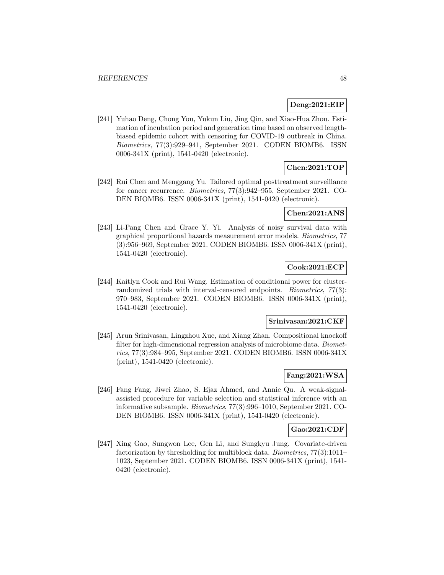### **Deng:2021:EIP**

[241] Yuhao Deng, Chong You, Yukun Liu, Jing Qin, and Xiao-Hua Zhou. Estimation of incubation period and generation time based on observed lengthbiased epidemic cohort with censoring for COVID-19 outbreak in China. Biometrics, 77(3):929–941, September 2021. CODEN BIOMB6. ISSN 0006-341X (print), 1541-0420 (electronic).

# **Chen:2021:TOP**

[242] Rui Chen and Menggang Yu. Tailored optimal posttreatment surveillance for cancer recurrence. Biometrics, 77(3):942–955, September 2021. CO-DEN BIOMB6. ISSN 0006-341X (print), 1541-0420 (electronic).

### **Chen:2021:ANS**

[243] Li-Pang Chen and Grace Y. Yi. Analysis of noisy survival data with graphical proportional hazards measurement error models. Biometrics, 77 (3):956–969, September 2021. CODEN BIOMB6. ISSN 0006-341X (print), 1541-0420 (electronic).

# **Cook:2021:ECP**

[244] Kaitlyn Cook and Rui Wang. Estimation of conditional power for clusterrandomized trials with interval-censored endpoints. *Biometrics*, 77(3): 970–983, September 2021. CODEN BIOMB6. ISSN 0006-341X (print), 1541-0420 (electronic).

#### **Srinivasan:2021:CKF**

[245] Arun Srinivasan, Lingzhou Xue, and Xiang Zhan. Compositional knockoff filter for high-dimensional regression analysis of microbiome data. Biometrics, 77(3):984–995, September 2021. CODEN BIOMB6. ISSN 0006-341X (print), 1541-0420 (electronic).

### **Fang:2021:WSA**

[246] Fang Fang, Jiwei Zhao, S. Ejaz Ahmed, and Annie Qu. A weak-signalassisted procedure for variable selection and statistical inference with an informative subsample. Biometrics, 77(3):996–1010, September 2021. CO-DEN BIOMB6. ISSN 0006-341X (print), 1541-0420 (electronic).

### **Gao:2021:CDF**

[247] Xing Gao, Sungwon Lee, Gen Li, and Sungkyu Jung. Covariate-driven factorization by thresholding for multiblock data. Biometrics, 77(3):1011– 1023, September 2021. CODEN BIOMB6. ISSN 0006-341X (print), 1541- 0420 (electronic).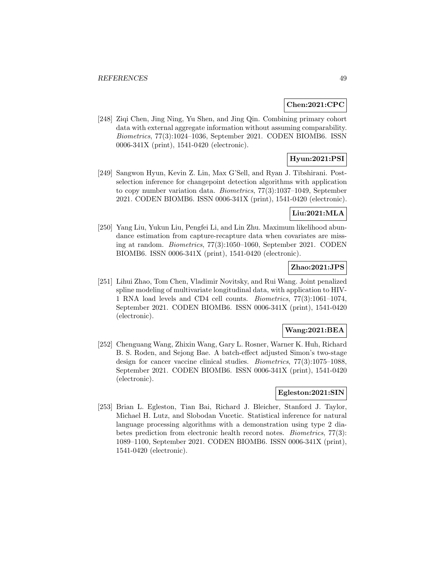### **Chen:2021:CPC**

[248] Ziqi Chen, Jing Ning, Yu Shen, and Jing Qin. Combining primary cohort data with external aggregate information without assuming comparability. Biometrics, 77(3):1024–1036, September 2021. CODEN BIOMB6. ISSN 0006-341X (print), 1541-0420 (electronic).

### **Hyun:2021:PSI**

[249] Sangwon Hyun, Kevin Z. Lin, Max G'Sell, and Ryan J. Tibshirani. Postselection inference for changepoint detection algorithms with application to copy number variation data. Biometrics, 77(3):1037–1049, September 2021. CODEN BIOMB6. ISSN 0006-341X (print), 1541-0420 (electronic).

### **Liu:2021:MLA**

[250] Yang Liu, Yukun Liu, Pengfei Li, and Lin Zhu. Maximum likelihood abundance estimation from capture-recapture data when covariates are missing at random. Biometrics, 77(3):1050–1060, September 2021. CODEN BIOMB6. ISSN 0006-341X (print), 1541-0420 (electronic).

### **Zhao:2021:JPS**

[251] Lihui Zhao, Tom Chen, Vladimir Novitsky, and Rui Wang. Joint penalized spline modeling of multivariate longitudinal data, with application to HIV-1 RNA load levels and CD4 cell counts. Biometrics, 77(3):1061–1074, September 2021. CODEN BIOMB6. ISSN 0006-341X (print), 1541-0420 (electronic).

### **Wang:2021:BEA**

[252] Chenguang Wang, Zhixin Wang, Gary L. Rosner, Warner K. Huh, Richard B. S. Roden, and Sejong Bae. A batch-effect adjusted Simon's two-stage design for cancer vaccine clinical studies. Biometrics, 77(3):1075–1088, September 2021. CODEN BIOMB6. ISSN 0006-341X (print), 1541-0420 (electronic).

### **Egleston:2021:SIN**

[253] Brian L. Egleston, Tian Bai, Richard J. Bleicher, Stanford J. Taylor, Michael H. Lutz, and Slobodan Vucetic. Statistical inference for natural language processing algorithms with a demonstration using type 2 diabetes prediction from electronic health record notes. Biometrics, 77(3): 1089–1100, September 2021. CODEN BIOMB6. ISSN 0006-341X (print), 1541-0420 (electronic).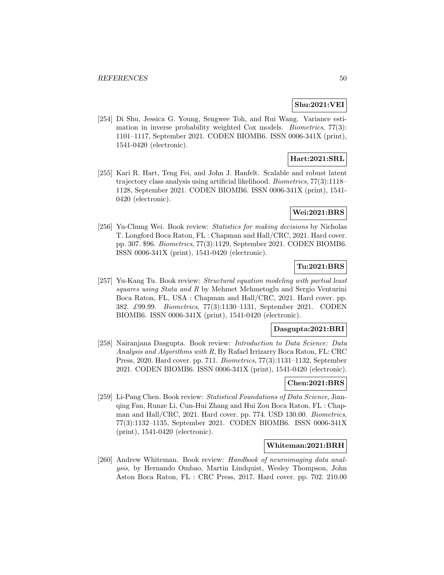# **Shu:2021:VEI**

[254] Di Shu, Jessica G. Young, Sengwee Toh, and Rui Wang. Variance estimation in inverse probability weighted Cox models. Biometrics, 77(3): 1101–1117, September 2021. CODEN BIOMB6. ISSN 0006-341X (print), 1541-0420 (electronic).

### **Hart:2021:SRL**

[255] Kari R. Hart, Teng Fei, and John J. Hanfelt. Scalable and robust latent trajectory class analysis using artificial likelihood. Biometrics, 77(3):1118– 1128, September 2021. CODEN BIOMB6. ISSN 0006-341X (print), 1541- 0420 (electronic).

### **Wei:2021:BRS**

[256] Yu-Chung Wei. Book review: Statistics for making decisions by Nicholas T. Longford Boca Raton, FL : Chapman and Hall/CRC, 2021. Hard cover. pp. 307. \$96. Biometrics, 77(3):1129, September 2021. CODEN BIOMB6. ISSN 0006-341X (print), 1541-0420 (electronic).

### **Tu:2021:BRS**

[257] Yu-Kang Tu. Book review: Structural equation modeling with partial least squares using Stata and R by Mehmet Mehmetoglu and Sergio Venturini Boca Raton, FL, USA : Chapman and Hall/CRC, 2021. Hard cover. pp. 382. £99.99. Biometrics, 77(3):1130–1131, September 2021. CODEN BIOMB6. ISSN 0006-341X (print), 1541-0420 (electronic).

#### **Dasgupta:2021:BRI**

[258] Nairanjana Dasgupta. Book review: Introduction to Data Science: Data Analysis and Algorithms with R, By Rafael Irrizarry Boca Raton, FL: CRC Press, 2020. Hard cover. pp. 711. Biometrics, 77(3):1131–1132, September 2021. CODEN BIOMB6. ISSN 0006-341X (print), 1541-0420 (electronic).

### **Chen:2021:BRS**

[259] Li-Pang Chen. Book review: Statistical Foundations of Data Science, Jianqing Fan, Runze Li, Cun-Hui Zhang and Hui Zou Boca Raton, FL : Chapman and Hall/CRC, 2021. Hard cover. pp. 774. USD 130.00. Biometrics, 77(3):1132–1135, September 2021. CODEN BIOMB6. ISSN 0006-341X (print), 1541-0420 (electronic).

### **Whiteman:2021:BRH**

[260] Andrew Whiteman. Book review: Handbook of neuroimaging data analysis, by Hernando Ombao, Martin Lindquist, Wesley Thompson, John Aston Boca Raton, FL : CRC Press, 2017. Hard cover. pp. 702. 210.00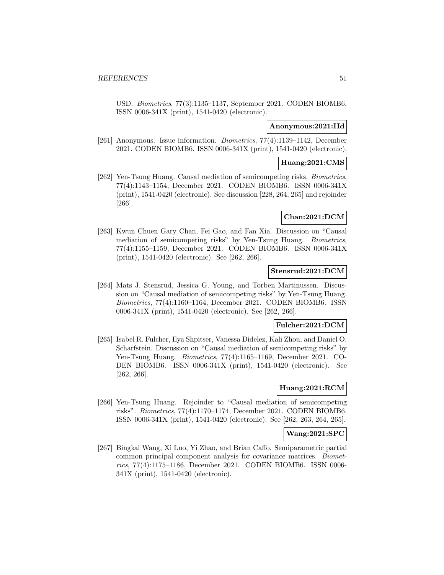USD. Biometrics, 77(3):1135–1137, September 2021. CODEN BIOMB6. ISSN 0006-341X (print), 1541-0420 (electronic).

### **Anonymous:2021:IId**

[261] Anonymous. Issue information. Biometrics, 77(4):1139–1142, December 2021. CODEN BIOMB6. ISSN 0006-341X (print), 1541-0420 (electronic).

### **Huang:2021:CMS**

[262] Yen-Tsung Huang. Causal mediation of semicompeting risks. Biometrics, 77(4):1143–1154, December 2021. CODEN BIOMB6. ISSN 0006-341X (print), 1541-0420 (electronic). See discussion [228, 264, 265] and rejoinder [266].

### **Chan:2021:DCM**

[263] Kwun Chuen Gary Chan, Fei Gao, and Fan Xia. Discussion on "Causal mediation of semicompeting risks" by Yen-Tsung Huang. Biometrics, 77(4):1155–1159, December 2021. CODEN BIOMB6. ISSN 0006-341X (print), 1541-0420 (electronic). See [262, 266].

### **Stensrud:2021:DCM**

[264] Mats J. Stensrud, Jessica G. Young, and Torben Martinussen. Discussion on "Causal mediation of semicompeting risks" by Yen-Tsung Huang. Biometrics, 77(4):1160–1164, December 2021. CODEN BIOMB6. ISSN 0006-341X (print), 1541-0420 (electronic). See [262, 266].

### **Fulcher:2021:DCM**

[265] Isabel R. Fulcher, Ilya Shpitser, Vanessa Didelez, Kali Zhou, and Daniel O. Scharfstein. Discussion on "Causal mediation of semicompeting risks" by Yen-Tsung Huang. Biometrics, 77(4):1165–1169, December 2021. CO-DEN BIOMB6. ISSN 0006-341X (print), 1541-0420 (electronic). See [262, 266].

#### **Huang:2021:RCM**

[266] Yen-Tsung Huang. Rejoinder to "Causal mediation of semicompeting risks". Biometrics, 77(4):1170–1174, December 2021. CODEN BIOMB6. ISSN 0006-341X (print), 1541-0420 (electronic). See [262, 263, 264, 265].

#### **Wang:2021:SPC**

[267] Bingkai Wang, Xi Luo, Yi Zhao, and Brian Caffo. Semiparametric partial common principal component analysis for covariance matrices. Biometrics, 77(4):1175–1186, December 2021. CODEN BIOMB6. ISSN 0006- 341X (print), 1541-0420 (electronic).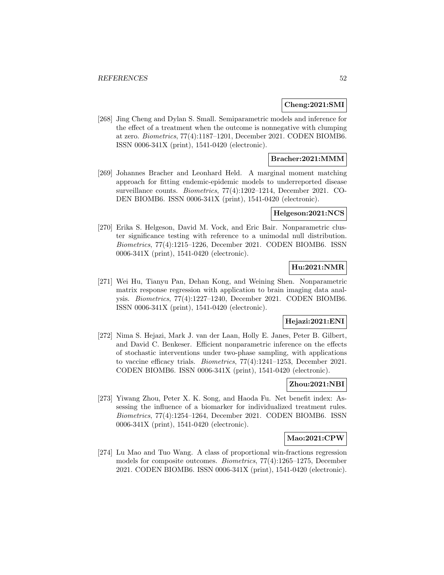### **Cheng:2021:SMI**

[268] Jing Cheng and Dylan S. Small. Semiparametric models and inference for the effect of a treatment when the outcome is nonnegative with clumping at zero. Biometrics, 77(4):1187–1201, December 2021. CODEN BIOMB6. ISSN 0006-341X (print), 1541-0420 (electronic).

### **Bracher:2021:MMM**

[269] Johannes Bracher and Leonhard Held. A marginal moment matching approach for fitting endemic-epidemic models to underreported disease surveillance counts. Biometrics, 77(4):1202–1214, December 2021. CO-DEN BIOMB6. ISSN 0006-341X (print), 1541-0420 (electronic).

### **Helgeson:2021:NCS**

[270] Erika S. Helgeson, David M. Vock, and Eric Bair. Nonparametric cluster significance testing with reference to a unimodal null distribution. Biometrics, 77(4):1215–1226, December 2021. CODEN BIOMB6. ISSN 0006-341X (print), 1541-0420 (electronic).

### **Hu:2021:NMR**

[271] Wei Hu, Tianyu Pan, Dehan Kong, and Weining Shen. Nonparametric matrix response regression with application to brain imaging data analysis. Biometrics, 77(4):1227–1240, December 2021. CODEN BIOMB6. ISSN 0006-341X (print), 1541-0420 (electronic).

### **Hejazi:2021:ENI**

[272] Nima S. Hejazi, Mark J. van der Laan, Holly E. Janes, Peter B. Gilbert, and David C. Benkeser. Efficient nonparametric inference on the effects of stochastic interventions under two-phase sampling, with applications to vaccine efficacy trials. Biometrics, 77(4):1241–1253, December 2021. CODEN BIOMB6. ISSN 0006-341X (print), 1541-0420 (electronic).

### **Zhou:2021:NBI**

[273] Yiwang Zhou, Peter X. K. Song, and Haoda Fu. Net benefit index: Assessing the influence of a biomarker for individualized treatment rules. Biometrics, 77(4):1254–1264, December 2021. CODEN BIOMB6. ISSN 0006-341X (print), 1541-0420 (electronic).

### **Mao:2021:CPW**

[274] Lu Mao and Tuo Wang. A class of proportional win-fractions regression models for composite outcomes. Biometrics, 77(4):1265–1275, December 2021. CODEN BIOMB6. ISSN 0006-341X (print), 1541-0420 (electronic).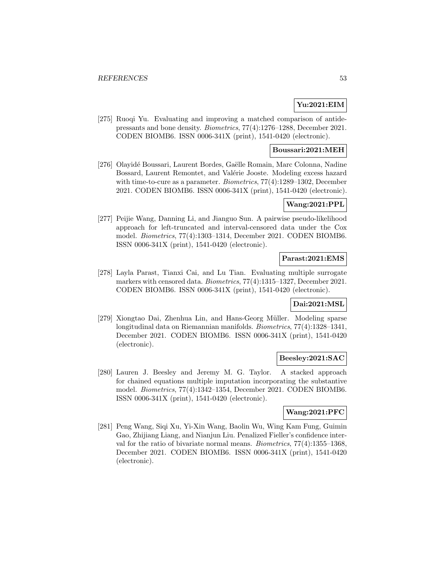# **Yu:2021:EIM**

[275] Ruoqi Yu. Evaluating and improving a matched comparison of antidepressants and bone density. Biometrics, 77(4):1276–1288, December 2021. CODEN BIOMB6. ISSN 0006-341X (print), 1541-0420 (electronic).

### **Boussari:2021:MEH**

[276] Olayidé Boussari, Laurent Bordes, Gaëlle Romain, Marc Colonna, Nadine Bossard, Laurent Remontet, and Valérie Jooste. Modeling excess hazard with time-to-cure as a parameter. *Biometrics*,  $77(4)$ :1289–1302, December 2021. CODEN BIOMB6. ISSN 0006-341X (print), 1541-0420 (electronic).

### **Wang:2021:PPL**

[277] Peijie Wang, Danning Li, and Jianguo Sun. A pairwise pseudo-likelihood approach for left-truncated and interval-censored data under the Cox model. Biometrics, 77(4):1303–1314, December 2021. CODEN BIOMB6. ISSN 0006-341X (print), 1541-0420 (electronic).

### **Parast:2021:EMS**

[278] Layla Parast, Tianxi Cai, and Lu Tian. Evaluating multiple surrogate markers with censored data. Biometrics, 77(4):1315–1327, December 2021. CODEN BIOMB6. ISSN 0006-341X (print), 1541-0420 (electronic).

#### **Dai:2021:MSL**

[279] Xiongtao Dai, Zhenhua Lin, and Hans-Georg Müller. Modeling sparse longitudinal data on Riemannian manifolds. Biometrics, 77(4):1328–1341, December 2021. CODEN BIOMB6. ISSN 0006-341X (print), 1541-0420 (electronic).

#### **Beesley:2021:SAC**

[280] Lauren J. Beesley and Jeremy M. G. Taylor. A stacked approach for chained equations multiple imputation incorporating the substantive model. Biometrics, 77(4):1342–1354, December 2021. CODEN BIOMB6. ISSN 0006-341X (print), 1541-0420 (electronic).

### **Wang:2021:PFC**

[281] Peng Wang, Siqi Xu, Yi-Xin Wang, Baolin Wu, Wing Kam Fung, Guimin Gao, Zhijiang Liang, and Nianjun Liu. Penalized Fieller's confidence interval for the ratio of bivariate normal means. Biometrics, 77(4):1355–1368, December 2021. CODEN BIOMB6. ISSN 0006-341X (print), 1541-0420 (electronic).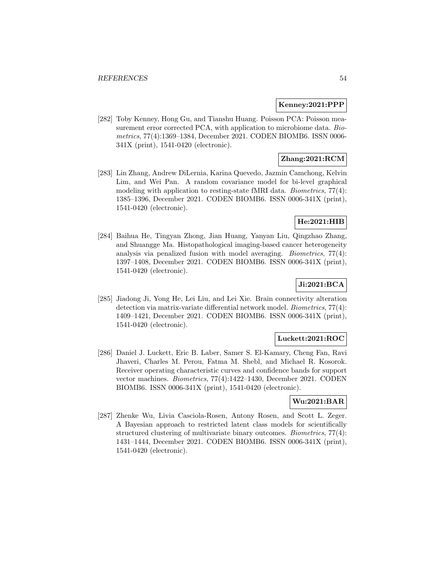#### **Kenney:2021:PPP**

[282] Toby Kenney, Hong Gu, and Tianshu Huang. Poisson PCA: Poisson measurement error corrected PCA, with application to microbiome data. Biometrics, 77(4):1369–1384, December 2021. CODEN BIOMB6. ISSN 0006- 341X (print), 1541-0420 (electronic).

# **Zhang:2021:RCM**

[283] Lin Zhang, Andrew DiLernia, Karina Quevedo, Jazmin Camchong, Kelvin Lim, and Wei Pan. A random covariance model for bi-level graphical modeling with application to resting-state fMRI data. Biometrics, 77(4): 1385–1396, December 2021. CODEN BIOMB6. ISSN 0006-341X (print), 1541-0420 (electronic).

### **He:2021:HIB**

[284] Baihua He, Tingyan Zhong, Jian Huang, Yanyan Liu, Qingzhao Zhang, and Shuangge Ma. Histopathological imaging-based cancer heterogeneity analysis via penalized fusion with model averaging. Biometrics, 77(4): 1397–1408, December 2021. CODEN BIOMB6. ISSN 0006-341X (print), 1541-0420 (electronic).

# **Ji:2021:BCA**

[285] Jiadong Ji, Yong He, Lei Liu, and Lei Xie. Brain connectivity alteration detection via matrix-variate differential network model. Biometrics, 77(4): 1409–1421, December 2021. CODEN BIOMB6. ISSN 0006-341X (print), 1541-0420 (electronic).

### **Luckett:2021:ROC**

[286] Daniel J. Luckett, Eric B. Laber, Samer S. El-Kamary, Cheng Fan, Ravi Jhaveri, Charles M. Perou, Fatma M. Shebl, and Michael R. Kosorok. Receiver operating characteristic curves and confidence bands for support vector machines. Biometrics, 77(4):1422–1430, December 2021. CODEN BIOMB6. ISSN 0006-341X (print), 1541-0420 (electronic).

### **Wu:2021:BAR**

[287] Zhenke Wu, Livia Casciola-Rosen, Antony Rosen, and Scott L. Zeger. A Bayesian approach to restricted latent class models for scientifically structured clustering of multivariate binary outcomes. Biometrics, 77(4): 1431–1444, December 2021. CODEN BIOMB6. ISSN 0006-341X (print), 1541-0420 (electronic).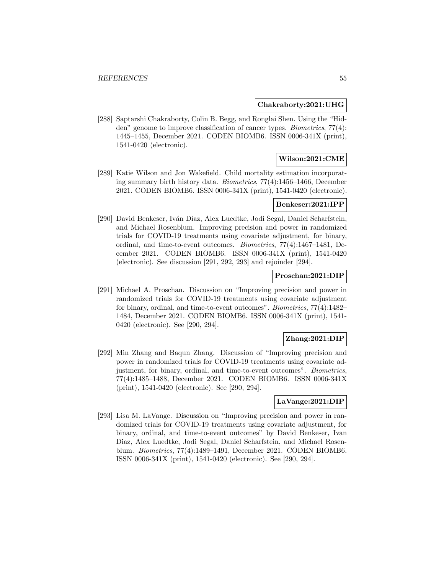#### **Chakraborty:2021:UHG**

[288] Saptarshi Chakraborty, Colin B. Begg, and Ronglai Shen. Using the "Hidden" genome to improve classification of cancer types. Biometrics, 77(4): 1445–1455, December 2021. CODEN BIOMB6. ISSN 0006-341X (print), 1541-0420 (electronic).

### **Wilson:2021:CME**

[289] Katie Wilson and Jon Wakefield. Child mortality estimation incorporating summary birth history data. Biometrics, 77(4):1456–1466, December 2021. CODEN BIOMB6. ISSN 0006-341X (print), 1541-0420 (electronic).

#### **Benkeser:2021:IPP**

[290] David Benkeser, Iván Díaz, Alex Luedtke, Jodi Segal, Daniel Scharfstein, and Michael Rosenblum. Improving precision and power in randomized trials for COVID-19 treatments using covariate adjustment, for binary, ordinal, and time-to-event outcomes. Biometrics, 77(4):1467–1481, December 2021. CODEN BIOMB6. ISSN 0006-341X (print), 1541-0420 (electronic). See discussion [291, 292, 293] and rejoinder [294].

### **Proschan:2021:DIP**

[291] Michael A. Proschan. Discussion on "Improving precision and power in randomized trials for COVID-19 treatments using covariate adjustment for binary, ordinal, and time-to-event outcomes". Biometrics, 77(4):1482– 1484, December 2021. CODEN BIOMB6. ISSN 0006-341X (print), 1541- 0420 (electronic). See [290, 294].

### **Zhang:2021:DIP**

[292] Min Zhang and Baqun Zhang. Discussion of "Improving precision and power in randomized trials for COVID-19 treatments using covariate adjustment, for binary, ordinal, and time-to-event outcomes". Biometrics, 77(4):1485–1488, December 2021. CODEN BIOMB6. ISSN 0006-341X (print), 1541-0420 (electronic). See [290, 294].

#### **LaVange:2021:DIP**

[293] Lisa M. LaVange. Discussion on "Improving precision and power in randomized trials for COVID-19 treatments using covariate adjustment, for binary, ordinal, and time-to-event outcomes" by David Benkeser, Ivan Diaz, Alex Luedtke, Jodi Segal, Daniel Scharfstein, and Michael Rosenblum. Biometrics, 77(4):1489–1491, December 2021. CODEN BIOMB6. ISSN 0006-341X (print), 1541-0420 (electronic). See [290, 294].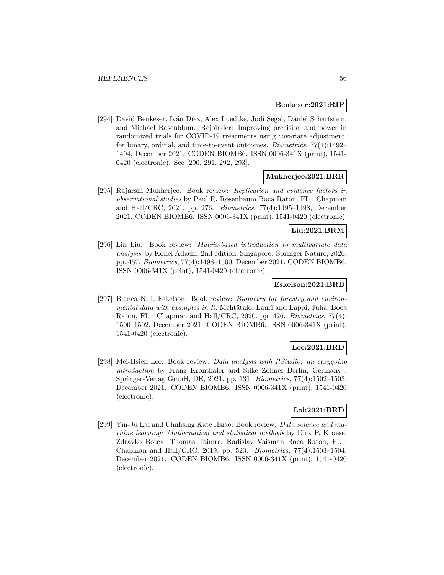#### **Benkeser:2021:RIP**

[294] David Benkeser, Iván Díaz, Alex Luedtke, Jodi Segal, Daniel Scharfstein, and Michael Rosenblum. Rejoinder: Improving precision and power in randomized trials for COVID-19 treatments using covariate adjustment, for binary, ordinal, and time-to-event outcomes. Biometrics, 77(4):1492– 1494, December 2021. CODEN BIOMB6. ISSN 0006-341X (print), 1541- 0420 (electronic). See [290, 291, 292, 293].

#### **Mukherjee:2021:BRR**

[295] Rajarshi Mukherjee. Book review: Replication and evidence factors in observational studies by Paul R. Rosenbaum Boca Raton, FL : Chapman and Hall/CRC, 2021. pp. 276. Biometrics, 77(4):1495–1498, December 2021. CODEN BIOMB6. ISSN 0006-341X (print), 1541-0420 (electronic).

#### **Liu:2021:BRM**

[296] Lin Liu. Book review: Matrix-based introduction to multivariate data analysis, by Kohei Adachi, 2nd edition. Singapore: Springer Nature, 2020. pp. 457. Biometrics, 77(4):1498–1500, December 2021. CODEN BIOMB6. ISSN 0006-341X (print), 1541-0420 (electronic).

#### **Eskelson:2021:BRB**

[297] Bianca N. I. Eskelson. Book review: *Biometry for forestry and environ*mental data with examples in R. Mehtätalo, Lauri and Lappi, Juha. Boca Raton, FL : Chapman and Hall/CRC, 2020. pp. 426. Biometrics, 77(4): 1500–1502, December 2021. CODEN BIOMB6. ISSN 0006-341X (print), 1541-0420 (electronic).

# **Lee:2021:BRD**

[298] Mei-Hsien Lee. Book review: Data analysis with RStudio: an easygoing introduction by Franz Kronthaler and Silke Zöllner Berlin, Germany : Springer-Verlag GmbH, DE, 2021. pp. 131. Biometrics, 77(4):1502–1503, December 2021. CODEN BIOMB6. ISSN 0006-341X (print), 1541-0420 (electronic).

### **Lai:2021:BRD**

[299] Yin-Ju Lai and Chuhsing Kate Hsiao. Book review: Data science and machine learning: Mathematical and statistical methods by Dirk P. Kroese, Zdravko Botev, Thomas Taimre, Radislav Vaisman Boca Raton, FL : Chapman and Hall/CRC, 2019. pp. 523. Biometrics, 77(4):1503–1504, December 2021. CODEN BIOMB6. ISSN 0006-341X (print), 1541-0420 (electronic).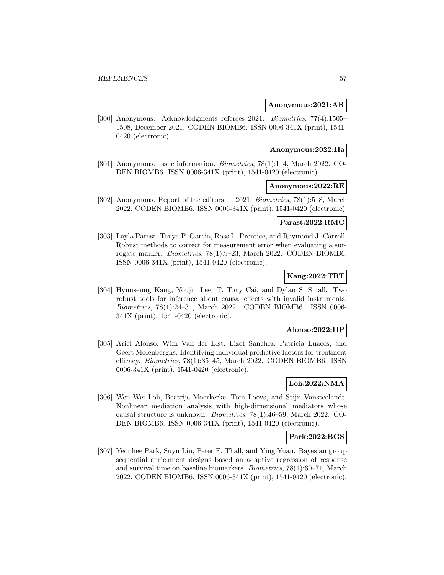#### **Anonymous:2021:AR**

[300] Anonymous. Acknowledgments referees 2021. Biometrics, 77(4):1505– 1508, December 2021. CODEN BIOMB6. ISSN 0006-341X (print), 1541- 0420 (electronic).

#### **Anonymous:2022:IIa**

[301] Anonymous. Issue information. Biometrics, 78(1):1–4, March 2022. CO-DEN BIOMB6. ISSN 0006-341X (print), 1541-0420 (electronic).

### **Anonymous:2022:RE**

[302] Anonymous. Report of the editors — 2021. Biometrics, 78(1):5–8, March 2022. CODEN BIOMB6. ISSN 0006-341X (print), 1541-0420 (electronic).

#### **Parast:2022:RMC**

[303] Layla Parast, Tanya P. Garcia, Ross L. Prentice, and Raymond J. Carroll. Robust methods to correct for measurement error when evaluating a surrogate marker. Biometrics, 78(1):9–23, March 2022. CODEN BIOMB6. ISSN 0006-341X (print), 1541-0420 (electronic).

### **Kang:2022:TRT**

[304] Hyunseung Kang, Youjin Lee, T. Tony Cai, and Dylan S. Small. Two robust tools for inference about causal effects with invalid instruments. Biometrics, 78(1):24–34, March 2022. CODEN BIOMB6. ISSN 0006- 341X (print), 1541-0420 (electronic).

#### **Alonso:2022:IIP**

[305] Ariel Alonso, Wim Van der Elst, Lizet Sanchez, Patricia Luaces, and Geert Molenberghs. Identifying individual predictive factors for treatment efficacy. Biometrics, 78(1):35–45, March 2022. CODEN BIOMB6. ISSN 0006-341X (print), 1541-0420 (electronic).

### **Loh:2022:NMA**

[306] Wen Wei Loh, Beatrijs Moerkerke, Tom Loeys, and Stijn Vansteelandt. Nonlinear mediation analysis with high-dimensional mediators whose causal structure is unknown. Biometrics, 78(1):46–59, March 2022. CO-DEN BIOMB6. ISSN 0006-341X (print), 1541-0420 (electronic).

### **Park:2022:BGS**

[307] Yeonhee Park, Suyu Liu, Peter F. Thall, and Ying Yuan. Bayesian group sequential enrichment designs based on adaptive regression of response and survival time on baseline biomarkers. Biometrics, 78(1):60–71, March 2022. CODEN BIOMB6. ISSN 0006-341X (print), 1541-0420 (electronic).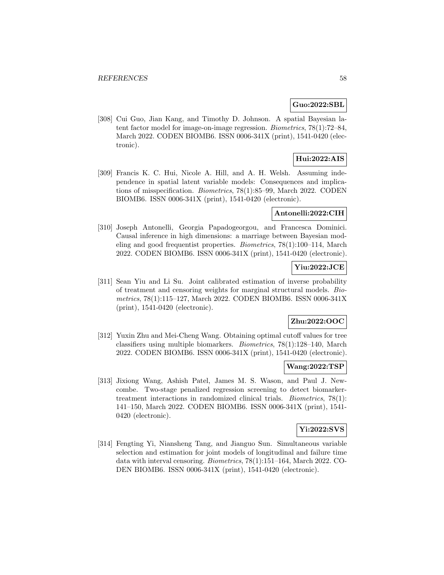### **Guo:2022:SBL**

[308] Cui Guo, Jian Kang, and Timothy D. Johnson. A spatial Bayesian latent factor model for image-on-image regression. Biometrics, 78(1):72–84, March 2022. CODEN BIOMB6. ISSN 0006-341X (print), 1541-0420 (electronic).

### **Hui:2022:AIS**

[309] Francis K. C. Hui, Nicole A. Hill, and A. H. Welsh. Assuming independence in spatial latent variable models: Consequences and implications of misspecification. Biometrics, 78(1):85–99, March 2022. CODEN BIOMB6. ISSN 0006-341X (print), 1541-0420 (electronic).

### **Antonelli:2022:CIH**

[310] Joseph Antonelli, Georgia Papadogeorgou, and Francesca Dominici. Causal inference in high dimensions: a marriage between Bayesian modeling and good frequentist properties. Biometrics, 78(1):100–114, March 2022. CODEN BIOMB6. ISSN 0006-341X (print), 1541-0420 (electronic).

### **Yiu:2022:JCE**

[311] Sean Yiu and Li Su. Joint calibrated estimation of inverse probability of treatment and censoring weights for marginal structural models. Biometrics, 78(1):115–127, March 2022. CODEN BIOMB6. ISSN 0006-341X (print), 1541-0420 (electronic).

### **Zhu:2022:OOC**

[312] Yuxin Zhu and Mei-Cheng Wang. Obtaining optimal cutoff values for tree classifiers using multiple biomarkers. Biometrics, 78(1):128–140, March 2022. CODEN BIOMB6. ISSN 0006-341X (print), 1541-0420 (electronic).

#### **Wang:2022:TSP**

[313] Jixiong Wang, Ashish Patel, James M. S. Wason, and Paul J. Newcombe. Two-stage penalized regression screening to detect biomarkertreatment interactions in randomized clinical trials. Biometrics, 78(1): 141–150, March 2022. CODEN BIOMB6. ISSN 0006-341X (print), 1541- 0420 (electronic).

#### **Yi:2022:SVS**

[314] Fengting Yi, Niansheng Tang, and Jianguo Sun. Simultaneous variable selection and estimation for joint models of longitudinal and failure time data with interval censoring. Biometrics, 78(1):151–164, March 2022. CO-DEN BIOMB6. ISSN 0006-341X (print), 1541-0420 (electronic).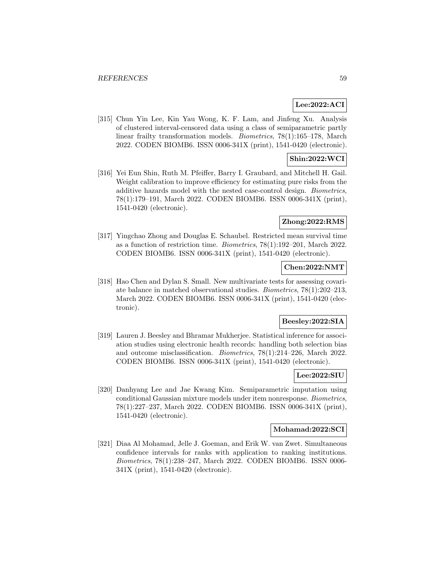### **Lee:2022:ACI**

[315] Chun Yin Lee, Kin Yau Wong, K. F. Lam, and Jinfeng Xu. Analysis of clustered interval-censored data using a class of semiparametric partly linear frailty transformation models. Biometrics, 78(1):165–178, March 2022. CODEN BIOMB6. ISSN 0006-341X (print), 1541-0420 (electronic).

### **Shin:2022:WCI**

[316] Yei Eun Shin, Ruth M. Pfeiffer, Barry I. Graubard, and Mitchell H. Gail. Weight calibration to improve efficiency for estimating pure risks from the additive hazards model with the nested case-control design. Biometrics, 78(1):179–191, March 2022. CODEN BIOMB6. ISSN 0006-341X (print), 1541-0420 (electronic).

### **Zhong:2022:RMS**

[317] Yingchao Zhong and Douglas E. Schaubel. Restricted mean survival time as a function of restriction time. Biometrics, 78(1):192–201, March 2022. CODEN BIOMB6. ISSN 0006-341X (print), 1541-0420 (electronic).

### **Chen:2022:NMT**

[318] Hao Chen and Dylan S. Small. New multivariate tests for assessing covariate balance in matched observational studies. Biometrics, 78(1):202–213, March 2022. CODEN BIOMB6. ISSN 0006-341X (print), 1541-0420 (electronic).

### **Beesley:2022:SIA**

[319] Lauren J. Beesley and Bhramar Mukherjee. Statistical inference for association studies using electronic health records: handling both selection bias and outcome misclassification. Biometrics, 78(1):214–226, March 2022. CODEN BIOMB6. ISSN 0006-341X (print), 1541-0420 (electronic).

#### **Lee:2022:SIU**

[320] Danhyang Lee and Jae Kwang Kim. Semiparametric imputation using conditional Gaussian mixture models under item nonresponse. Biometrics, 78(1):227–237, March 2022. CODEN BIOMB6. ISSN 0006-341X (print), 1541-0420 (electronic).

#### **Mohamad:2022:SCI**

[321] Diaa Al Mohamad, Jelle J. Goeman, and Erik W. van Zwet. Simultaneous confidence intervals for ranks with application to ranking institutions. Biometrics, 78(1):238–247, March 2022. CODEN BIOMB6. ISSN 0006- 341X (print), 1541-0420 (electronic).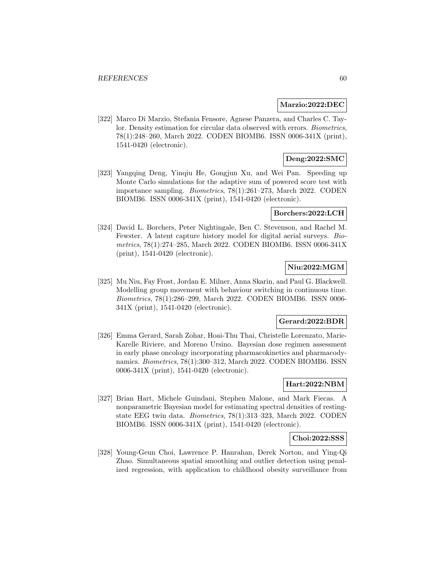#### **Marzio:2022:DEC**

[322] Marco Di Marzio, Stefania Fensore, Agnese Panzera, and Charles C. Taylor. Density estimation for circular data observed with errors. Biometrics, 78(1):248–260, March 2022. CODEN BIOMB6. ISSN 0006-341X (print), 1541-0420 (electronic).

### **Deng:2022:SMC**

[323] Yangqing Deng, Yinqiu He, Gongjun Xu, and Wei Pan. Speeding up Monte Carlo simulations for the adaptive sum of powered score test with importance sampling. Biometrics, 78(1):261–273, March 2022. CODEN BIOMB6. ISSN 0006-341X (print), 1541-0420 (electronic).

### **Borchers:2022:LCH**

[324] David L. Borchers, Peter Nightingale, Ben C. Stevenson, and Rachel M. Fewster. A latent capture history model for digital aerial surveys. Biometrics, 78(1):274–285, March 2022. CODEN BIOMB6. ISSN 0006-341X (print), 1541-0420 (electronic).

### **Niu:2022:MGM**

[325] Mu Niu, Fay Frost, Jordan E. Milner, Anna Skarin, and Paul G. Blackwell. Modelling group movement with behaviour switching in continuous time. Biometrics, 78(1):286–299, March 2022. CODEN BIOMB6. ISSN 0006- 341X (print), 1541-0420 (electronic).

#### **Gerard:2022:BDR**

[326] Emma Gerard, Sarah Zohar, Hoai-Thu Thai, Christelle Lorenzato, Marie-Karelle Riviere, and Moreno Ursino. Bayesian dose regimen assessment in early phase oncology incorporating pharmacokinetics and pharmacodynamics. Biometrics, 78(1):300–312, March 2022. CODEN BIOMB6. ISSN 0006-341X (print), 1541-0420 (electronic).

### **Hart:2022:NBM**

[327] Brian Hart, Michele Guindani, Stephen Malone, and Mark Fiecas. A nonparametric Bayesian model for estimating spectral densities of restingstate EEG twin data. Biometrics, 78(1):313–323, March 2022. CODEN BIOMB6. ISSN 0006-341X (print), 1541-0420 (electronic).

### **Choi:2022:SSS**

[328] Young-Geun Choi, Lawrence P. Hanrahan, Derek Norton, and Ying-Qi Zhao. Simultaneous spatial smoothing and outlier detection using penalized regression, with application to childhood obesity surveillance from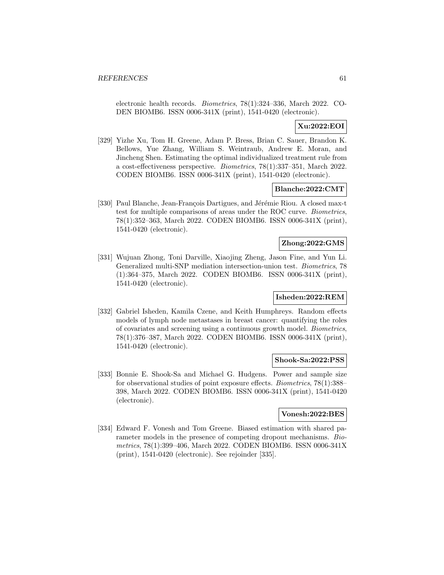electronic health records. Biometrics, 78(1):324–336, March 2022. CO-DEN BIOMB6. ISSN 0006-341X (print), 1541-0420 (electronic).

### **Xu:2022:EOI**

[329] Yizhe Xu, Tom H. Greene, Adam P. Bress, Brian C. Sauer, Brandon K. Bellows, Yue Zhang, William S. Weintraub, Andrew E. Moran, and Jincheng Shen. Estimating the optimal individualized treatment rule from a cost-effectiveness perspective. Biometrics, 78(1):337–351, March 2022. CODEN BIOMB6. ISSN 0006-341X (print), 1541-0420 (electronic).

#### **Blanche:2022:CMT**

[330] Paul Blanche, Jean-François Dartigues, and Jérémie Riou. A closed max-t test for multiple comparisons of areas under the ROC curve. Biometrics, 78(1):352–363, March 2022. CODEN BIOMB6. ISSN 0006-341X (print), 1541-0420 (electronic).

### **Zhong:2022:GMS**

[331] Wujuan Zhong, Toni Darville, Xiaojing Zheng, Jason Fine, and Yun Li. Generalized multi-SNP mediation intersection-union test. Biometrics, 78 (1):364–375, March 2022. CODEN BIOMB6. ISSN 0006-341X (print), 1541-0420 (electronic).

#### **Isheden:2022:REM**

[332] Gabriel Isheden, Kamila Czene, and Keith Humphreys. Random effects models of lymph node metastases in breast cancer: quantifying the roles of covariates and screening using a continuous growth model. Biometrics, 78(1):376–387, March 2022. CODEN BIOMB6. ISSN 0006-341X (print), 1541-0420 (electronic).

#### **Shook-Sa:2022:PSS**

[333] Bonnie E. Shook-Sa and Michael G. Hudgens. Power and sample size for observational studies of point exposure effects. Biometrics, 78(1):388– 398, March 2022. CODEN BIOMB6. ISSN 0006-341X (print), 1541-0420 (electronic).

#### **Vonesh:2022:BES**

[334] Edward F. Vonesh and Tom Greene. Biased estimation with shared parameter models in the presence of competing dropout mechanisms. Biometrics, 78(1):399–406, March 2022. CODEN BIOMB6. ISSN 0006-341X (print), 1541-0420 (electronic). See rejoinder [335].